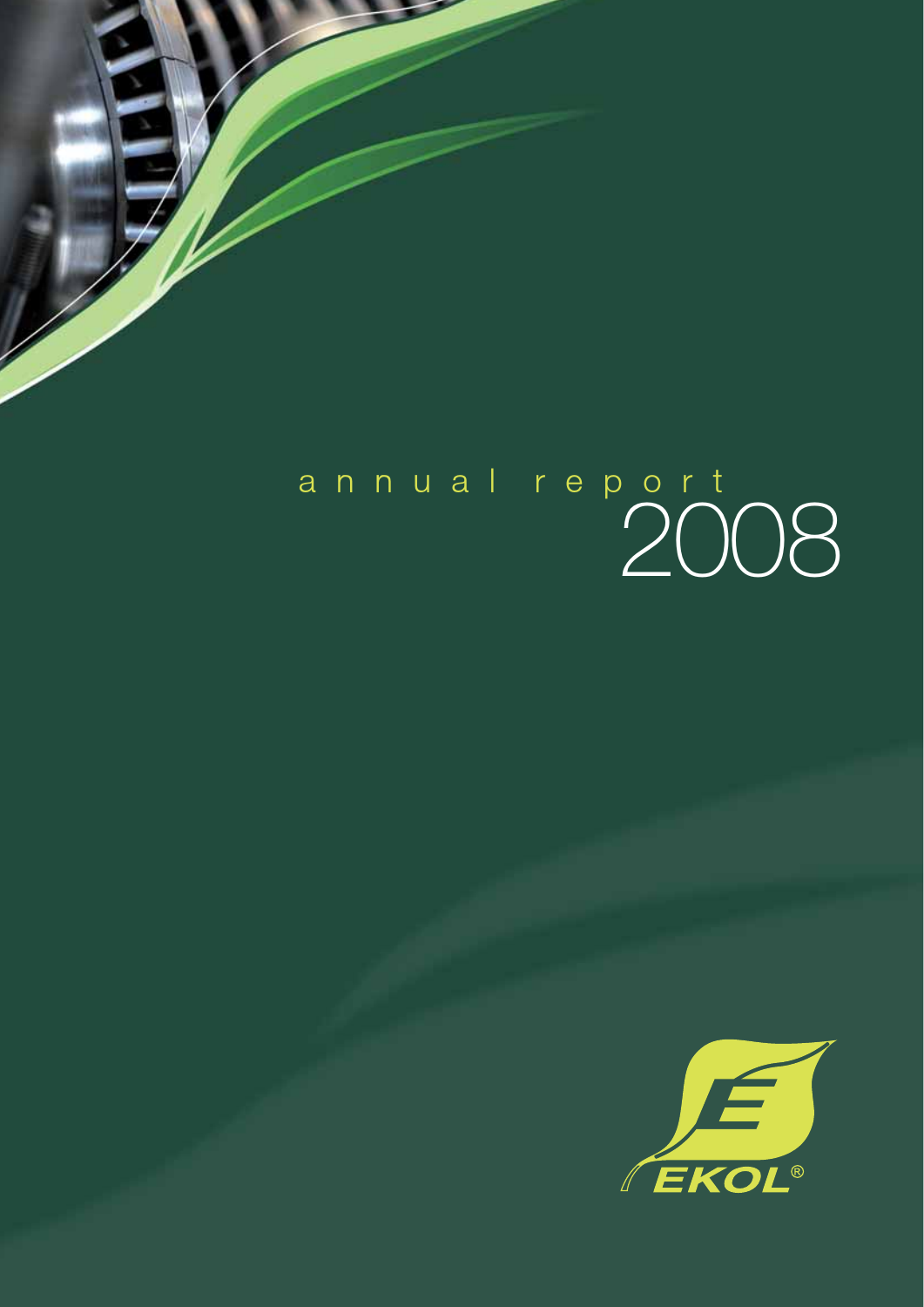# 2008 annual report

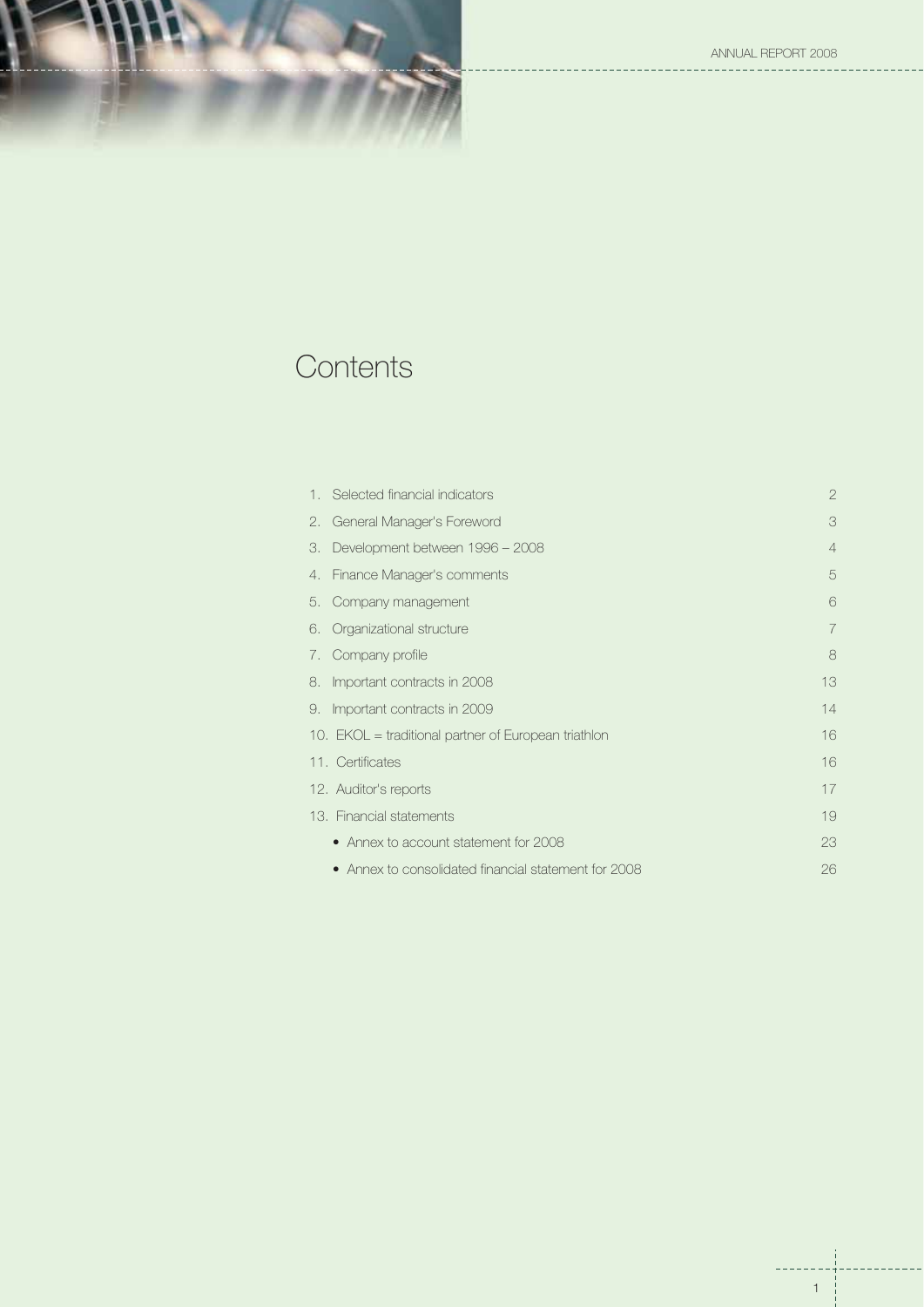ANNUAL REPORT 2008

<u>\_\_\_\_\_\_\_</u>\_



## **Contents**

| $\overline{2}$ |
|----------------|
| 3              |
| $\overline{4}$ |
| 5              |
| 6              |
| 7              |
| 8              |
| 13             |
| 14             |
| 16             |
| 16             |
| 17             |
| 19             |
| 23             |
| 26             |
|                |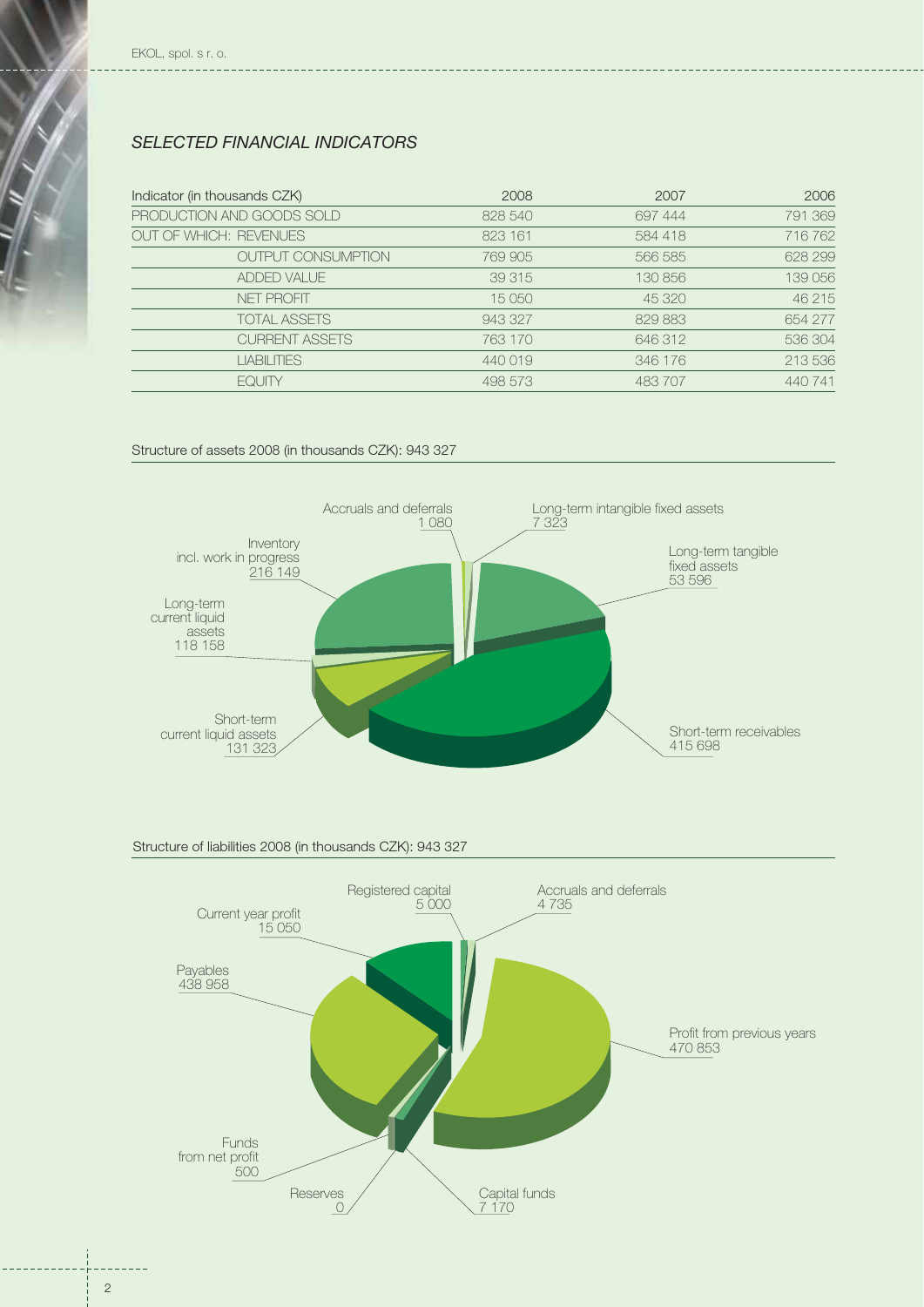## *SELECTED FINANCIAL INDICATORS*

| Indicator (in thousands CZK)  | 2008    | 2007    | 2006    |
|-------------------------------|---------|---------|---------|
| PRODUCTION AND GOODS SOLD     | 828 540 | 697 444 | 791 369 |
| <b>OUT OF WHICH: REVENUES</b> | 823 161 | 584 418 | 716 762 |
| <b>OUTPUT CONSUMPTION</b>     | 769 905 | 566 585 | 628 299 |
| ADDED VALUE                   | 39 315  | 130 856 | 139 056 |
| NFT PROFIT                    | 15 050  | 45 320  | 46 215  |
| <b>TOTAL ASSETS</b>           | 943 327 | 829 883 | 654 277 |
| <b>CURRENT ASSETS</b>         | 763 170 | 646 312 | 536 304 |
| <b>LIABILITIES</b>            | 440019  | 346 176 | 213 536 |
| <b>FOUTY</b>                  | 498 573 | 483 707 | 440 741 |

#### Structure of assets 2008 (in thousands CZK): 943 327



## Structure of liabilities 2008 (in thousands CZK): 943 327

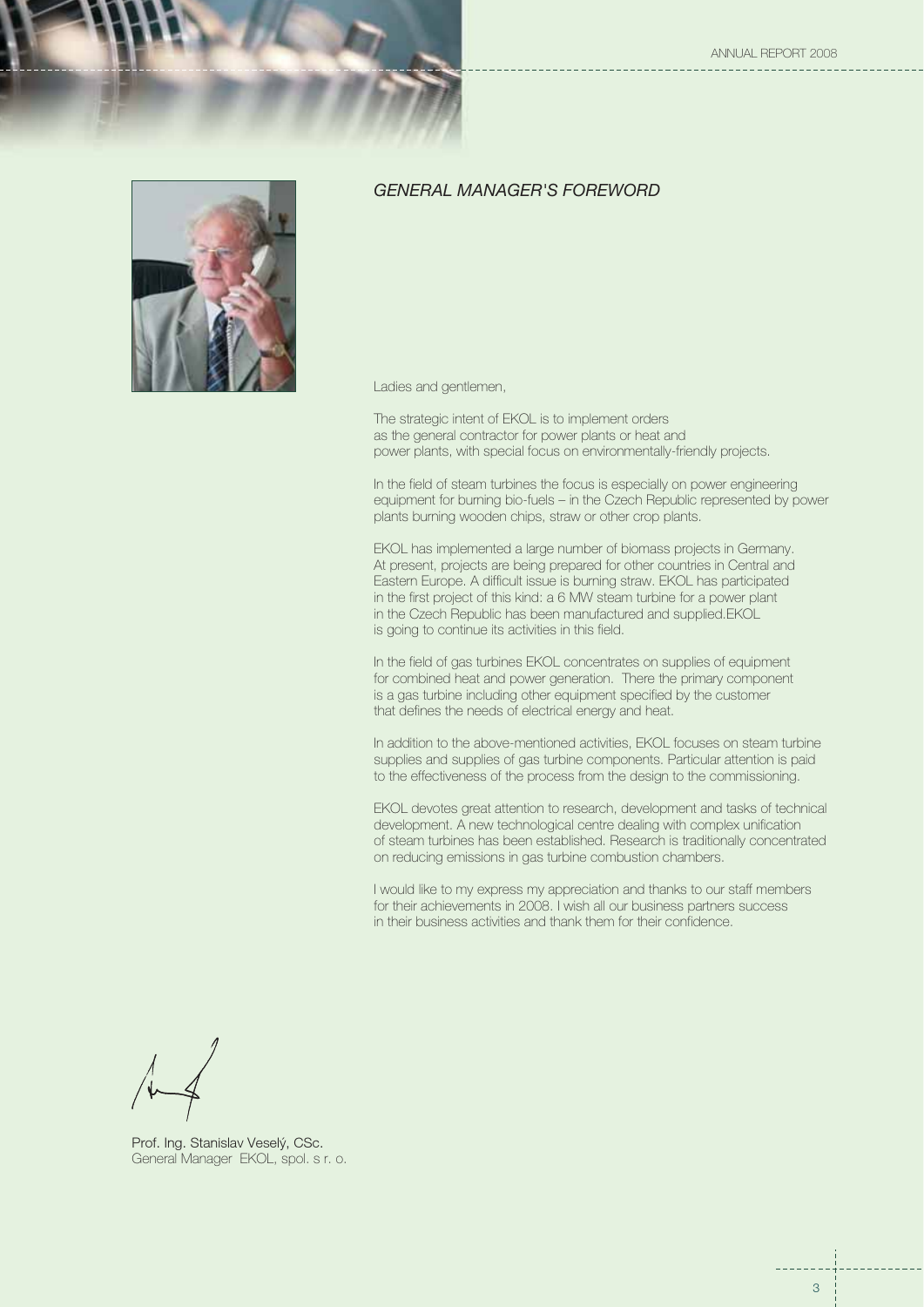ANNUAL REPORT 2008



## *GENERAL MANAGER'S FOREWORD*

Ladies and gentlemen,

The strategic intent of EKOL is to implement orders as the general contractor for power plants or heat and power plants, with special focus on environmentally-friendly projects.

In the field of steam turbines the focus is especially on power engineering equipment for burning bio-fuels – in the Czech Republic represented by power plants burning wooden chips, straw or other crop plants.

EKOL has implemented a large number of biomass projects in Germany. At present, projects are being prepared for other countries in Central and Eastern Europe. A difficult issue is burning straw. EKOL has participated in the first project of this kind: a 6 MW steam turbine for a power plant in the Czech Republic has been manufactured and supplied.EKOL is going to continue its activities in this field.

In the field of gas turbines EKOL concentrates on supplies of equipment for combined heat and power generation. There the primary component is a gas turbine including other equipment specified by the customer that defines the needs of electrical energy and heat.

In addition to the above-mentioned activities, EKOL focuses on steam turbine supplies and supplies of gas turbine components. Particular attention is paid to the effectiveness of the process from the design to the commissioning.

EKOL devotes great attention to research, development and tasks of technical development. A new technological centre dealing with complex unification of steam turbines has been established. Research is traditionally concentrated on reducing emissions in gas turbine combustion chambers.

I would like to my express my appreciation and thanks to our staff members for their achievements in 2008. I wish all our business partners success in their business activities and thank them for their confidence.

Prof. Ing. Stanislav Veselý, CSc. General Manager EKOL, spol. s r. o.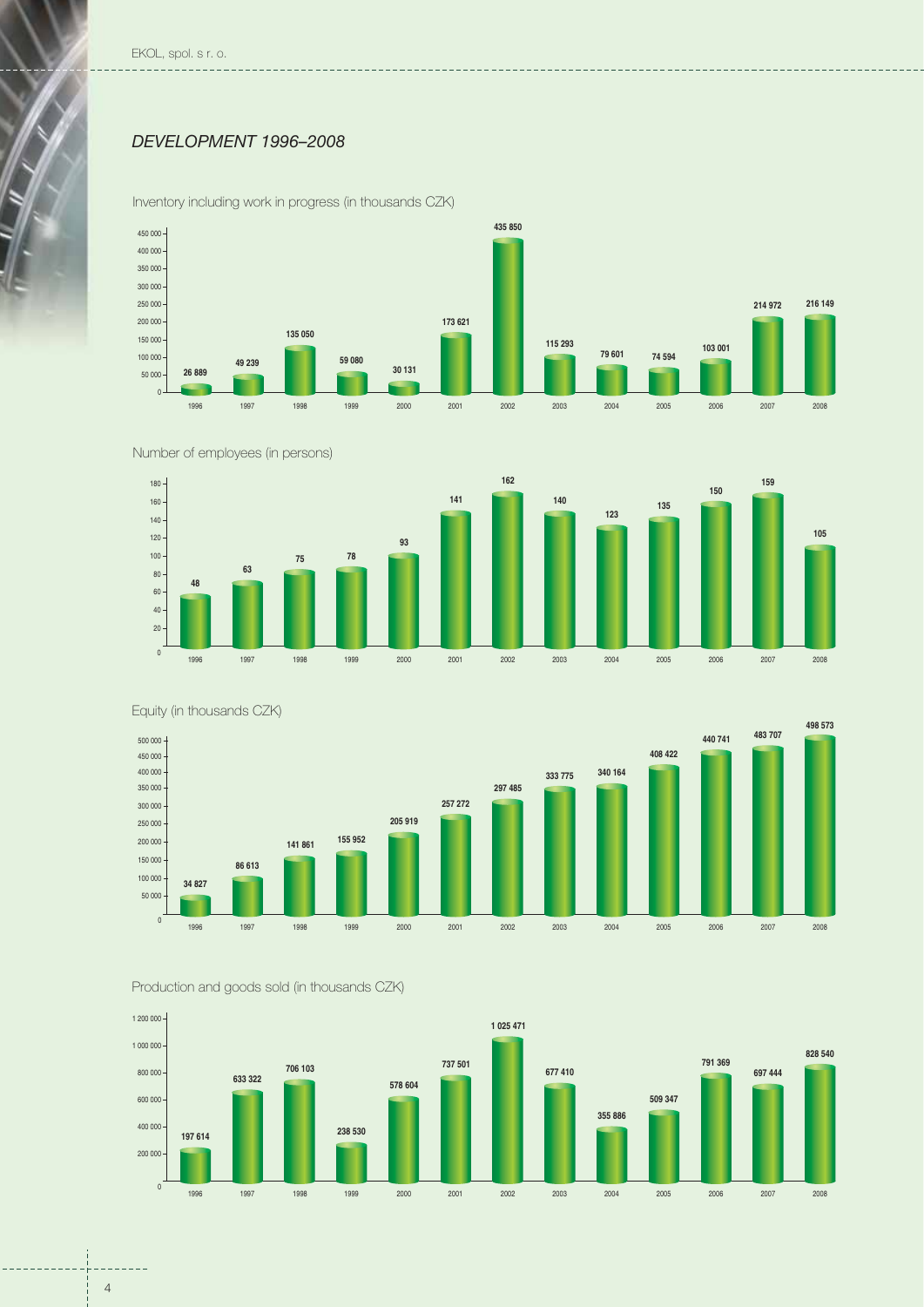EKOL, spol. s r. o.

## *DEVELOPMENT 1996–2008*



Inventory including work in progress (in thousands CZK)







Equity (in thousands CZK)





 $-$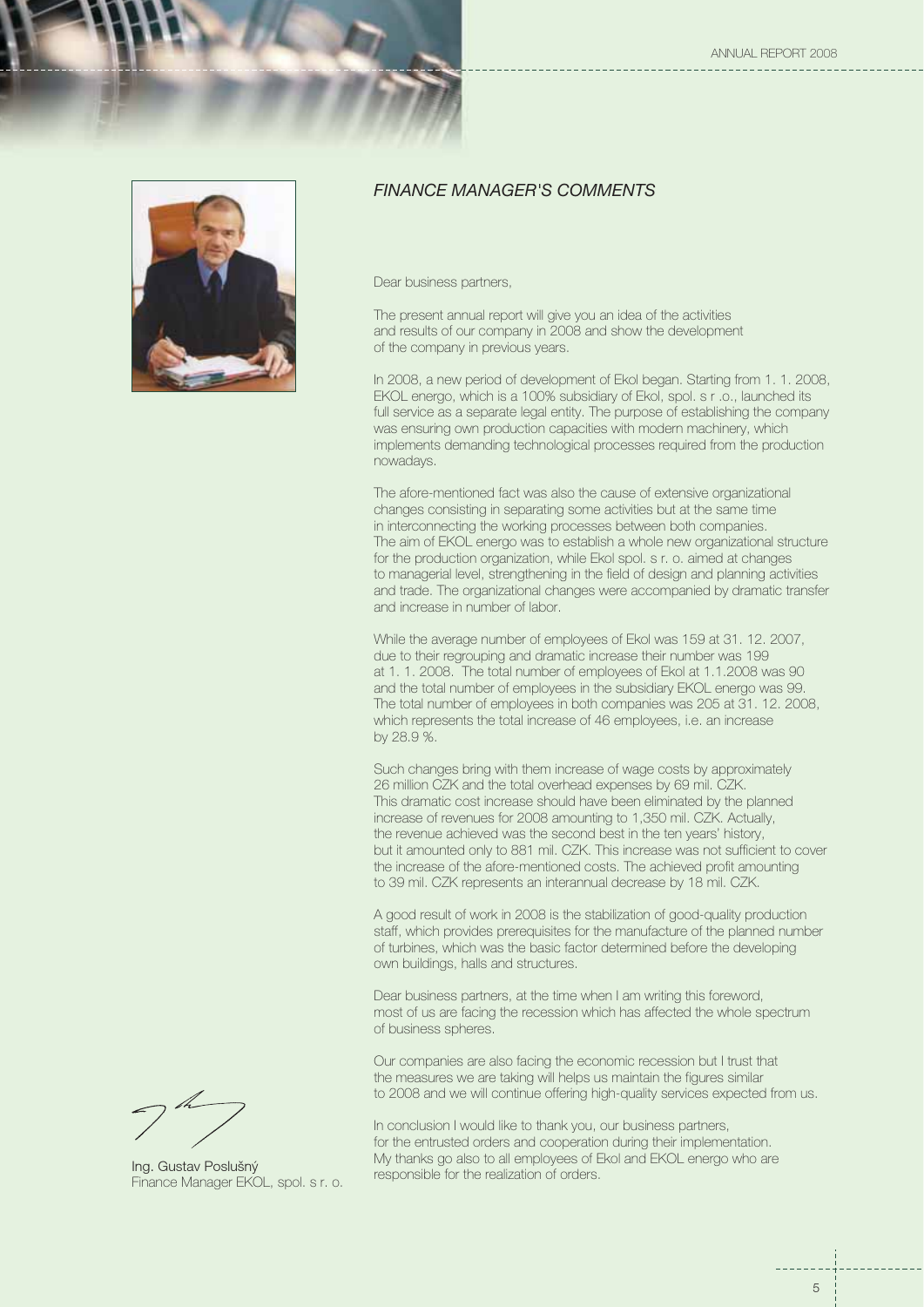



## *FINANCE MANAGER'S COMMENTS*

Dear business partners,

The present annual report will give you an idea of the activities and results of our company in 2008 and show the development of the company in previous years.

In 2008, a new period of development of Ekol began. Starting from 1. 1. 2008, EKOL energo, which is a 100% subsidiary of Ekol, spol. s r .o., launched its full service as a separate legal entity. The purpose of establishing the company was ensuring own production capacities with modern machinery, which implements demanding technological processes required from the production nowadays.

The afore-mentioned fact was also the cause of extensive organizational changes consisting in separating some activities but at the same time in interconnecting the working processes between both companies. The aim of EKOL energo was to establish a whole new organizational structure for the production organization, while Ekol spol. s r. o. aimed at changes to managerial level, strengthening in the field of design and planning activities and trade. The organizational changes were accompanied by dramatic transfer and increase in number of labor.

While the average number of employees of Ekol was 159 at 31. 12. 2007, due to their regrouping and dramatic increase their number was 199 at 1. 1. 2008. The total number of employees of Ekol at 1.1.2008 was 90 and the total number of employees in the subsidiary EKOL energo was 99. The total number of employees in both companies was 205 at 31. 12. 2008, which represents the total increase of 46 employees, i.e. an increase by 28.9 %.

Such changes bring with them increase of wage costs by approximately 26 million CZK and the total overhead expenses by 69 mil. CZK. This dramatic cost increase should have been eliminated by the planned increase of revenues for 2008 amounting to 1,350 mil. CZK. Actually, the revenue achieved was the second best in the ten years' history, but it amounted only to 881 mil. CZK. This increase was not sufficient to cover the increase of the afore-mentioned costs. The achieved profit amounting to 39 mil. CZK represents an interannual decrease by 18 mil. CZK.

A good result of work in 2008 is the stabilization of good-quality production staff, which provides prerequisites for the manufacture of the planned number of turbines, which was the basic factor determined before the developing own buildings, halls and structures.

Dear business partners, at the time when I am writing this foreword, most of us are facing the recession which has affected the whole spectrum of business spheres.

Our companies are also facing the economic recession but I trust that the measures we are taking will helps us maintain the figures similar to 2008 and we will continue offering high-quality services expected from us.

In conclusion I would like to thank you, our business partners, for the entrusted orders and cooperation during their implementation. My thanks go also to all employees of Ekol and EKOL energo who are responsible for the realization of orders.

Ing. Gustav Poslušný Finance Manager EKOL, spol. s r. o.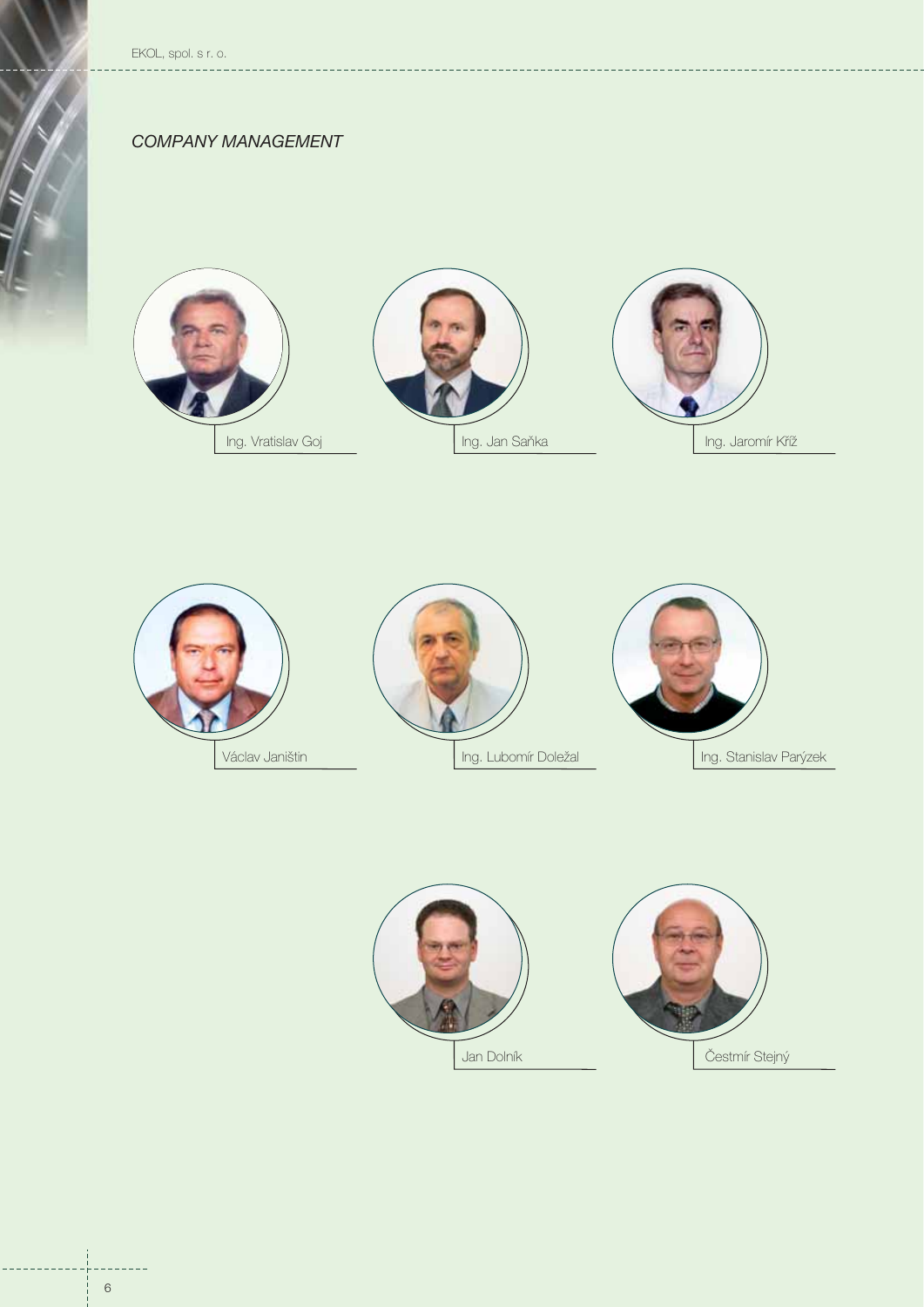EKOL, spol. s r. o.

## *COMPANY MANAGEMENT*







 $---$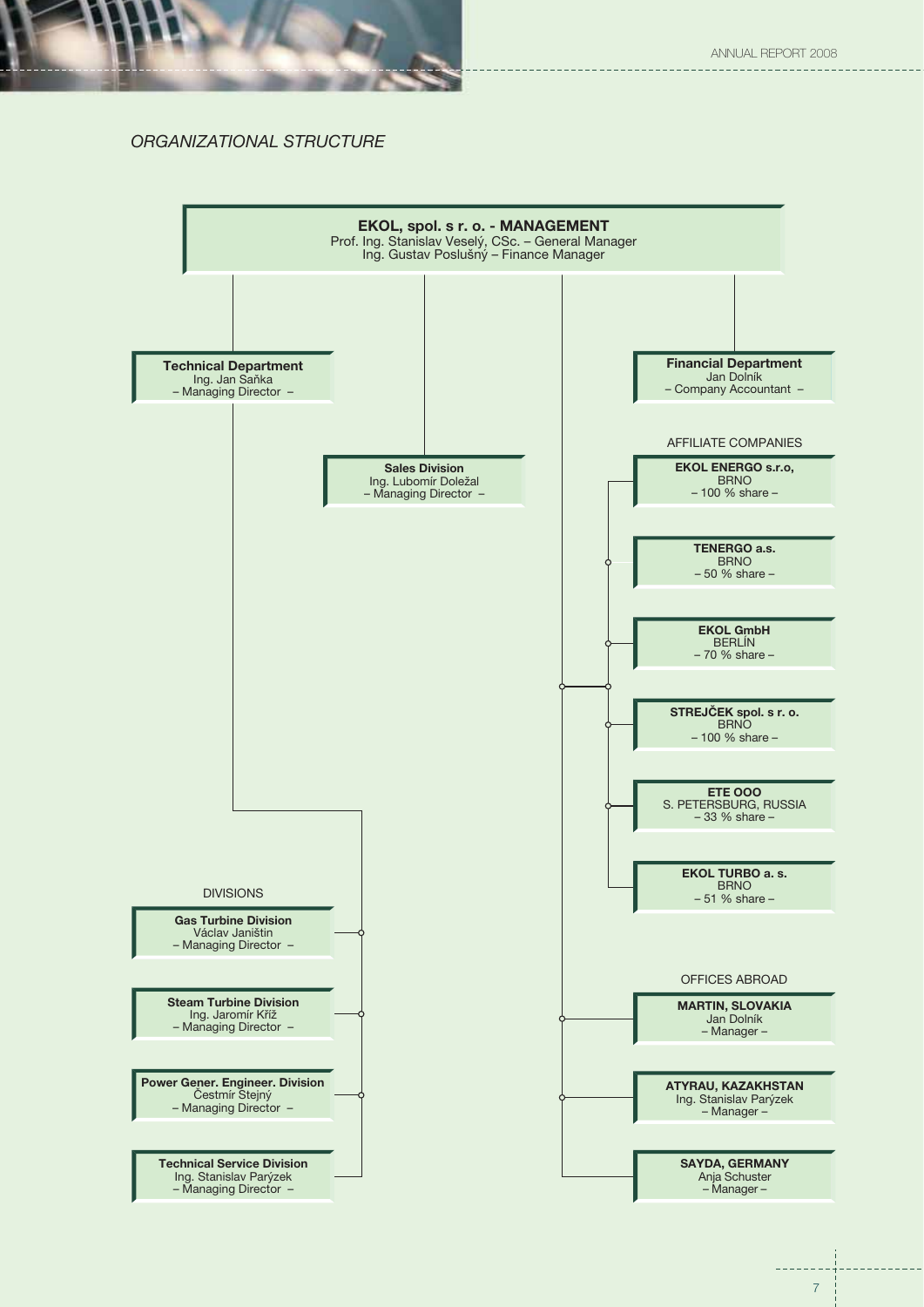

## *ORGANIZATIONAL STRUCTURE*

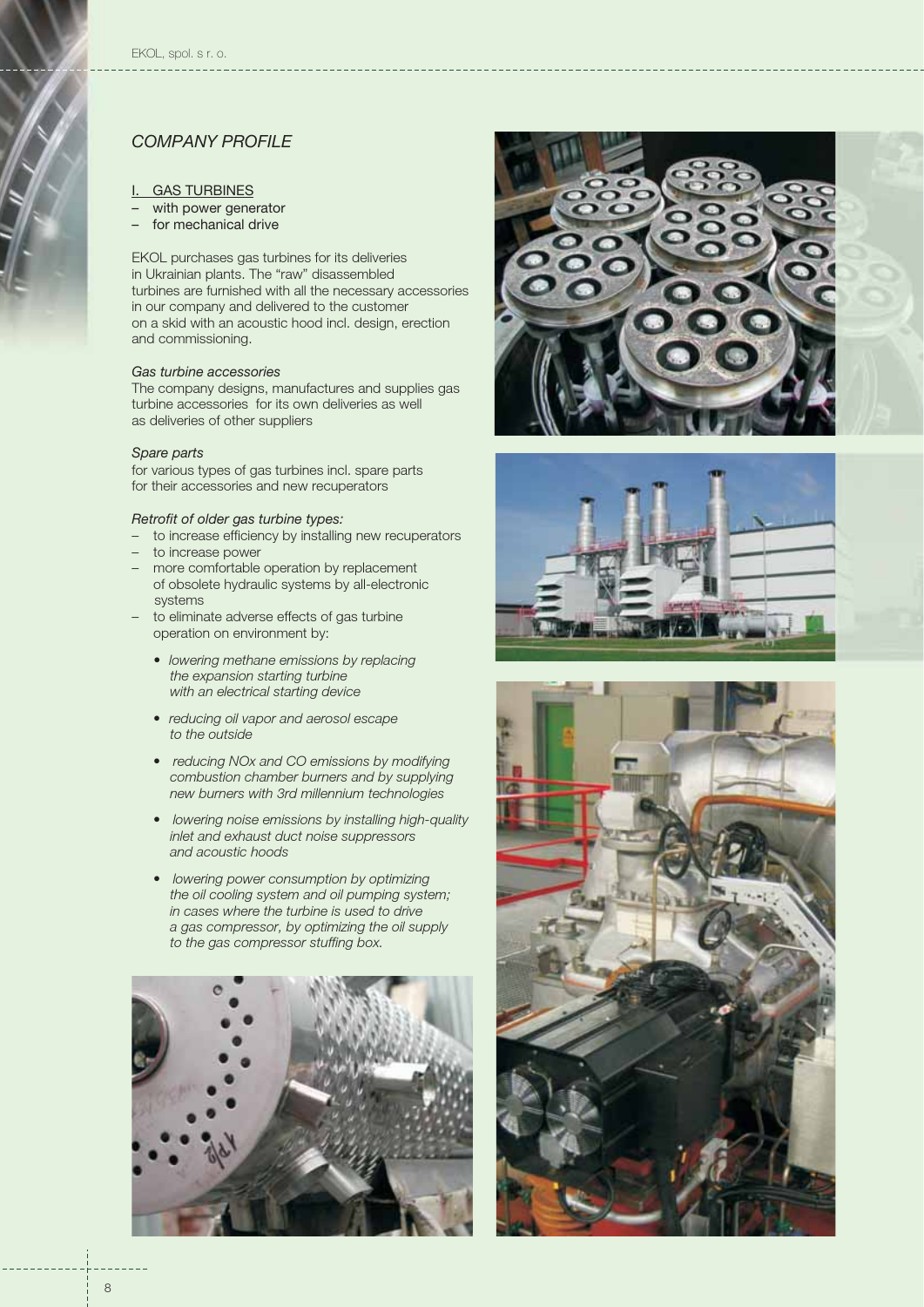#### I. GAS TURBINES

- with power generator
- for mechanical drive

EKOL purchases gas turbines for its deliveries in Ukrainian plants. The "raw" disassembled turbines are furnished with all the necessary accessories in our company and delivered to the customer on a skid with an acoustic hood incl. design, erection and commissioning.

#### *Gas turbine accessories*

The company designs, manufactures and supplies gas turbine accessories for its own deliveries as well as deliveries of other suppliers

#### *Spare parts*

for various types of gas turbines incl. spare parts for their accessories and new recuperators

#### *Retrofit of older gas turbine types:*

- to increase efficiency by installing new recuperators
- to increase power
- more comfortable operation by replacement of obsolete hydraulic systems by all-electronic systems
- to eliminate adverse effects of gas turbine operation on environment by:
	- *lowering methane emissions by replacing the expansion starting turbine with an electrical starting device*
	- *reducing oil vapor and aerosol escape to the outside*
	- *reducing NOx and CO emissions by modifying combustion chamber burners and by supplying new burners with 3rd millennium technologies*
	- *lowering noise emissions by installing high-quality inlet and exhaust duct noise suppressors and acoustic hoods*
	- *lowering power consumption by optimizing the oil cooling system and oil pumping system; in cases where the turbine is used to drive a gas compressor, by optimizing the oil supply to the gas compressor stuffing box.*







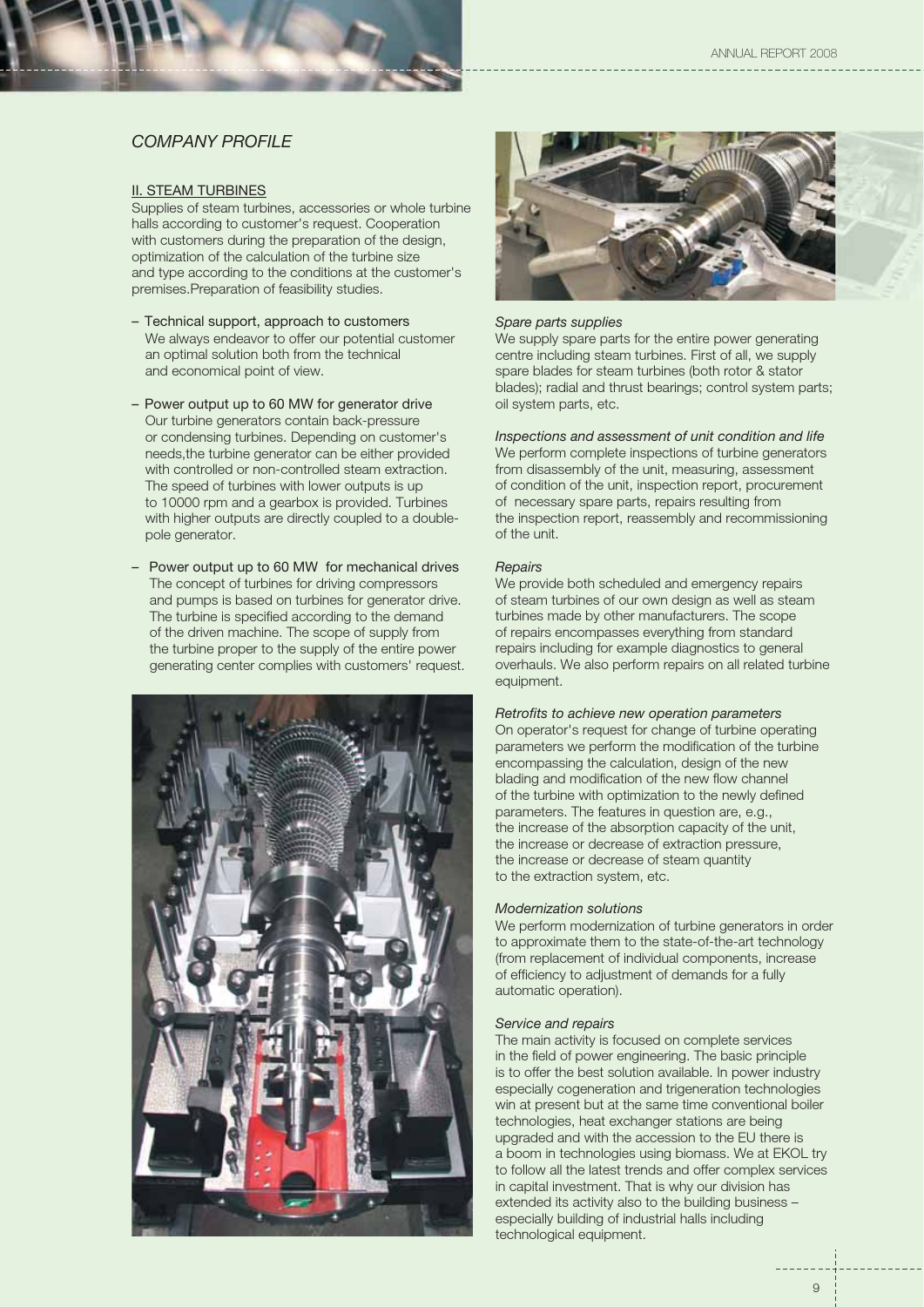#### **II. STEAM TURBINES**

Supplies of steam turbines, accessories or whole turbine halls according to customer's request. Cooperation with customers during the preparation of the design, optimization of the calculation of the turbine size and type according to the conditions at the customer's premises.Preparation of feasibility studies.

- We always endeavor to offer our potential customer an optimal solution both from the technical and economical point of view. – Technical support, approach to customers
- Our turbine generators contain back-pressure or condensing turbines. Depending on customer's needs,the turbine generator can be either provided with controlled or non-controlled steam extraction. The speed of turbines with lower outputs is up to 10000 rpm and a gearbox is provided. Turbines with higher outputs are directly coupled to a doublepole generator. – Power output up to 60 MW for generator drive
- The concept of turbines for driving compressors and pumps is based on turbines for generator drive. The turbine is specified according to the demand of the driven machine. The scope of supply from the turbine proper to the supply of the entire power generating center complies with customers' request. – Power output up to 60 MW for mechanical drives





#### *Spare parts supplies*

We supply spare parts for the entire power generating centre including steam turbines. First of all, we supply spare blades for steam turbines (both rotor & stator blades); radial and thrust bearings; control system parts; oil system parts, etc.

*Inspections and assessment of unit condition and life* We perform complete inspections of turbine generators from disassembly of the unit, measuring, assessment of condition of the unit, inspection report, procurement of necessary spare parts, repairs resulting from the inspection report, reassembly and recommissioning of the unit.

#### *Repairs*

We provide both scheduled and emergency repairs of steam turbines of our own design as well as steam turbines made by other manufacturers. The scope of repairs encompasses everything from standard repairs including for example diagnostics to general overhauls. We also perform repairs on all related turbine equipment.

#### *Retrofits to achieve new operation parameters*

On operator's request for change of turbine operating parameters we perform the modification of the turbine encompassing the calculation, design of the new blading and modification of the new flow channel of the turbine with optimization to the newly defined parameters. The features in question are, e.g., the increase of the absorption capacity of the unit, the increase or decrease of extraction pressure, the increase or decrease of steam quantity to the extraction system, etc.

#### *Modernization solutions*

We perform modernization of turbine generators in order to approximate them to the state-of-the-art technology (from replacement of individual components, increase of efficiency to adjustment of demands for a fully automatic operation).

#### *Service and repairs*

The main activity is focused on complete services in the field of power engineering. The basic principle is to offer the best solution available. In power industry especially cogeneration and trigeneration technologies win at present but at the same time conventional boiler technologies, heat exchanger stations are being upgraded and with the accession to the EU there is a boom in technologies using biomass. We at EKOL try to follow all the latest trends and offer complex services in capital investment. That is why our division has extended its activity also to the building business – especially building of industrial halls including technological equipment.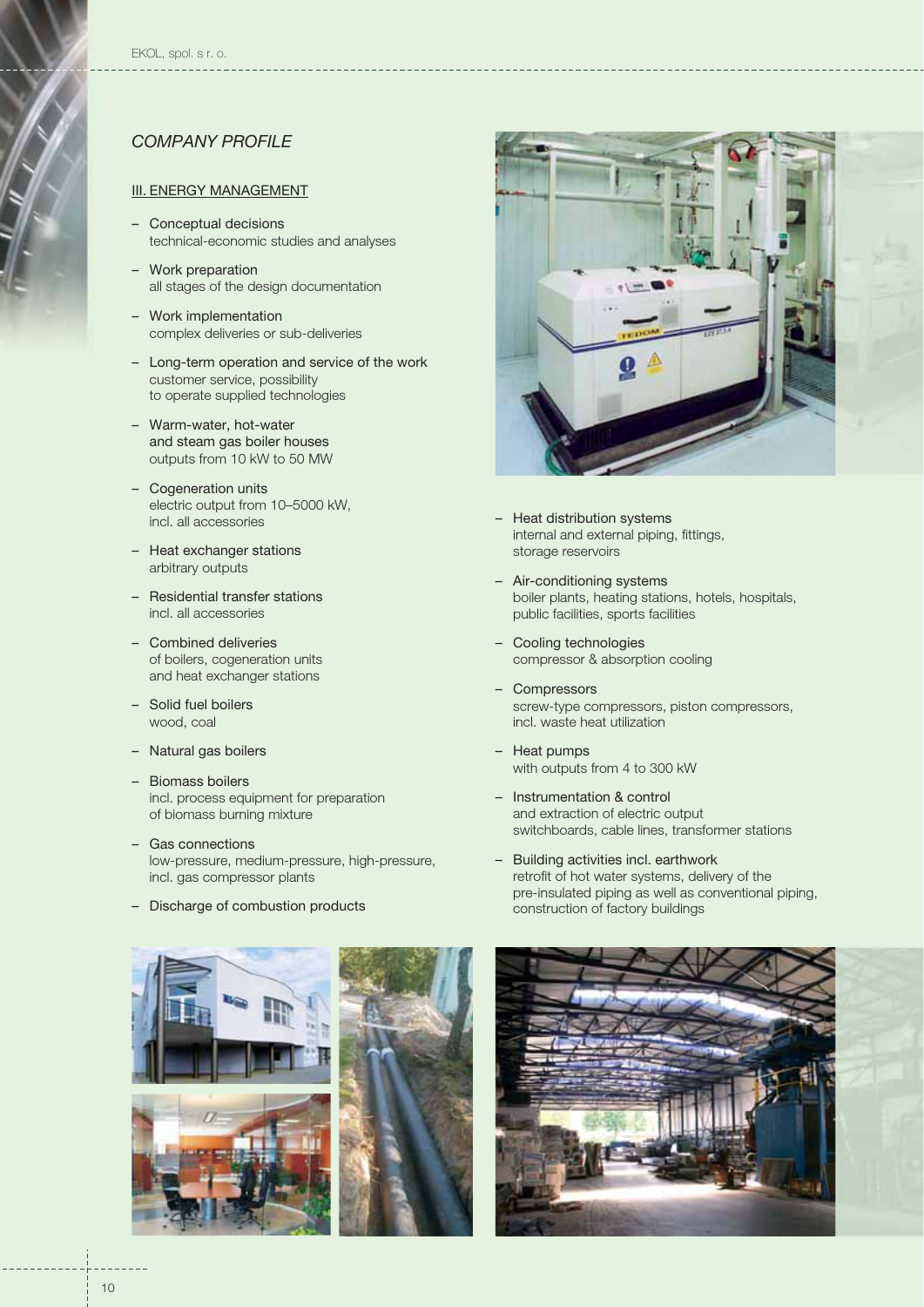#### III. ENERGY MANAGEMENT

- Conceptual decisions technical-economic studies and analyses
- Work preparation all stages of the design documentation
- Work implementation complex deliveries or sub-deliveries
- Long-term operation and service of the work customer service, possibility to operate supplied technologies
- Warm-water, hot-water and steam gas boiler houses outputs from 10 kW to 50 MW
- Cogeneration units electric output from 10–5000 kW, incl. all accessories
- Heat exchanger stations arbitrary outputs
- Residential transfer stations incl. all accessories
- Combined deliveries of boilers, cogeneration units and heat exchanger stations
- Solid fuel boilers wood, coal
- Natural gas boilers
- Biomass boilers incl. process equipment for preparation of biomass burning mixture
- Gas connections low-pressure, medium-pressure, high-pressure, incl. gas compressor plants
- Discharge of combustion products



– Heat distribution systems internal and external piping, fittings, storage reservoirs

- Air-conditioning systems boiler plants, heating stations, hotels, hospitals, public facilities, sports facilities
- Cooling technologies compressor & absorption cooling
- Compressors screw-type compressors, piston compressors, incl. waste heat utilization
- Heat pumps with outputs from 4 to 300 kW
- Instrumentation & control and extraction of electric output switchboards, cable lines, transformer stations
- Building activities incl. earthwork retrofit of hot water systems, delivery of the pre-insulated piping as well as conventional piping, construction of factory buildings





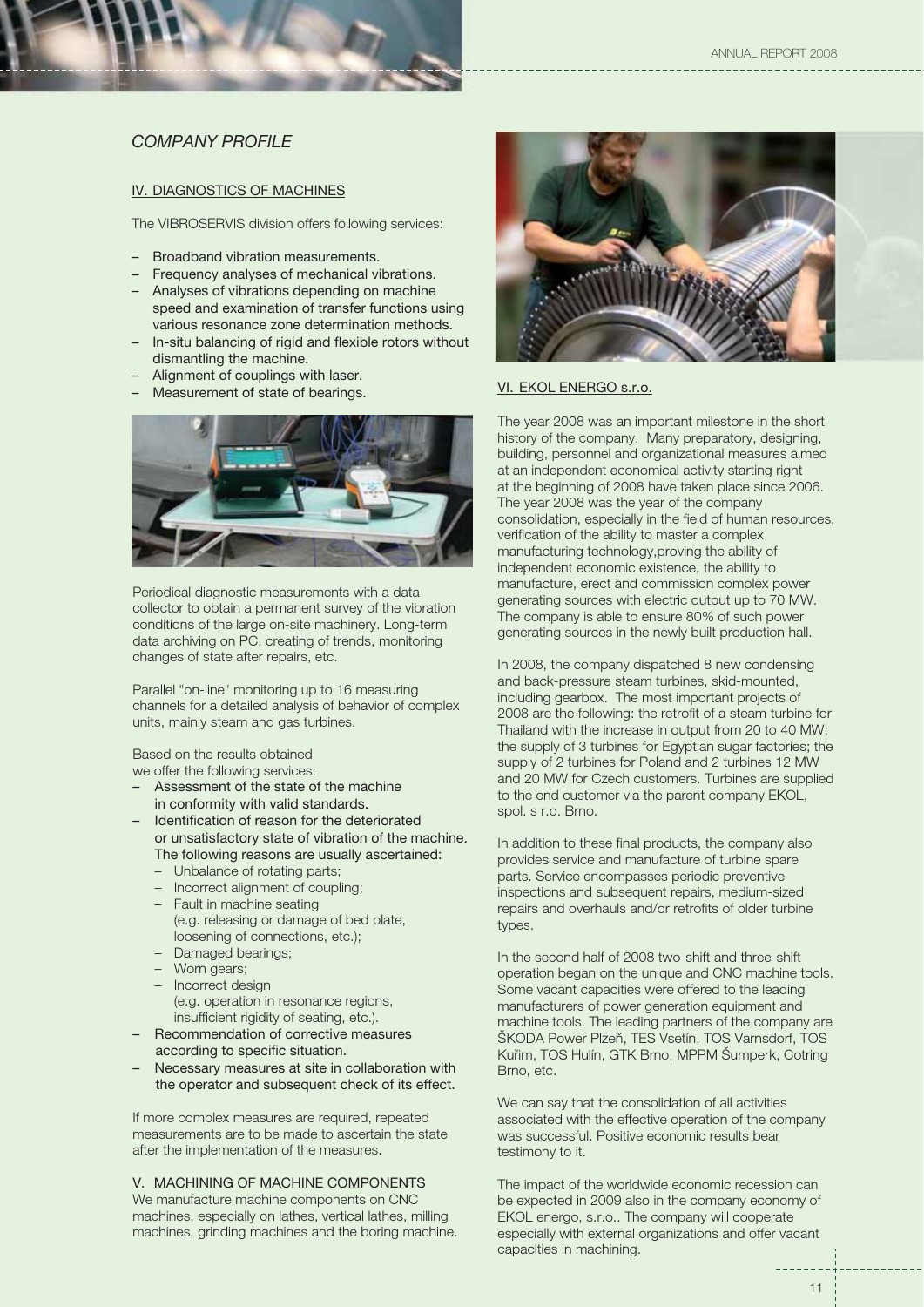#### IV. DIAGNOSTICS OF MACHINES

The VIBROSERVIS division offers following services:

- Broadband vibration measurements.
- Frequency analyses of mechanical vibrations.
- Analyses of vibrations depending on machine speed and examination of transfer functions using various resonance zone determination methods.
- In-situ balancing of rigid and flexible rotors without dismantling the machine.
- Alignment of couplings with laser. –
- Measurement of state of bearings. –



Periodical diagnostic measurements with a data collector to obtain a permanent survey of the vibration conditions of the large on-site machinery. Long-term data archiving on PC, creating of trends, monitoring changes of state after repairs, etc.

Parallel "on-line" monitoring up to 16 measuring channels for a detailed analysis of behavior of complex units, mainly steam and gas turbines.

Based on the results obtained we offer the following services:

- Assessment of the state of the machine in conformity with valid standards.
- Identification of reason for the deteriorated or unsatisfactory state of vibration of the machine. The following reasons are usually ascertained: –
	- Unbalance of rotating parts;
	- Incorrect alignment of coupling;
	- Fault in machine seating (e.g. releasing or damage of bed plate, loosening of connections, etc.);
	- Damaged bearings;
	- Worn gears; –
	- Incorrect design (e.g. operation in resonance regions, insufficient rigidity of seating, etc.).
- Recommendation of corrective measures according to specific situation.
- Necessary measures at site in collaboration with the operator and subsequent check of its effect.

If more complex measures are required, repeated measurements are to be made to ascertain the state after the implementation of the measures.

### V. MACHINING OF MACHINE COMPONENTS

We manufacture machine components on CNC machines, especially on lathes, vertical lathes, milling machines, grinding machines and the boring machine.



#### VI. EKOL ENERGO s.r.o.

The year 2008 was an important milestone in the short history of the company. Many preparatory, designing, building, personnel and organizational measures aimed at an independent economical activity starting right at the beginning of 2008 have taken place since 2006. The year 2008 was the year of the company consolidation, especially in the field of human resources, verification of the ability to master a complex manufacturing technology,proving the ability of independent economic existence, the ability to manufacture, erect and commission complex power generating sources with electric output up to 70 MW. The company is able to ensure 80% of such power generating sources in the newly built production hall.

In 2008, the company dispatched 8 new condensing and back-pressure steam turbines, skid-mounted, including gearbox. The most important projects of 2008 are the following: the retrofit of a steam turbine for Thailand with the increase in output from 20 to 40 MW; the supply of 3 turbines for Egyptian sugar factories; the supply of 2 turbines for Poland and 2 turbines 12 MW and 20 MW for Czech customers. Turbines are supplied to the end customer via the parent company EKOL, spol. s r.o. Brno.

In addition to these final products, the company also provides service and manufacture of turbine spare parts. Service encompasses periodic preventive inspections and subsequent repairs, medium-sized repairs and overhauls and/or retrofits of older turbine types.

In the second half of 2008 two-shift and three-shift operation began on the unique and CNC machine tools. Some vacant capacities were offered to the leading manufacturers of power generation equipment and machine tools. The leading partners of the company are ŠKODA Power Plzeň, TES Vsetín, TOS Varnsdorf, TOS Kuřim, TOS Hulín, GTK Brno, MPPM Šumperk, Cotring Brno, etc.

We can say that the consolidation of all activities associated with the effective operation of the company was successful. Positive economic results bear testimony to it.

The impact of the worldwide economic recession can be expected in 2009 also in the company economy of EKOL energo, s.r.o.. The company will cooperate especially with external organizations and offer vacant capacities in machining.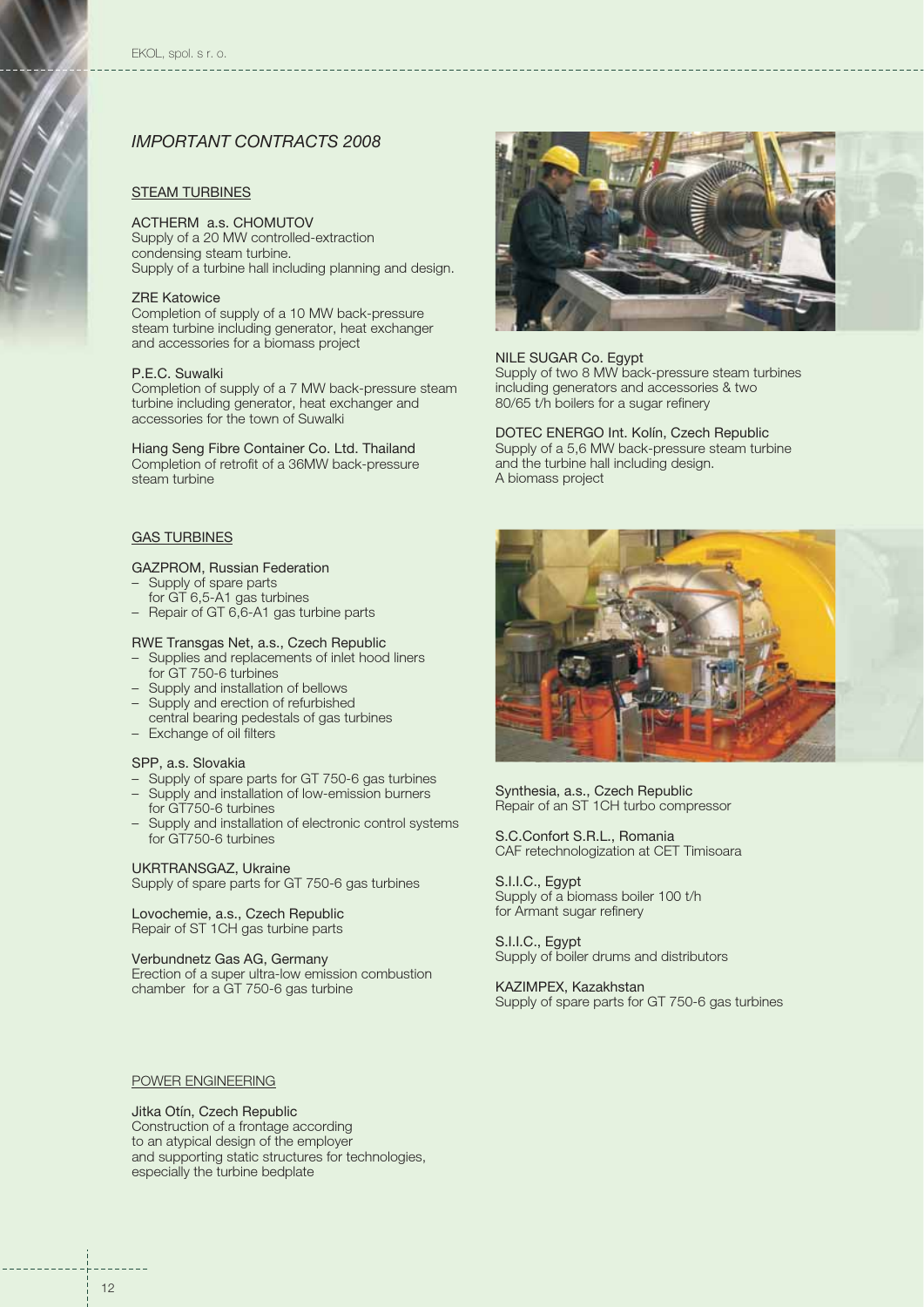## *IMPORTANT CONTRACTS 2008*

#### STEAM TURBINES

#### ACTHERM a.s. CHOMUTOV

Supply of a 20 MW controlled-extraction condensing steam turbine. Supply of a turbine hall including planning and design.

#### ZRE Katowice

Completion of supply of a 10 MW back-pressure steam turbine including generator, heat exchanger and accessories for a biomass project

#### P.E.C. Suwalki

Completion of supply of a 7 MW back-pressure steam turbine including generator, heat exchanger and accessories for the town of Suwalki

Hiang Seng Fibre Container Co. Ltd. Thailand Completion of retrofit of a 36MW back-pressure steam turbine

#### GAS TURBINES

#### GAZPROM, Russian Federation

- Supply of spare parts
- for GT 6,5-A1 gas turbines
- Repair of GT 6,6-A1 gas turbine parts

#### RWE Transgas Net, a.s., Czech Republic

- Supplies and replacements of inlet hood liners for GT 750-6 turbines
- Supply and installation of bellows
- Supply and erection of refurbished
- central bearing pedestals of gas turbines – Exchange of oil filters

#### SPP, a.s. Slovakia

- Supply of spare parts for GT 750-6 gas turbines
- Supply and installation of low-emission burners for GT750-6 turbines
- Supply and installation of electronic control systems for GT750-6 turbines

#### UKRTRANSGAZ, Ukraine

Supply of spare parts for GT 750-6 gas turbines

Lovochemie, a.s., Czech Republic Repair of ST 1CH gas turbine parts

#### Verbundnetz Gas AG, Germany

Erection of a super ultra-low emission combustion chamber for a GT 750-6 gas turbine



## NILE SUGAR Co. Egypt

Supply of two 8 MW back-pressure steam turbines including generators and accessories & two 80/65 t/h boilers for a sugar refinery

DOTEC ENERGO Int. Kolín, Czech Republic Supply of a 5,6 MW back-pressure steam turbine and the turbine hall including design. A biomass project



Synthesia, a.s., Czech Republic Repair of an ST 1CH turbo compressor

S.C.Confort S.R.L., Romania CAF retechnologization at CET Timisoara

S.I.I.C., Egypt Supply of a biomass boiler 100 t/h for Armant sugar refinery

S.I.I.C., Egypt Supply of boiler drums and distributors

KAZIMPEX, Kazakhstan Supply of spare parts for GT 750-6 gas turbines

#### POWER ENGINEERING

Jitka Otín, Czech Republic Construction of a frontage according to an atypical design of the employer

and supporting static structures for technologies, especially the turbine bedplate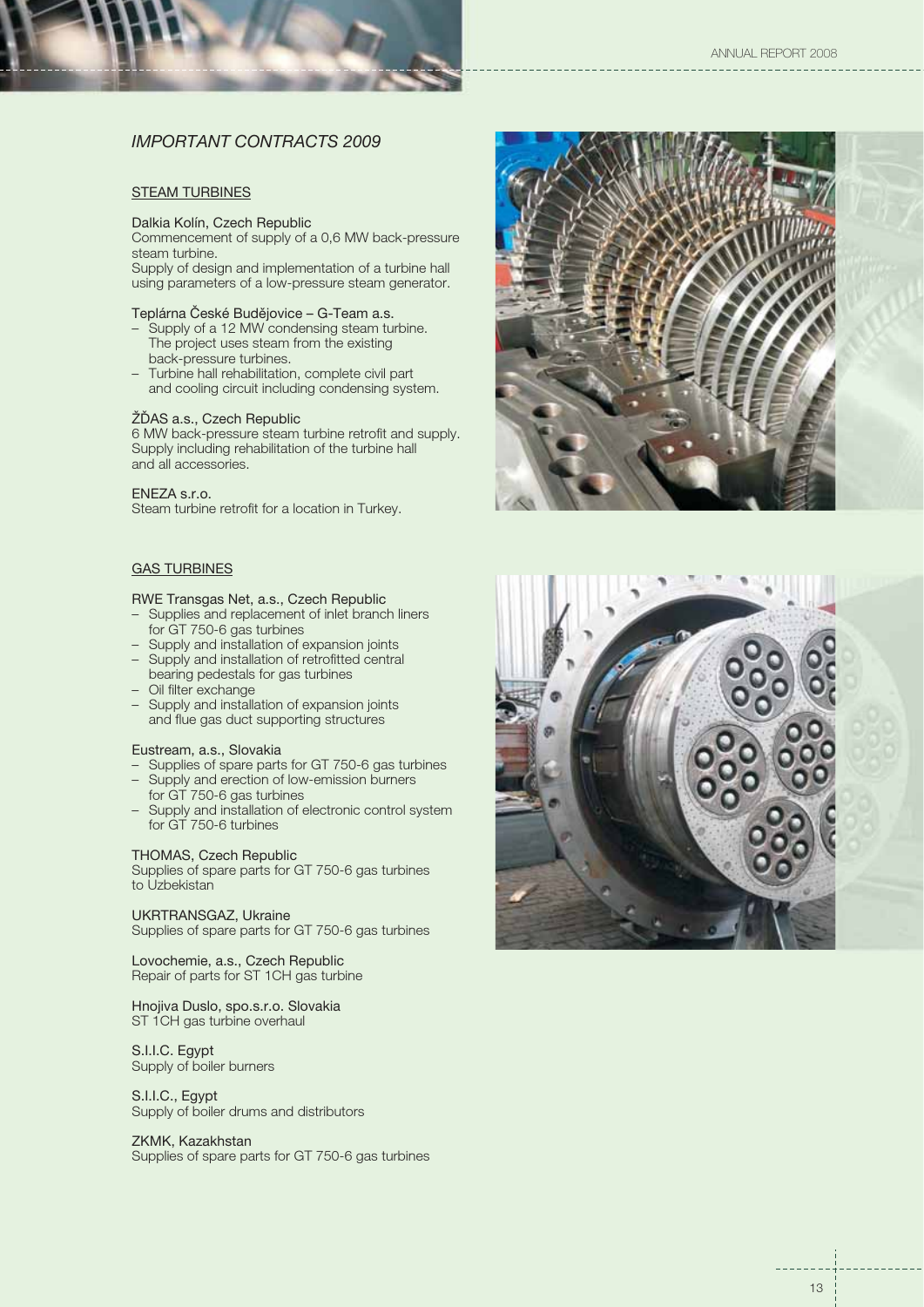## *IMPORTANT CONTRACTS 2009*

#### **STEAM TURBINES**

#### Dalkia Kolín, Czech Republic

Commencement of supply of a 0,6 MW back-pressure steam turbine.

Supply of design and implementation of a turbine hall using parameters of a low-pressure steam generator.

#### Teplárna České Budějovice – G-Team a.s.

- Supply of a 12 MW condensing steam turbine. The project uses steam from the existing back-pressure turbines.
- Turbine hall rehabilitation, complete civil part and cooling circuit including condensing system.

#### ŽĎAS a.s., Czech Republic

6 MW back-pressure steam turbine retrofit and supply. Supply including rehabilitation of the turbine hall and all accessories.

#### ENEZA s.r.o.

Steam turbine retrofit for a location in Turkey.

## GAS TURBINES

#### RWE Transgas Net, a.s., Czech Republic

- Supplies and replacement of inlet branch liners for GT 750-6 gas turbines
- Supply and installation of expansion joints
- Supply and installation of retrofitted central bearing pedestals for gas turbines
- Oil filter exchange
- Supply and installation of expansion joints and flue gas duct supporting structures

#### Eustream, a.s., Slovakia

- Supplies of spare parts for GT 750-6 gas turbines
- Supply and erection of low-emission burners for GT 750-6 gas turbines
- Supply and installation of electronic control system for GT 750-6 turbines

#### THOMAS, Czech Republic

Supplies of spare parts for GT 750-6 gas turbines to Uzbekistan

#### UKRTRANSGAZ, Ukraine

Supplies of spare parts for GT 750-6 gas turbines

Lovochemie, a.s., Czech Republic Repair of parts for ST 1CH gas turbine

#### Hnojiva Duslo, spo.s.r.o. Slovakia ST 1CH gas turbine overhaul

S.I.I.C. Egypt Supply of boiler burners

S.I.I.C., Egypt Supply of boiler drums and distributors

#### ZKMK, Kazakhstan

Supplies of spare parts for GT 750-6 gas turbines



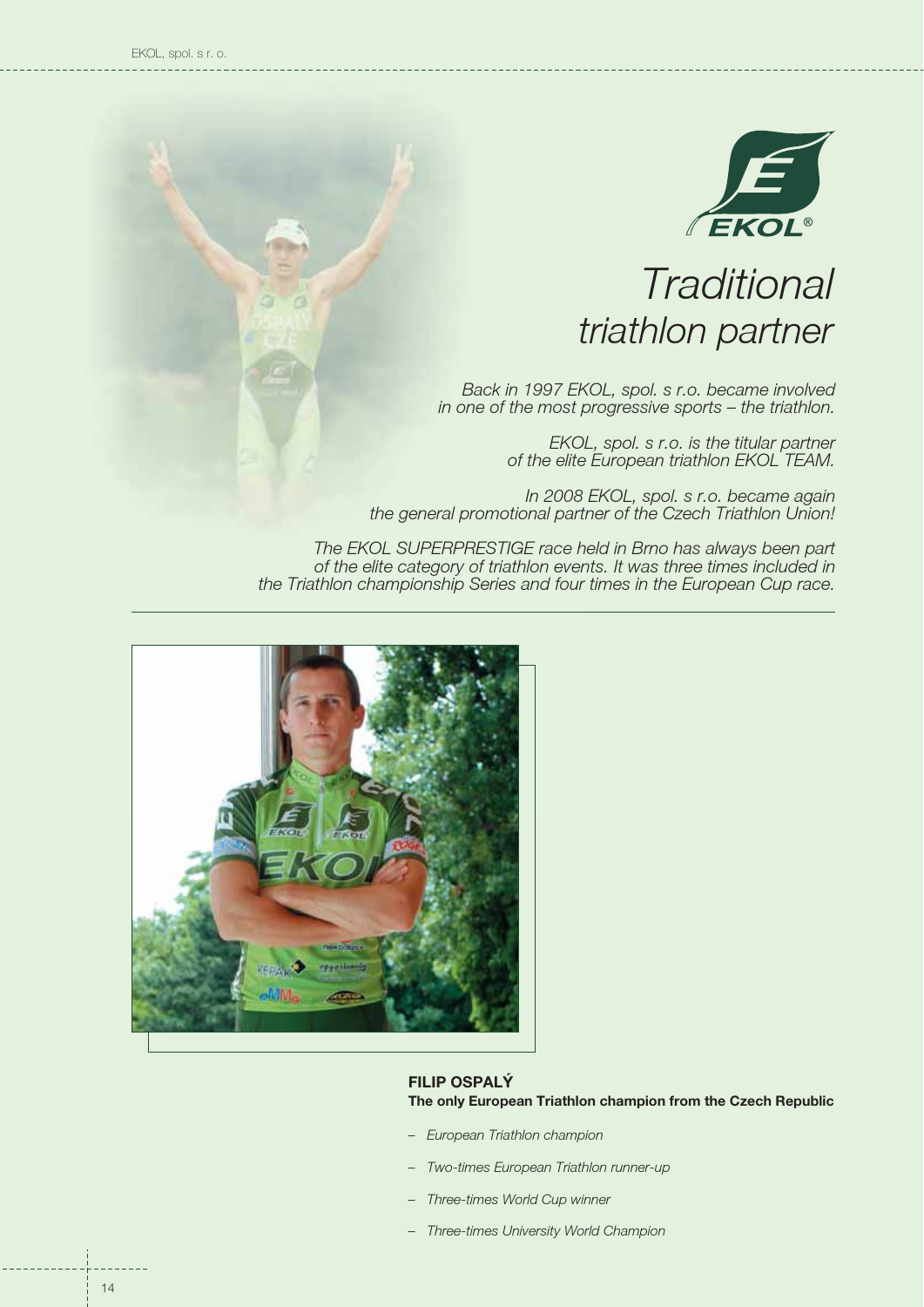

# *Traditional triathlon partner*

*Back in 1997 EKOL, spol. s r.o. became involved in one of the most progressive sports – the triathlon.*

> *EKOL, spol. s r.o. is the titular partner of the elite European triathlon EKOL TEAM.*

*In 2008 EKOL, spol. s r.o. became again the general promotional partner of the Czech Triathlon Union!*

*The EKOL SUPERPRESTIGE race held in Brno has always been part of the elite category of triathlon events. It was three times included in the Triathlon championship Series and four times in the European Cup race.*



## **FILIP OSPALÝ The only European Triathlon champion from the Czech Republic**

- *European Triathlon champion*
- *Two-times European Triathlon runner-up –*
- *Three-times World Cup winner –*
- *Three-times University World Champion –*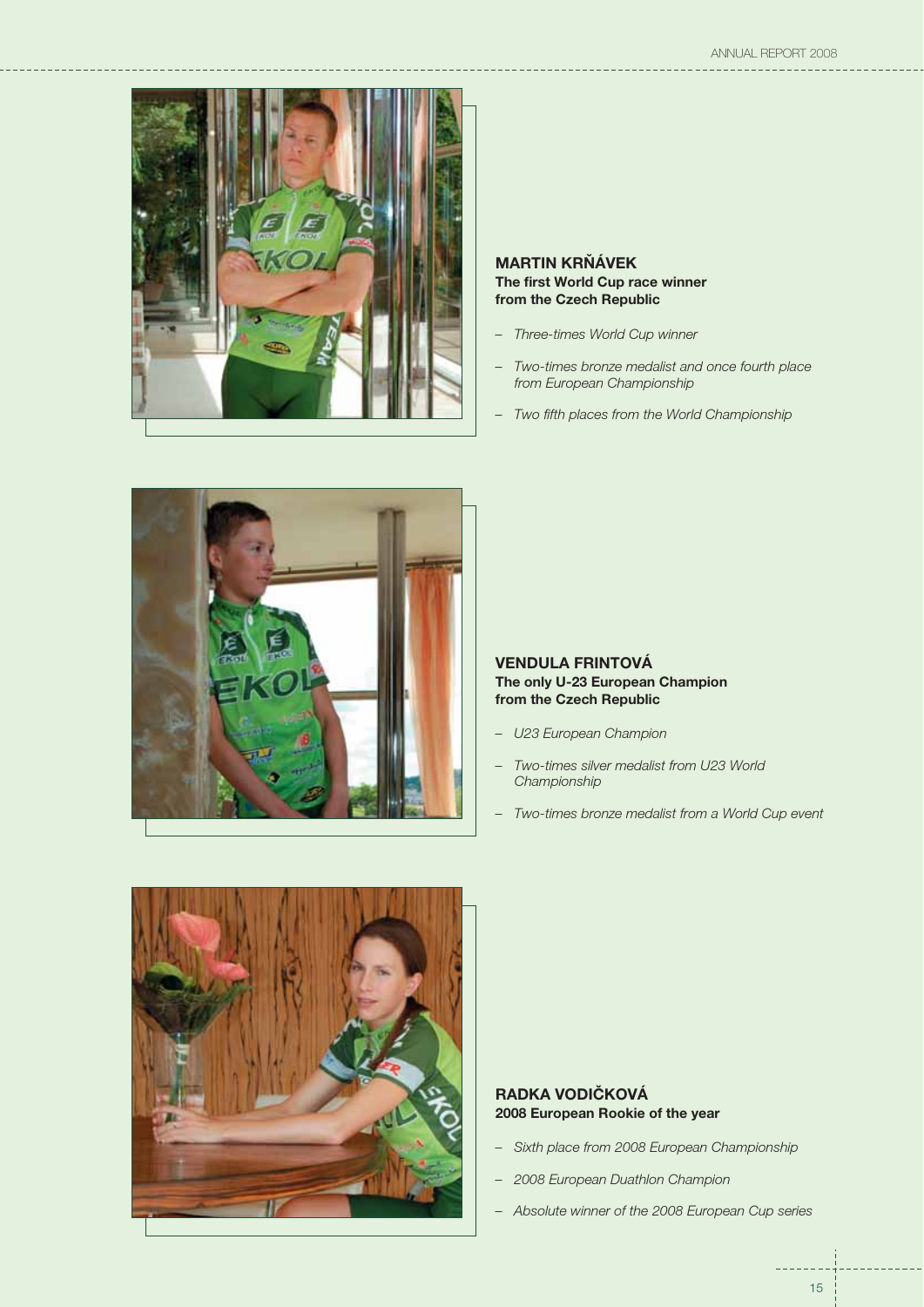

## **MARTIN KRŇÁVEK The first World Cup race winner from the Czech Republic**

- *Three-times World Cup winner*
- *Two-times bronze medalist and once fourth place from European Championship –*
- *Two fifth places from the World Championship –*



## **VENDULA FRINTOVÁ The only U-23 European Champion from the Czech Republic**

- *U23 European Champion*
- *Two-times silver medalist from U23 World Championship –*
- *Two-times bronze medalist from a World Cup event –*



## **RADKA VODIČKOVÁ 2008 European Rookie of the year**

- *Sixth place from 2008 European Championship*
- *2008 European Duathlon Champion*
- *Absolute winner of the 2008 European Cup series*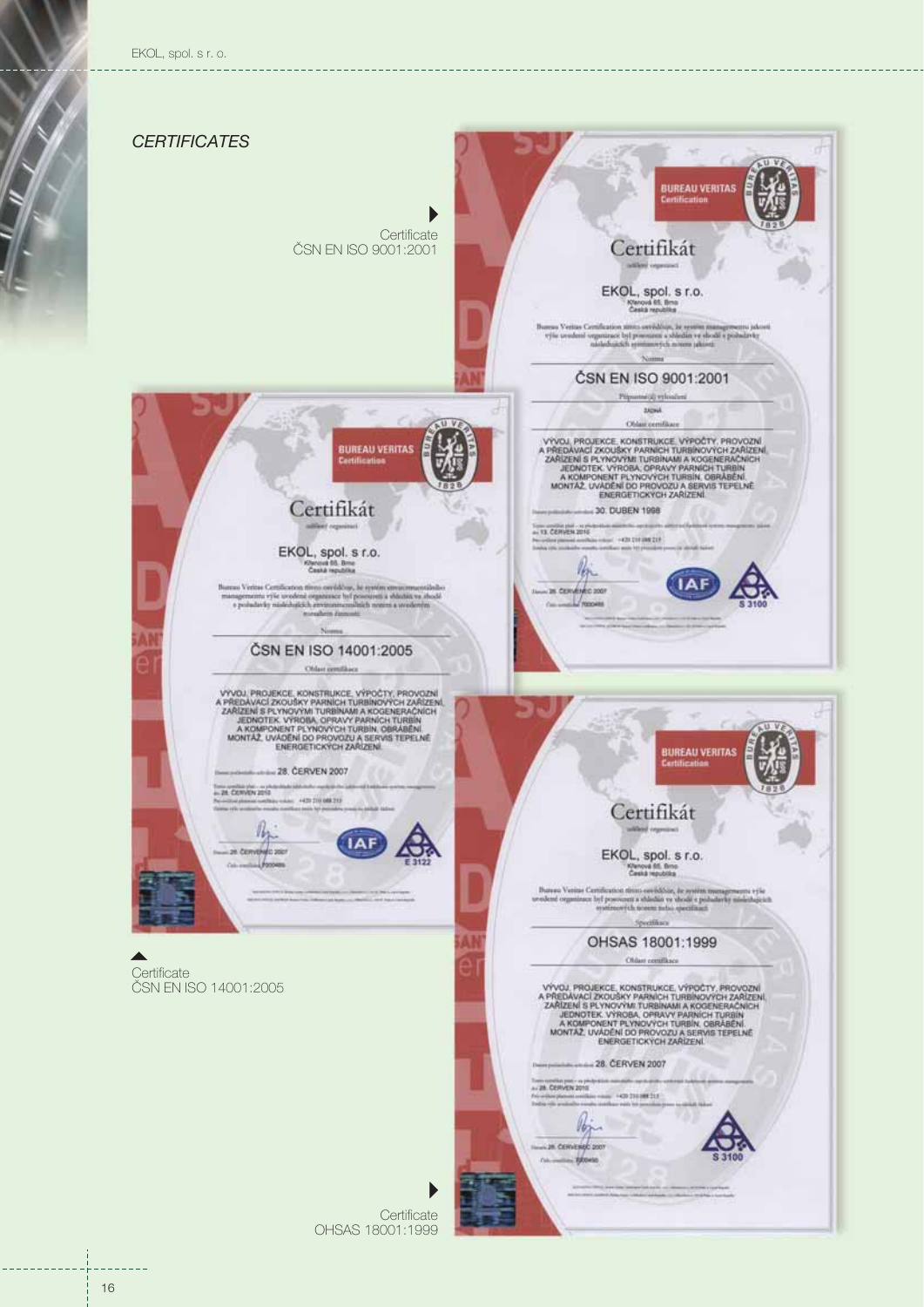EKOL, spol. s r. o.



**Certificate** OHSAS 18001:1999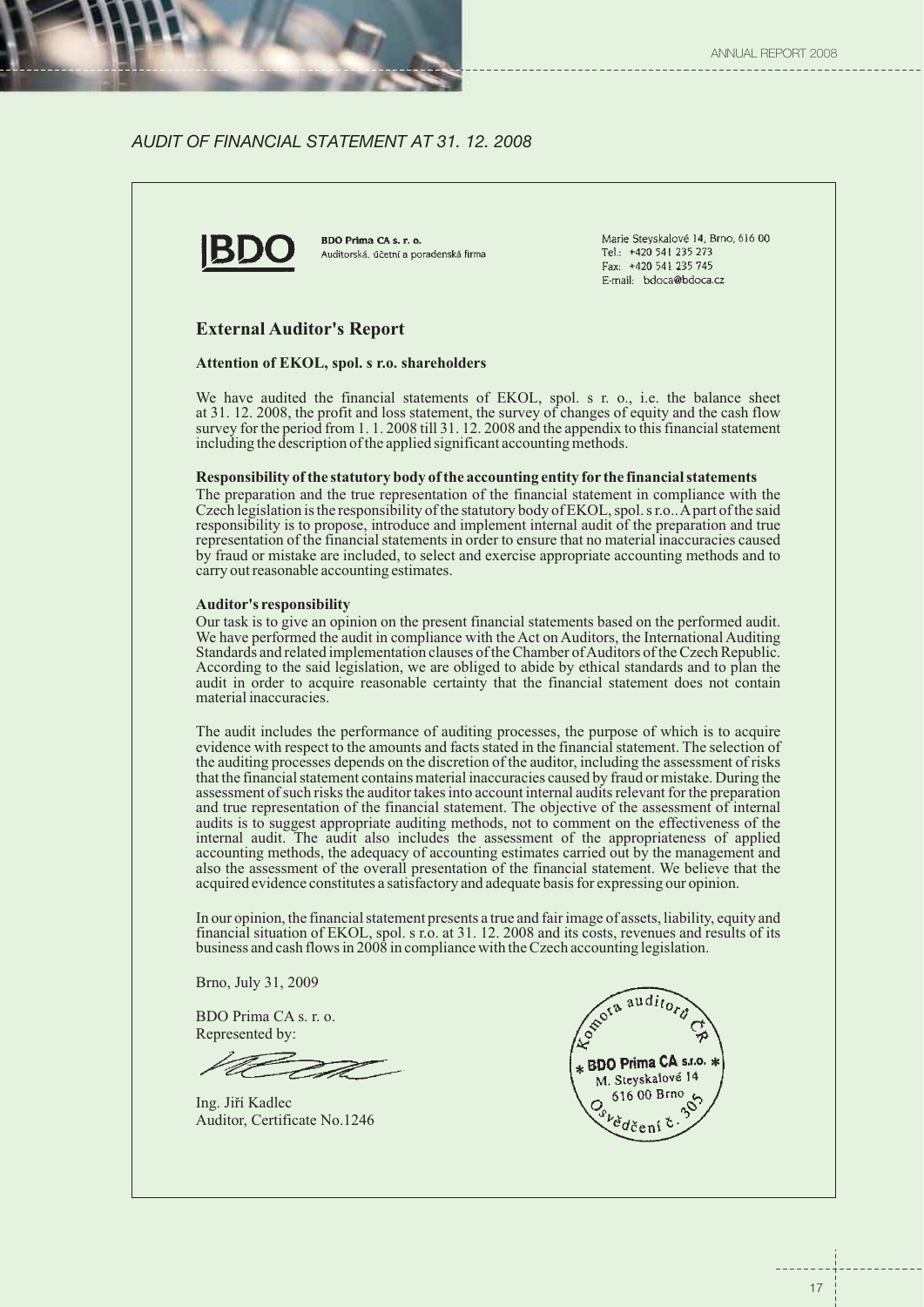## *AUDIT OF FINANCIAL STATEMENT AT 31. 12. 2008*



BDO Prima CA s. r. o. Auditorská, účetní a poradenská firma Marie Steyskalové 14, Brno, 616 00 Tel.: +420 541 235 273 Fax: +420 541 235 745 E-mail: bdoca@bdoca.cz

## **External Auditor's Report**

### **Attention of EKOL, spol. s r.o. shareholders**

We have audited the financial statements of EKOL, spol. s r. o., i.e. the balance sheet at 31. 12. 2008, the profit and loss statement, the survey of changes of equity and the cash flow survey for the period from 1.1.2008 till 31.12.2008 and the appendix to this financial statement including the description of the applied significant accounting methods.

#### **Responsibility of the statutory body of the accounting entity for the financial statements**

The preparation and the true representation of the financial statement in compliance with the Czech legislation is the responsibility of the statutory body of EKOL, spol. s r.o.. A part of the said responsibility is to propose, introduce and implement internal audit of the preparation and true representation of the financial statements in order to ensure that no material inaccuracies caused by fraud or mistake are included, to select and exercise appropriate accounting methods and to carry out reasonable accounting estimates.

#### **Auditor's responsibility**

Our task is to give an opinion on the present financial statements based on the performed audit. We have performed the audit in compliance with the Act on Auditors, the International Auditing Standards and related implementation clauses of the Chamber ofAuditors of the Czech Republic. According to the said legislation, we are obliged to abide by ethical standards and to plan the audit in order to acquire reasonable certainty that the financial statement does not contain material inaccuracies.

The audit includes the performance of auditing processes, the purpose of which is to acquire evidence with respect to the amounts and facts stated in the financial statement. The selection of the auditing processes depends on the discretion of the auditor, including the assessment of risks that the financial statement contains material inaccuracies caused by fraud or mistake. During the assessment of such risks the auditor takes into account internal audits relevant for the preparation and true representation of the financial statement. The objective of the assessment of internal audits is to suggest appropriate auditing methods, not to comment on the effectiveness of the internal audit. The audit also includes the assessment of the appropriateness of applied accounting methods, the adequacy of accounting estimates carried out by the management and also the assessment of the overall presentation of the financial statement. We believe that the acquired evidence constitutes a satisfactory and adequate basis for expressing our opinion.

In our opinion, the financial statement presents a true and fair image of assets, liability, equity and financial situation of EKOL, spol. s r.o. at 31. 12. 2008 and its costs, revenues and results of its business and cash flows in 2008 in compliance with the Czech accounting legislation.

Brno, July 31, 2009

BDO Prima CA s. r. o. Represented by:

Ing. Jiří Kadlec Auditor, Certificate No.1246

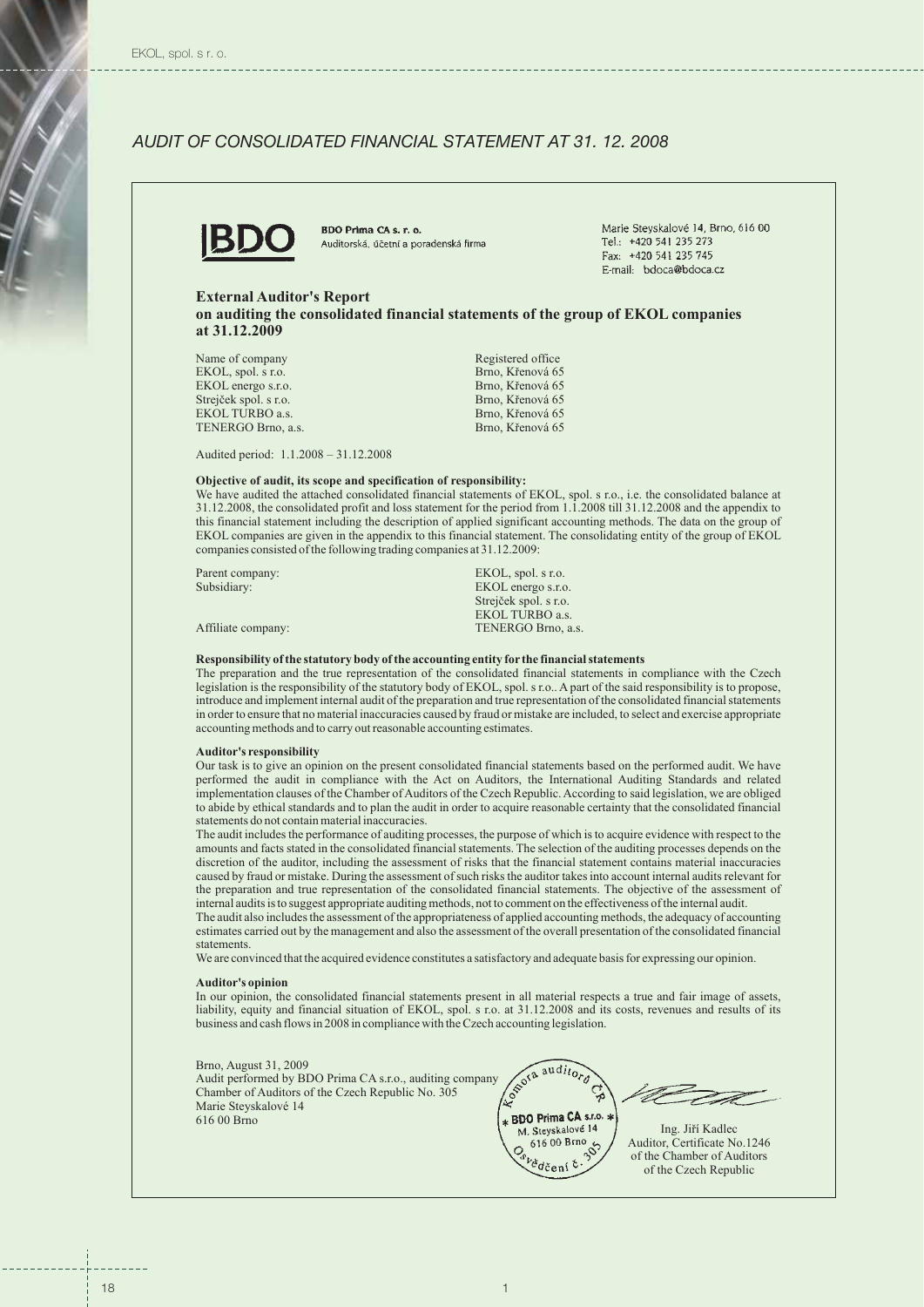## *AUDIT OF CONSOLIDATED FINANCIAL STATEMENT AT 31. 12. 2008*



BDO Prima CA s. r. o. Auditorská, účetní a poradenská firma

Marie Stevskalové 14, Brno, 616 00 Tel.: +420 541 235 273 Fax: +420 541 235 745 E-mail: bdoca@bdoca.cz

#### **External Auditor's Report**

**on auditing the consolidated financial statements of the group of EKOL companies at 31.12.2009**

| Name of company       | Registered office |
|-----------------------|-------------------|
| EKOL, spol. s r.o.    | Brno, Křenová 65  |
| EKOL energo s.r.o.    | Brno, Křenová 65  |
| Strejček spol. s r.o. | Brno, Křenová 65  |
| EKOL TURBO a.s.       | Brno, Křenová 65  |
| TENERGO Brno. a.s.    | Brno, Křenová 65  |
|                       |                   |

Audited period: 1.1.2008 – 31.12.2008

#### **Objective of audit, its scope and specification of responsibility:**

We have audited the attached consolidated financial statements of EKOL, spol. s r.o., i.e. the consolidated balance at 31.12.2008, the consolidated profit and loss statement for the period from 1.1.2008 till 31.12.2008 and the appendix to this financial statement including the description of applied significant accounting methods. The data on the group of EKOL companies are given in the appendix to this financial statement. The consolidating entity of the group of EKOL companies consisted of the following trading companies at 31.12.2009:

| Parent company:    | EKOL, spol. s r.o.    |
|--------------------|-----------------------|
| Subsidiary:        | EKOL energo s.r.o.    |
|                    | Strejček spol. s r.o. |
|                    | EKOL TURBO a.s.       |
| Affiliate company: | TENERGO Brno, a.s.    |

#### **Responsibility of the statutory body of the accounting entity for the financial statements**

The preparation and the true representation of the consolidated financial statements in compliance with the Czech legislation is the responsibility of the statutory body of EKOL, spol. s r.o.. A part of the said responsibility is to propose, introduce and implement internal audit of the preparation and true representation of the consolidated financial statements in order to ensure that no material inaccuracies caused by fraud or mistake are included, to select and exercise appropriate accounting methods and to carry out reasonable accounting estimates.

#### **Auditor's responsibility**

Our task is to give an opinion on the present consolidated financial statements based on the performed audit. We have performed the audit in compliance with the Act on Auditors, the International Auditing Standards and related implementation clauses of the Chamber of Auditors of the Czech Republic. According to said legislation, we are obliged to abide by ethical standards and to plan the audit in order to acquire reasonable certainty that the consolidated financial statements do not contain material inaccuracies.

The audit includes the performance of auditing processes, the purpose of which is to acquire evidence with respect to the amounts and facts stated in the consolidated financial statements. The selection of the auditing processes depends on the discretion of the auditor, including the assessment of risks that the financial statement contains material inaccuracies caused by fraud or mistake. During the assessment of such risks the auditor takes into account internal audits relevant for the preparation and true representation of the consolidated financial statements. The objective of the assessment of internal audits is to suggest appropriate auditing methods, not to comment on the effectiveness of the internal audit.

The audit also includes the assessment of the appropriateness of applied accounting methods, the adequacy of accounting estimates carried out by the management and also the assessment of the overall presentation of the consolidated financial statements.

We are convinced that the acquired evidence constitutes a satisfactory and adequate basis for expressing our opinion.

#### **Auditor's opinion**

In our opinion, the consolidated financial statements present in all material respects a true and fair image of assets, liability, equity and financial situation of EKOL, spol. s r.o. at 31.12.2008 and its costs, revenues and results of its business and cash flows in 2008 in compliance with the Czech accounting legislation.

#### Brno, August 31, 2009

Audit performed by BDO Prima CA s.r.o., auditing company  $\sqrt{\frac{806}{a} \frac{1}{a}}$  auditing Chamber of Auditors of the Czech Republic No. 305 Chamber of Auditors of the Czech Republic No. 305 Marie Steyskalové 14 616 00 Brno

\* BDO Prima CA s.r.o. \* M. Steyskalové 14 Ing. Jiří Kadlec

Auditor, Certificate No.1246 of the Chamber of Auditors of the Czech Republic

୍ଦୁ

 $61600 B$ Fno<br> $36$ 

<sup>b</sup>ědčení č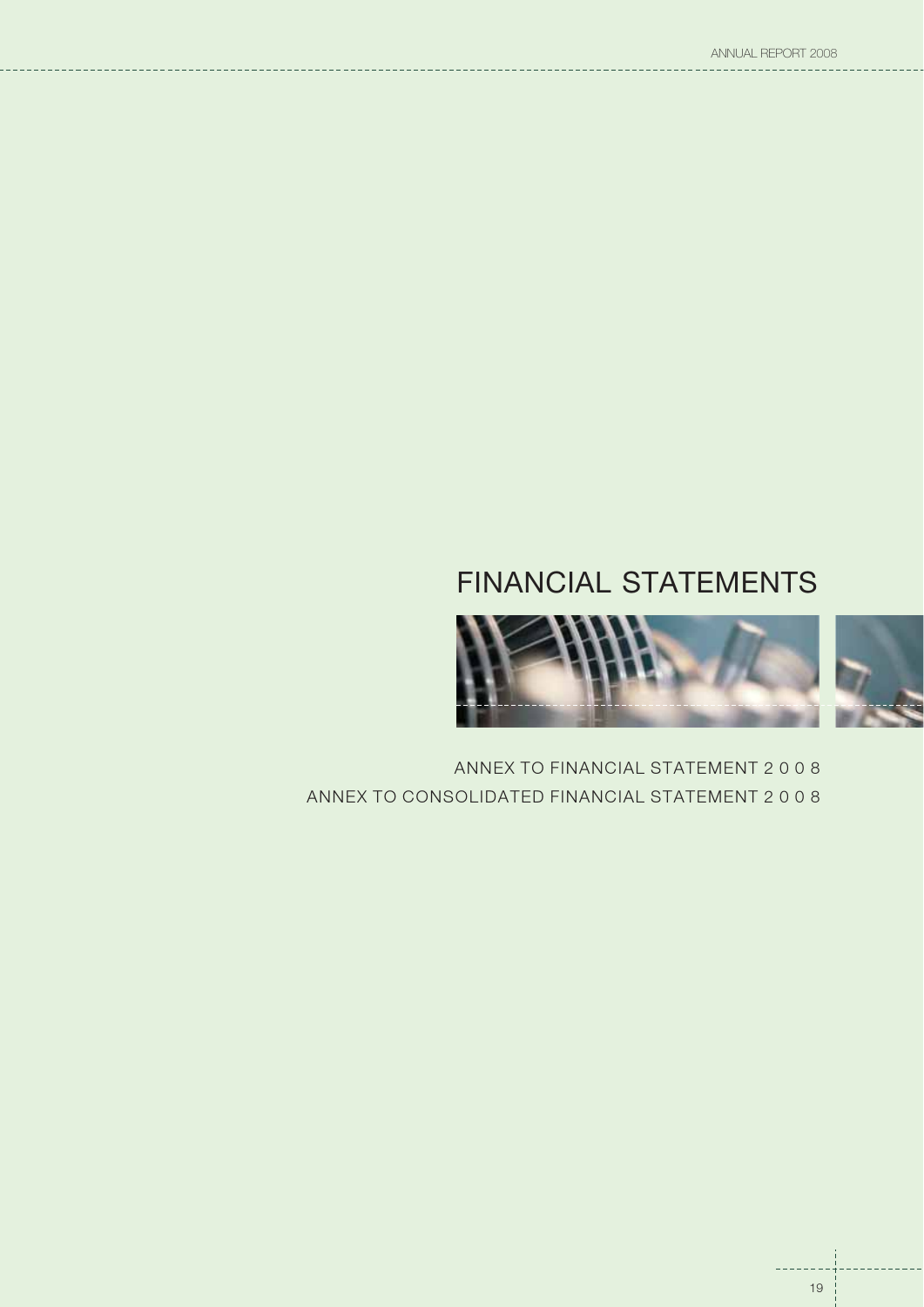## FINANCIAL STATEMENTS



ANNEX TO FINANCIAL STATEMENT 2 0 0 8 ANNEX TO CONSOLIDATED FINANCIAL STATEMENT2008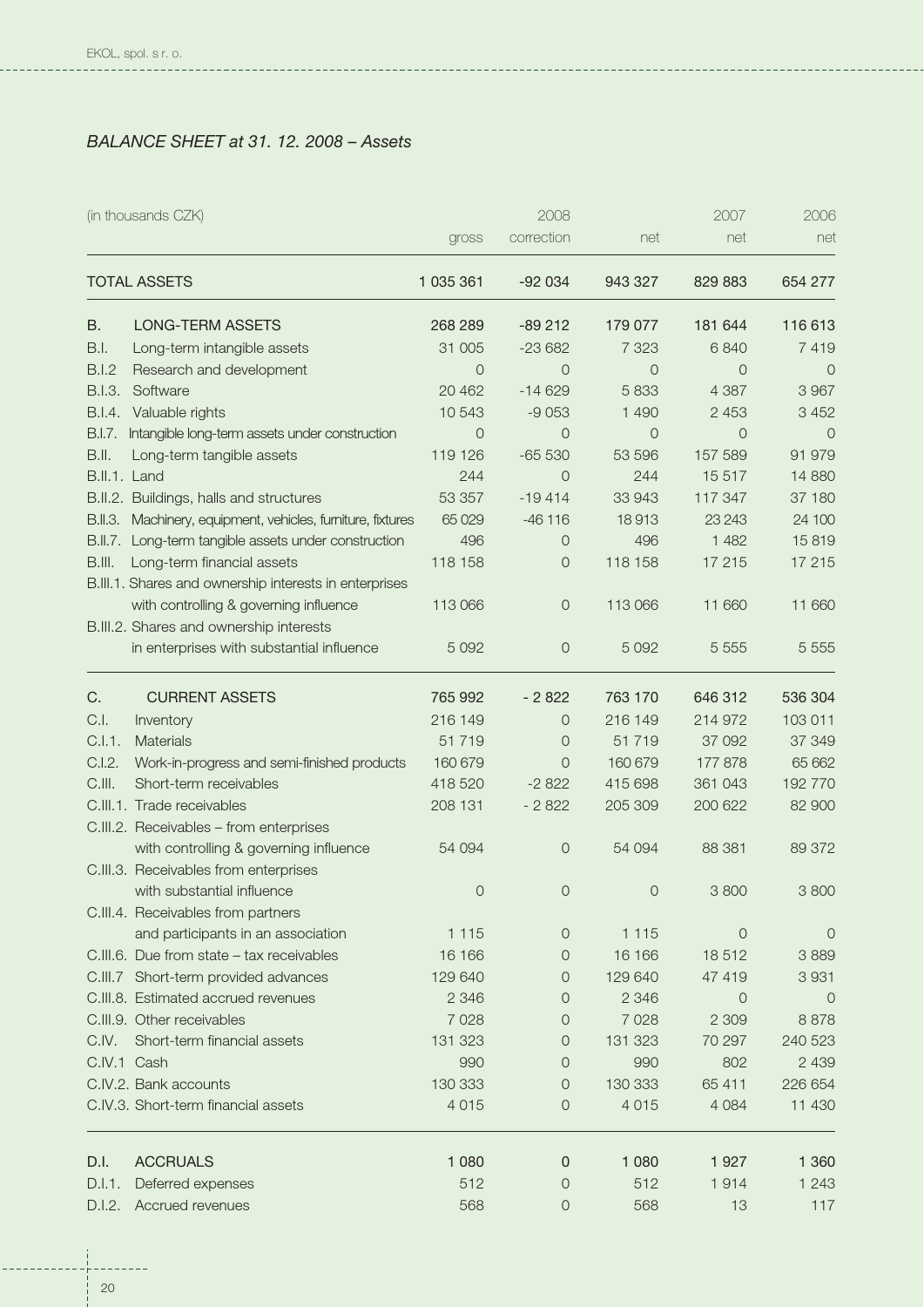$- - - -$ 

**CONTRACTOR** 

## *BALANCE SHEET at 31. 12. 2008 – Assets*

| correction<br>net<br>net<br>gross<br><b>TOTAL ASSETS</b><br>1 035 361<br>$-92034$<br>943 327<br>829 883<br><b>LONG-TERM ASSETS</b><br>268 289<br>$-89212$<br>179 077<br>181 644<br>В.<br>B.I.<br>Long-term intangible assets<br>31 005<br>$-23682$<br>7 3 2 3<br>6840<br><b>B.I.2</b><br>Research and development<br>$\overline{O}$<br>$\overline{0}$<br>$\overline{O}$<br>$\overline{0}$<br>B.I.3.<br>$-14629$<br>5833<br>Software<br>20 462<br>4 3 8 7<br>10 543<br>2 4 5 3<br>B.I.4.<br>Valuable rights<br>$-9053$<br>1 4 9 0<br>Intangible long-term assets under construction<br>$\overline{O}$<br>$\overline{0}$<br>$\overline{O}$<br>$\overline{0}$<br>B.I.7.<br>$-65530$<br>157 589<br>B.II.<br>119 126<br>53 596<br>Long-term tangible assets<br>15 5 17<br>B.II.1. Land<br>244<br>$\Omega$<br>244<br>33 943<br>B.II.2. Buildings, halls and structures<br>53 357<br>$-19414$<br>117 347<br>65 0 29<br>$-46116$<br>18913<br>23 24 3<br>B.II.3. Machinery, equipment, vehicles, furniture, fixtures<br>1 4 8 2<br>B.II.7. Long-term tangible assets under construction<br>496<br>496<br>0<br>118 158<br>B.III.<br>Long-term financial assets<br>118 158<br>17 215<br>0<br>B.III.1. Shares and ownership interests in enterprises<br>with controlling & governing influence<br>113 066<br>113 066<br>11 660<br>0<br>B.III.2. Shares and ownership interests<br>5 0 9 2<br>$\circ$<br>5 0 9 2<br>5 5 5 5 5<br>in enterprises with substantial influence<br>C.<br><b>CURRENT ASSETS</b><br>765 992<br>$-2822$<br>763 170<br>646 312<br>216 149<br>103 011<br>C.I.<br>216 149<br>214 972<br>Inventory<br>$\Omega$<br>C.I.1.<br><b>Materials</b><br>51719<br>0<br>51719<br>37 092<br>C.I.2.<br>Work-in-progress and semi-finished products<br>160 679<br>160 679<br>177 878<br>0<br>C.III.<br>415 698<br>Short-term receivables<br>418 520<br>$-2822$<br>361 043<br>C.III.1. Trade receivables<br>208 131<br>$-2822$<br>205 309<br>200 622<br>C.III.2. Receivables - from enterprises<br>with controlling & governing influence<br>54 094<br>88 381<br>54 094<br>0<br>C.III.3. Receivables from enterprises<br>with substantial influence<br>0<br>$\circ$<br>$\circ$<br>3 800<br>C.III.4. Receivables from partners<br>and participants in an association<br>1 1 1 5<br>1 1 1 5<br>0<br>0<br>16 16 6<br>16 16 6<br>C.III.6. Due from state - tax receivables<br>0<br>18512<br>C.III.7 Short-term provided advances<br>129 640<br>129 640<br>47 419<br>0<br>C.III.8. Estimated accrued revenues<br>2 3 4 6<br>0<br>2 3 4 6<br>0<br>C.III.9. Other receivables<br>7 0 28<br>2 3 0 9<br>7 0 28<br>0<br>C.IV.<br>Short-term financial assets<br>131 323<br>131 323<br>70 297<br>0 | (in thousands CZK) |     | 2008 |     | 2007 | 2006     |
|----------------------------------------------------------------------------------------------------------------------------------------------------------------------------------------------------------------------------------------------------------------------------------------------------------------------------------------------------------------------------------------------------------------------------------------------------------------------------------------------------------------------------------------------------------------------------------------------------------------------------------------------------------------------------------------------------------------------------------------------------------------------------------------------------------------------------------------------------------------------------------------------------------------------------------------------------------------------------------------------------------------------------------------------------------------------------------------------------------------------------------------------------------------------------------------------------------------------------------------------------------------------------------------------------------------------------------------------------------------------------------------------------------------------------------------------------------------------------------------------------------------------------------------------------------------------------------------------------------------------------------------------------------------------------------------------------------------------------------------------------------------------------------------------------------------------------------------------------------------------------------------------------------------------------------------------------------------------------------------------------------------------------------------------------------------------------------------------------------------------------------------------------------------------------------------------------------------------------------------------------------------------------------------------------------------------------------------------------------------------------------------------------------------------------------------------------------------------------------------------------------------------------------------------------------------------------------------------------------------------------------------------------------------------------------|--------------------|-----|------|-----|------|----------|
|                                                                                                                                                                                                                                                                                                                                                                                                                                                                                                                                                                                                                                                                                                                                                                                                                                                                                                                                                                                                                                                                                                                                                                                                                                                                                                                                                                                                                                                                                                                                                                                                                                                                                                                                                                                                                                                                                                                                                                                                                                                                                                                                                                                                                                                                                                                                                                                                                                                                                                                                                                                                                                                                                  |                    |     |      |     |      | net      |
|                                                                                                                                                                                                                                                                                                                                                                                                                                                                                                                                                                                                                                                                                                                                                                                                                                                                                                                                                                                                                                                                                                                                                                                                                                                                                                                                                                                                                                                                                                                                                                                                                                                                                                                                                                                                                                                                                                                                                                                                                                                                                                                                                                                                                                                                                                                                                                                                                                                                                                                                                                                                                                                                                  |                    |     |      |     |      | 654 277  |
|                                                                                                                                                                                                                                                                                                                                                                                                                                                                                                                                                                                                                                                                                                                                                                                                                                                                                                                                                                                                                                                                                                                                                                                                                                                                                                                                                                                                                                                                                                                                                                                                                                                                                                                                                                                                                                                                                                                                                                                                                                                                                                                                                                                                                                                                                                                                                                                                                                                                                                                                                                                                                                                                                  |                    |     |      |     |      | 116 613  |
|                                                                                                                                                                                                                                                                                                                                                                                                                                                                                                                                                                                                                                                                                                                                                                                                                                                                                                                                                                                                                                                                                                                                                                                                                                                                                                                                                                                                                                                                                                                                                                                                                                                                                                                                                                                                                                                                                                                                                                                                                                                                                                                                                                                                                                                                                                                                                                                                                                                                                                                                                                                                                                                                                  |                    |     |      |     |      | 7419     |
|                                                                                                                                                                                                                                                                                                                                                                                                                                                                                                                                                                                                                                                                                                                                                                                                                                                                                                                                                                                                                                                                                                                                                                                                                                                                                                                                                                                                                                                                                                                                                                                                                                                                                                                                                                                                                                                                                                                                                                                                                                                                                                                                                                                                                                                                                                                                                                                                                                                                                                                                                                                                                                                                                  |                    |     |      |     |      | $\circ$  |
|                                                                                                                                                                                                                                                                                                                                                                                                                                                                                                                                                                                                                                                                                                                                                                                                                                                                                                                                                                                                                                                                                                                                                                                                                                                                                                                                                                                                                                                                                                                                                                                                                                                                                                                                                                                                                                                                                                                                                                                                                                                                                                                                                                                                                                                                                                                                                                                                                                                                                                                                                                                                                                                                                  |                    |     |      |     |      | 3 9 6 7  |
|                                                                                                                                                                                                                                                                                                                                                                                                                                                                                                                                                                                                                                                                                                                                                                                                                                                                                                                                                                                                                                                                                                                                                                                                                                                                                                                                                                                                                                                                                                                                                                                                                                                                                                                                                                                                                                                                                                                                                                                                                                                                                                                                                                                                                                                                                                                                                                                                                                                                                                                                                                                                                                                                                  |                    |     |      |     |      | 3 4 5 2  |
|                                                                                                                                                                                                                                                                                                                                                                                                                                                                                                                                                                                                                                                                                                                                                                                                                                                                                                                                                                                                                                                                                                                                                                                                                                                                                                                                                                                                                                                                                                                                                                                                                                                                                                                                                                                                                                                                                                                                                                                                                                                                                                                                                                                                                                                                                                                                                                                                                                                                                                                                                                                                                                                                                  |                    |     |      |     |      | $\Omega$ |
|                                                                                                                                                                                                                                                                                                                                                                                                                                                                                                                                                                                                                                                                                                                                                                                                                                                                                                                                                                                                                                                                                                                                                                                                                                                                                                                                                                                                                                                                                                                                                                                                                                                                                                                                                                                                                                                                                                                                                                                                                                                                                                                                                                                                                                                                                                                                                                                                                                                                                                                                                                                                                                                                                  |                    |     |      |     |      | 91 979   |
|                                                                                                                                                                                                                                                                                                                                                                                                                                                                                                                                                                                                                                                                                                                                                                                                                                                                                                                                                                                                                                                                                                                                                                                                                                                                                                                                                                                                                                                                                                                                                                                                                                                                                                                                                                                                                                                                                                                                                                                                                                                                                                                                                                                                                                                                                                                                                                                                                                                                                                                                                                                                                                                                                  |                    |     |      |     |      | 14 8 80  |
|                                                                                                                                                                                                                                                                                                                                                                                                                                                                                                                                                                                                                                                                                                                                                                                                                                                                                                                                                                                                                                                                                                                                                                                                                                                                                                                                                                                                                                                                                                                                                                                                                                                                                                                                                                                                                                                                                                                                                                                                                                                                                                                                                                                                                                                                                                                                                                                                                                                                                                                                                                                                                                                                                  |                    |     |      |     |      | 37 180   |
|                                                                                                                                                                                                                                                                                                                                                                                                                                                                                                                                                                                                                                                                                                                                                                                                                                                                                                                                                                                                                                                                                                                                                                                                                                                                                                                                                                                                                                                                                                                                                                                                                                                                                                                                                                                                                                                                                                                                                                                                                                                                                                                                                                                                                                                                                                                                                                                                                                                                                                                                                                                                                                                                                  |                    |     |      |     |      | 24 100   |
|                                                                                                                                                                                                                                                                                                                                                                                                                                                                                                                                                                                                                                                                                                                                                                                                                                                                                                                                                                                                                                                                                                                                                                                                                                                                                                                                                                                                                                                                                                                                                                                                                                                                                                                                                                                                                                                                                                                                                                                                                                                                                                                                                                                                                                                                                                                                                                                                                                                                                                                                                                                                                                                                                  |                    |     |      |     |      | 15819    |
|                                                                                                                                                                                                                                                                                                                                                                                                                                                                                                                                                                                                                                                                                                                                                                                                                                                                                                                                                                                                                                                                                                                                                                                                                                                                                                                                                                                                                                                                                                                                                                                                                                                                                                                                                                                                                                                                                                                                                                                                                                                                                                                                                                                                                                                                                                                                                                                                                                                                                                                                                                                                                                                                                  |                    |     |      |     |      | 17 215   |
|                                                                                                                                                                                                                                                                                                                                                                                                                                                                                                                                                                                                                                                                                                                                                                                                                                                                                                                                                                                                                                                                                                                                                                                                                                                                                                                                                                                                                                                                                                                                                                                                                                                                                                                                                                                                                                                                                                                                                                                                                                                                                                                                                                                                                                                                                                                                                                                                                                                                                                                                                                                                                                                                                  |                    |     |      |     |      |          |
|                                                                                                                                                                                                                                                                                                                                                                                                                                                                                                                                                                                                                                                                                                                                                                                                                                                                                                                                                                                                                                                                                                                                                                                                                                                                                                                                                                                                                                                                                                                                                                                                                                                                                                                                                                                                                                                                                                                                                                                                                                                                                                                                                                                                                                                                                                                                                                                                                                                                                                                                                                                                                                                                                  |                    |     |      |     |      | 11 660   |
|                                                                                                                                                                                                                                                                                                                                                                                                                                                                                                                                                                                                                                                                                                                                                                                                                                                                                                                                                                                                                                                                                                                                                                                                                                                                                                                                                                                                                                                                                                                                                                                                                                                                                                                                                                                                                                                                                                                                                                                                                                                                                                                                                                                                                                                                                                                                                                                                                                                                                                                                                                                                                                                                                  |                    |     |      |     |      |          |
|                                                                                                                                                                                                                                                                                                                                                                                                                                                                                                                                                                                                                                                                                                                                                                                                                                                                                                                                                                                                                                                                                                                                                                                                                                                                                                                                                                                                                                                                                                                                                                                                                                                                                                                                                                                                                                                                                                                                                                                                                                                                                                                                                                                                                                                                                                                                                                                                                                                                                                                                                                                                                                                                                  |                    |     |      |     |      | 5 5 5 5  |
|                                                                                                                                                                                                                                                                                                                                                                                                                                                                                                                                                                                                                                                                                                                                                                                                                                                                                                                                                                                                                                                                                                                                                                                                                                                                                                                                                                                                                                                                                                                                                                                                                                                                                                                                                                                                                                                                                                                                                                                                                                                                                                                                                                                                                                                                                                                                                                                                                                                                                                                                                                                                                                                                                  |                    |     |      |     |      | 536 304  |
|                                                                                                                                                                                                                                                                                                                                                                                                                                                                                                                                                                                                                                                                                                                                                                                                                                                                                                                                                                                                                                                                                                                                                                                                                                                                                                                                                                                                                                                                                                                                                                                                                                                                                                                                                                                                                                                                                                                                                                                                                                                                                                                                                                                                                                                                                                                                                                                                                                                                                                                                                                                                                                                                                  |                    |     |      |     |      |          |
|                                                                                                                                                                                                                                                                                                                                                                                                                                                                                                                                                                                                                                                                                                                                                                                                                                                                                                                                                                                                                                                                                                                                                                                                                                                                                                                                                                                                                                                                                                                                                                                                                                                                                                                                                                                                                                                                                                                                                                                                                                                                                                                                                                                                                                                                                                                                                                                                                                                                                                                                                                                                                                                                                  |                    |     |      |     |      | 37 349   |
|                                                                                                                                                                                                                                                                                                                                                                                                                                                                                                                                                                                                                                                                                                                                                                                                                                                                                                                                                                                                                                                                                                                                                                                                                                                                                                                                                                                                                                                                                                                                                                                                                                                                                                                                                                                                                                                                                                                                                                                                                                                                                                                                                                                                                                                                                                                                                                                                                                                                                                                                                                                                                                                                                  |                    |     |      |     |      | 65 662   |
|                                                                                                                                                                                                                                                                                                                                                                                                                                                                                                                                                                                                                                                                                                                                                                                                                                                                                                                                                                                                                                                                                                                                                                                                                                                                                                                                                                                                                                                                                                                                                                                                                                                                                                                                                                                                                                                                                                                                                                                                                                                                                                                                                                                                                                                                                                                                                                                                                                                                                                                                                                                                                                                                                  |                    |     |      |     |      | 192 770  |
|                                                                                                                                                                                                                                                                                                                                                                                                                                                                                                                                                                                                                                                                                                                                                                                                                                                                                                                                                                                                                                                                                                                                                                                                                                                                                                                                                                                                                                                                                                                                                                                                                                                                                                                                                                                                                                                                                                                                                                                                                                                                                                                                                                                                                                                                                                                                                                                                                                                                                                                                                                                                                                                                                  |                    |     |      |     |      | 82 900   |
|                                                                                                                                                                                                                                                                                                                                                                                                                                                                                                                                                                                                                                                                                                                                                                                                                                                                                                                                                                                                                                                                                                                                                                                                                                                                                                                                                                                                                                                                                                                                                                                                                                                                                                                                                                                                                                                                                                                                                                                                                                                                                                                                                                                                                                                                                                                                                                                                                                                                                                                                                                                                                                                                                  |                    |     |      |     |      |          |
|                                                                                                                                                                                                                                                                                                                                                                                                                                                                                                                                                                                                                                                                                                                                                                                                                                                                                                                                                                                                                                                                                                                                                                                                                                                                                                                                                                                                                                                                                                                                                                                                                                                                                                                                                                                                                                                                                                                                                                                                                                                                                                                                                                                                                                                                                                                                                                                                                                                                                                                                                                                                                                                                                  |                    |     |      |     |      | 89 372   |
|                                                                                                                                                                                                                                                                                                                                                                                                                                                                                                                                                                                                                                                                                                                                                                                                                                                                                                                                                                                                                                                                                                                                                                                                                                                                                                                                                                                                                                                                                                                                                                                                                                                                                                                                                                                                                                                                                                                                                                                                                                                                                                                                                                                                                                                                                                                                                                                                                                                                                                                                                                                                                                                                                  |                    |     |      |     |      |          |
|                                                                                                                                                                                                                                                                                                                                                                                                                                                                                                                                                                                                                                                                                                                                                                                                                                                                                                                                                                                                                                                                                                                                                                                                                                                                                                                                                                                                                                                                                                                                                                                                                                                                                                                                                                                                                                                                                                                                                                                                                                                                                                                                                                                                                                                                                                                                                                                                                                                                                                                                                                                                                                                                                  |                    |     |      |     |      | 3800     |
|                                                                                                                                                                                                                                                                                                                                                                                                                                                                                                                                                                                                                                                                                                                                                                                                                                                                                                                                                                                                                                                                                                                                                                                                                                                                                                                                                                                                                                                                                                                                                                                                                                                                                                                                                                                                                                                                                                                                                                                                                                                                                                                                                                                                                                                                                                                                                                                                                                                                                                                                                                                                                                                                                  |                    |     |      |     |      |          |
|                                                                                                                                                                                                                                                                                                                                                                                                                                                                                                                                                                                                                                                                                                                                                                                                                                                                                                                                                                                                                                                                                                                                                                                                                                                                                                                                                                                                                                                                                                                                                                                                                                                                                                                                                                                                                                                                                                                                                                                                                                                                                                                                                                                                                                                                                                                                                                                                                                                                                                                                                                                                                                                                                  |                    |     |      |     |      | 0        |
|                                                                                                                                                                                                                                                                                                                                                                                                                                                                                                                                                                                                                                                                                                                                                                                                                                                                                                                                                                                                                                                                                                                                                                                                                                                                                                                                                                                                                                                                                                                                                                                                                                                                                                                                                                                                                                                                                                                                                                                                                                                                                                                                                                                                                                                                                                                                                                                                                                                                                                                                                                                                                                                                                  |                    |     |      |     |      | 3889     |
|                                                                                                                                                                                                                                                                                                                                                                                                                                                                                                                                                                                                                                                                                                                                                                                                                                                                                                                                                                                                                                                                                                                                                                                                                                                                                                                                                                                                                                                                                                                                                                                                                                                                                                                                                                                                                                                                                                                                                                                                                                                                                                                                                                                                                                                                                                                                                                                                                                                                                                                                                                                                                                                                                  |                    |     |      |     |      | 3 9 3 1  |
|                                                                                                                                                                                                                                                                                                                                                                                                                                                                                                                                                                                                                                                                                                                                                                                                                                                                                                                                                                                                                                                                                                                                                                                                                                                                                                                                                                                                                                                                                                                                                                                                                                                                                                                                                                                                                                                                                                                                                                                                                                                                                                                                                                                                                                                                                                                                                                                                                                                                                                                                                                                                                                                                                  |                    |     |      |     |      | $\circ$  |
|                                                                                                                                                                                                                                                                                                                                                                                                                                                                                                                                                                                                                                                                                                                                                                                                                                                                                                                                                                                                                                                                                                                                                                                                                                                                                                                                                                                                                                                                                                                                                                                                                                                                                                                                                                                                                                                                                                                                                                                                                                                                                                                                                                                                                                                                                                                                                                                                                                                                                                                                                                                                                                                                                  |                    |     |      |     |      | 8878     |
|                                                                                                                                                                                                                                                                                                                                                                                                                                                                                                                                                                                                                                                                                                                                                                                                                                                                                                                                                                                                                                                                                                                                                                                                                                                                                                                                                                                                                                                                                                                                                                                                                                                                                                                                                                                                                                                                                                                                                                                                                                                                                                                                                                                                                                                                                                                                                                                                                                                                                                                                                                                                                                                                                  |                    |     |      |     |      | 240 523  |
| C.IV.1 Cash<br>0                                                                                                                                                                                                                                                                                                                                                                                                                                                                                                                                                                                                                                                                                                                                                                                                                                                                                                                                                                                                                                                                                                                                                                                                                                                                                                                                                                                                                                                                                                                                                                                                                                                                                                                                                                                                                                                                                                                                                                                                                                                                                                                                                                                                                                                                                                                                                                                                                                                                                                                                                                                                                                                                 |                    | 990 |      | 990 | 802  | 2 4 3 9  |
| C.IV.2. Bank accounts<br>130 333<br>$\overline{0}$<br>130 333<br>65 411                                                                                                                                                                                                                                                                                                                                                                                                                                                                                                                                                                                                                                                                                                                                                                                                                                                                                                                                                                                                                                                                                                                                                                                                                                                                                                                                                                                                                                                                                                                                                                                                                                                                                                                                                                                                                                                                                                                                                                                                                                                                                                                                                                                                                                                                                                                                                                                                                                                                                                                                                                                                          |                    |     |      |     |      | 226 654  |
| C.IV.3. Short-term financial assets<br>4 0 1 5<br>0<br>4 0 1 5<br>4 0 8 4                                                                                                                                                                                                                                                                                                                                                                                                                                                                                                                                                                                                                                                                                                                                                                                                                                                                                                                                                                                                                                                                                                                                                                                                                                                                                                                                                                                                                                                                                                                                                                                                                                                                                                                                                                                                                                                                                                                                                                                                                                                                                                                                                                                                                                                                                                                                                                                                                                                                                                                                                                                                        |                    |     |      |     |      | 11 430   |
| 1 0 8 0<br>D.I.<br><b>ACCRUALS</b><br>1 0 8 0<br>1 9 2 7<br>0                                                                                                                                                                                                                                                                                                                                                                                                                                                                                                                                                                                                                                                                                                                                                                                                                                                                                                                                                                                                                                                                                                                                                                                                                                                                                                                                                                                                                                                                                                                                                                                                                                                                                                                                                                                                                                                                                                                                                                                                                                                                                                                                                                                                                                                                                                                                                                                                                                                                                                                                                                                                                    |                    |     |      |     |      | 1 3 6 0  |
| 512<br>512<br>1914<br>D.I.1.<br>Deferred expenses<br>0                                                                                                                                                                                                                                                                                                                                                                                                                                                                                                                                                                                                                                                                                                                                                                                                                                                                                                                                                                                                                                                                                                                                                                                                                                                                                                                                                                                                                                                                                                                                                                                                                                                                                                                                                                                                                                                                                                                                                                                                                                                                                                                                                                                                                                                                                                                                                                                                                                                                                                                                                                                                                           |                    |     |      |     |      | 1 2 4 3  |
| Accrued revenues<br>568<br>568<br>D.I.2.<br>0<br>13                                                                                                                                                                                                                                                                                                                                                                                                                                                                                                                                                                                                                                                                                                                                                                                                                                                                                                                                                                                                                                                                                                                                                                                                                                                                                                                                                                                                                                                                                                                                                                                                                                                                                                                                                                                                                                                                                                                                                                                                                                                                                                                                                                                                                                                                                                                                                                                                                                                                                                                                                                                                                              |                    |     |      |     |      | 117      |

---------

--------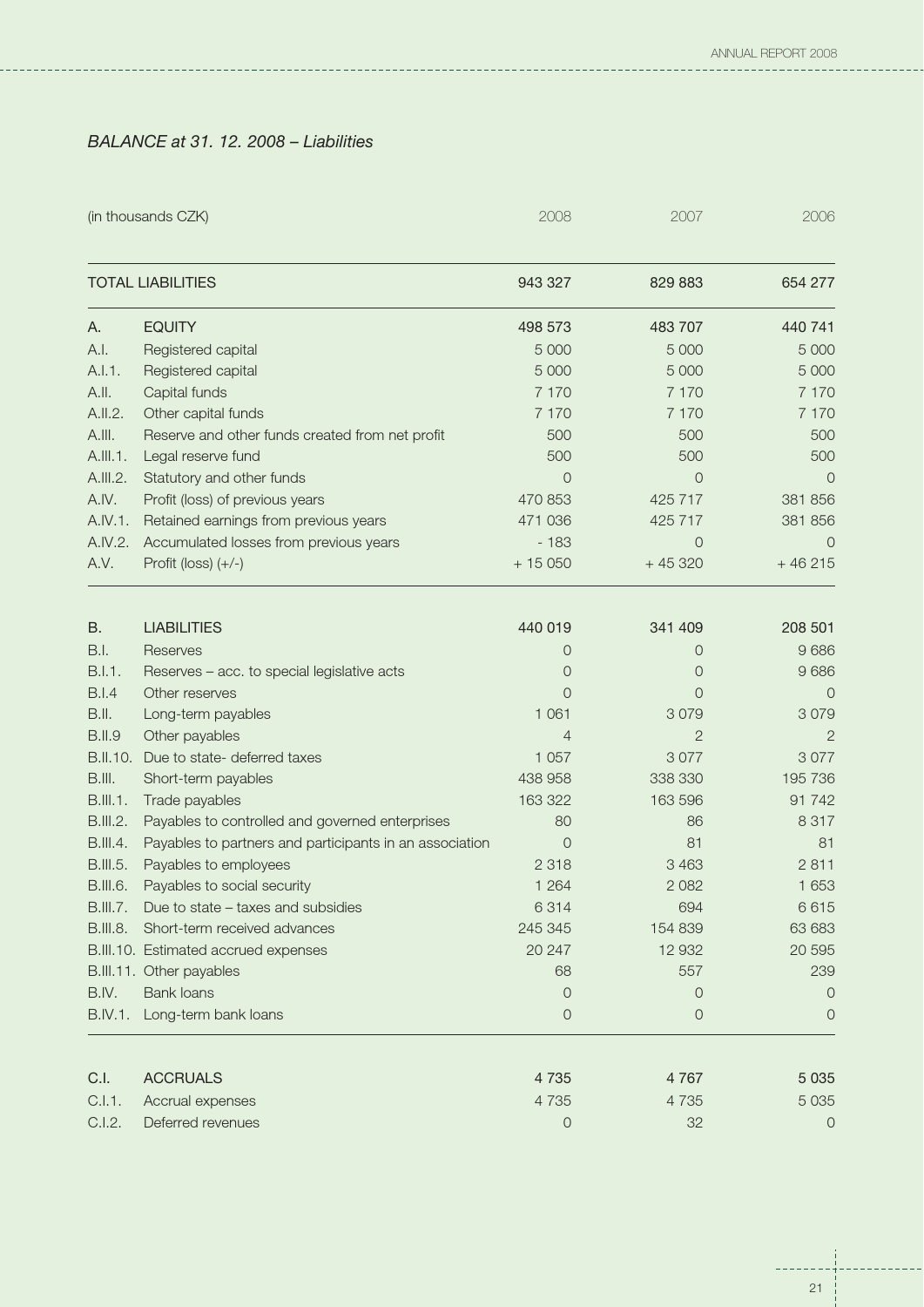## *BALANCE at 31. 12. 2008 – Liabilities*

|                 | (in thousands CZK)                                      | 2008           | 2007           | 2006     |
|-----------------|---------------------------------------------------------|----------------|----------------|----------|
|                 | <b>TOTAL LIABILITIES</b>                                | 943 327        | 829 883        | 654 277  |
| А.              | <b>EQUITY</b>                                           | 498 573        | 483 707        | 440 741  |
| A.I.            | Registered capital                                      | 5 0 0 0        | 5 0 0 0        | 5 0 0 0  |
| A.I.1.          | Registered capital                                      | 5 0 0 0        | 5 0 0 0        | 5 0 0 0  |
| A.II.           | Capital funds                                           | 7 1 7 0        | 7 1 7 0        | 7 1 7 0  |
| A.II.2.         | Other capital funds                                     | 7 1 7 0        | 7 1 7 0        | 7 1 7 0  |
| A.III.          | Reserve and other funds created from net profit         | 500            | 500            | 500      |
| A.III.1.        | Legal reserve fund                                      | 500            | 500            | 500      |
| A.III.2.        | Statutory and other funds                               | $\Omega$       | $\Omega$       | $\Omega$ |
| A.IV.           | Profit (loss) of previous years                         | 470 853        | 425 717        | 381 856  |
| A.IV.1.         | Retained earnings from previous years                   | 471 036        | 425 717        | 381 856  |
| A.IV.2.         | Accumulated losses from previous years                  | $-183$         | $\circ$        | $\circ$  |
| A.V.            | Profit (loss) $(+/-)$                                   | $+15050$       | $+45320$       | $+46215$ |
| B.              | <b>LIABILITIES</b>                                      | 440 019        | 341 409        | 208 501  |
| B.I.            | Reserves                                                | $\Omega$       | $\Omega$       | 9686     |
| B.I.1.          | Reserves - acc. to special legislative acts             | $\Omega$       | $\Omega$       | 9686     |
| <b>B.I.4</b>    | Other reserves                                          | $\Omega$       | $\Omega$       | $\Omega$ |
| B.II.           | Long-term payables                                      | 1 0 6 1        | 3079           | 3079     |
| <b>B.II.9</b>   | Other payables                                          | $\overline{4}$ | $\overline{2}$ | 2        |
| B.II.10.        | Due to state- deferred taxes                            | 1 0 5 7        | 3077           | 3077     |
| B.III.          | Short-term payables                                     | 438 958        | 338 330        | 195 736  |
| <b>B.III.1.</b> | Trade payables                                          | 163 322        | 163 596        | 91742    |
| <b>B.III.2.</b> | Payables to controlled and governed enterprises         | 80             | 86             | 8 3 1 7  |
| <b>B.III.4.</b> | Payables to partners and participants in an association | $\circ$        | 81             | 81       |
| B.III.5.        | Payables to employees                                   | 2 3 1 8        | 3 4 6 3        | 2811     |
| <b>B.III.6.</b> | Payables to social security                             | 1 2 6 4        | 2 0 8 2        | 1 6 5 3  |
| <b>B.III.7.</b> | Due to state - taxes and subsidies                      | 6314           | 694            | 6615     |
| B.III.8.        | Short-term received advances                            | 245 345        | 154 839        | 63 683   |
|                 | B.III.10. Estimated accrued expenses                    | 20 247         | 12 9 32        | 20 595   |
|                 | B.III.11. Other payables                                | 68             | 557            | 239      |
| B.IV.           | <b>Bank loans</b>                                       | $\Omega$       | $\Omega$       | $\circ$  |
| <b>B.IV.1.</b>  | Long-term bank loans                                    | $\circ$        | $\circ$        | $\circ$  |
| C.I.            | <b>ACCRUALS</b>                                         | 4 7 3 5        | 4767           | 5 0 3 5  |
| C.I.1.          | Accrual expenses                                        | 4735           | 4735           | 5 0 3 5  |
| C.I.2.          | Deferred revenues                                       | $\circ$        | 32             | $\circ$  |

 $- - - - - -$ 

-----

÷,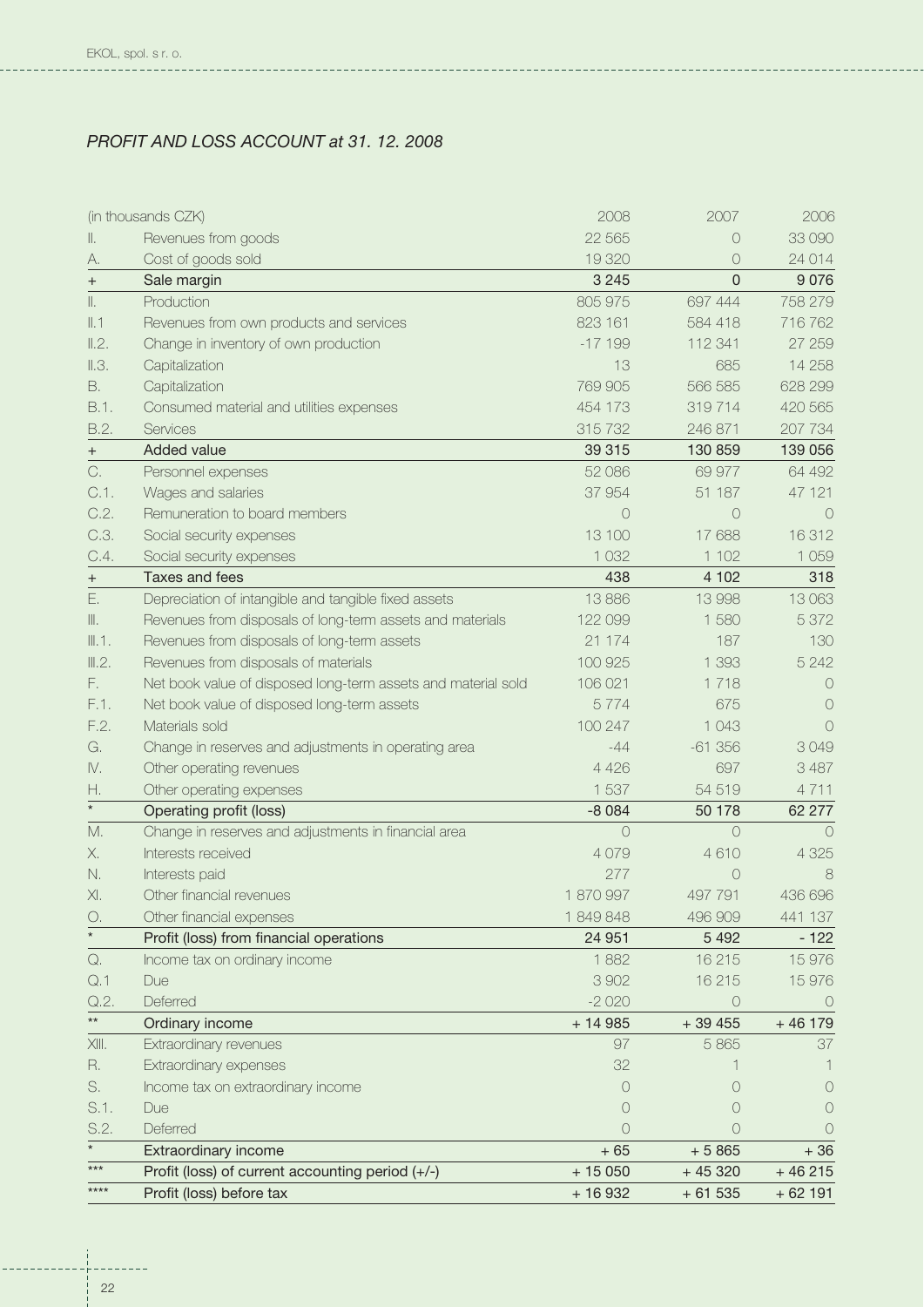**Contract Contract Contract Contract Contract Contract Contract Contract Contract Contract Contract Contract Co** 

## *PROFIT AND LOSS ACCOUNT at 31. 12. 2008*

|                 | (in thousands CZK)                                            | 2008       | 2007        | 2006             |
|-----------------|---------------------------------------------------------------|------------|-------------|------------------|
| Ш.              | Revenues from goods                                           | 22 5 65    | $\bigcirc$  | 33 090           |
| А.              | Cost of goods sold                                            | 19 320     | 0           | 24 014           |
| $^{+}$          | Sale margin                                                   | 3 2 4 5    | $\mathbf 0$ | 9076             |
| $\parallel.$    | Production                                                    | 805 975    | 697 444     | 758 279          |
| II.1            | Revenues from own products and services                       | 823 161    | 584 418     | 716 762          |
| II.2.           | Change in inventory of own production                         | $-17199$   | 112 341     | 27 259           |
| $\parallel .3.$ | Capitalization                                                | 13         | 685         | 14 258           |
| В.              | Capitalization                                                | 769 905    | 566 585     | 628 299          |
| B.1.            | Consumed material and utilities expenses                      | 454 173    | 319714      | 420 565          |
| B.2.            | Services                                                      | 315 732    | 246 871     | 207 734          |
| $^{+}$          | Added value                                                   | 39 315     | 130 859     | 139 056          |
| C.              | Personnel expenses                                            | 52 086     | 69 977      | 64 492           |
| $C.1$ .         | Wages and salaries                                            | 37 954     | 51 187      | 47 121           |
| C.2.            | Remuneration to board members                                 | $\bigcap$  | $\bigcirc$  | $\bigcirc$       |
| C.3.            | Social security expenses                                      | 13 100     | 17 688      | 16312            |
| C.4.            | Social security expenses                                      | 1 0 3 2    | 1 1 0 2     | 1 0 5 9          |
| $^{+}$          | Taxes and fees                                                | 438        | 4 102       | 318              |
| Ε.              | Depreciation of intangible and tangible fixed assets          | 13886      | 13 998      | 13 063           |
| Ⅲ.              | Revenues from disposals of long-term assets and materials     | 122 099    | 1580        | 5 3 7 2          |
| III.1.          | Revenues from disposals of long-term assets                   | 21 174     | 187         | 130              |
| III.2.          | Revenues from disposals of materials                          | 100 925    | 1 3 9 3     | 5 2 4 2          |
| F.              | Net book value of disposed long-term assets and material sold | 106 021    | 1718        | $\bigcirc$       |
| F.1.            | Net book value of disposed long-term assets                   | 5774       | 675         | $\left( \right)$ |
| F.2.            | Materials sold                                                | 100 247    | 1 0 4 3     | $\bigcirc$       |
| G.              | Change in reserves and adjustments in operating area          | $-44$      | $-61356$    | 3049             |
| IV.             | Other operating revenues                                      | 4 4 2 6    | 697         | 3 4 8 7          |
| Η.              | Other operating expenses                                      | 1 537      | 54 519      | 4711             |
| $\star$         | Operating profit (loss)                                       | $-8084$    | 50 178      | 62 277           |
| M.              | Change in reserves and adjustments in financial area          | $\circ$    | $\circ$     | $\bigcirc$       |
| Х.              | Interests received                                            | 4079       | 4610        | 4 3 2 5          |
| N.              | Interests paid                                                | 277        | $\circ$     | 8                |
| XI.             | Other financial revenues                                      | 1870997    | 497 791     | 436 696          |
| О.              | Other financial expenses                                      | 1849848    | 496 909     | 441 137          |
| $\star$         | Profit (loss) from financial operations                       | 24 951     | 5 4 9 2     | $-122$           |
| Q.              | Income tax on ordinary income                                 | 1882       | 16 215      | 15 976           |
| Q.1             | Due                                                           | 3 9 0 2    | 16 215      | 15 976           |
| Q.2.            | Deferred                                                      | $-2020$    | $\circ$     | $\circ$          |
| $\star\star$    | Ordinary income                                               | $+ 14985$  | $+39455$    | $+46179$         |
| $X   $ .        | Extraordinary revenues                                        | 97         | 5865        | 37               |
| R.              | Extraordinary expenses                                        | 32         |             |                  |
| S.              | Income tax on extraordinary income                            | $\bigcirc$ | $\bigcirc$  | $\left( \right)$ |
| S.1.            | Due                                                           | 0          | $\bigcirc$  | $\bigcirc$       |
| S.2.            | Deferred                                                      | 0          | $\bigcirc$  | $\bigcirc$       |
| $\star$         | Extraordinary income                                          | $+65$      | $+5865$     | $+36$            |
| $***$           | Profit (loss) of current accounting period (+/-)              | $+15050$   | $+45320$    | $+46215$         |
| $****$          | Profit (loss) before tax                                      | $+16932$   | $+61535$    | $+62191$         |

---------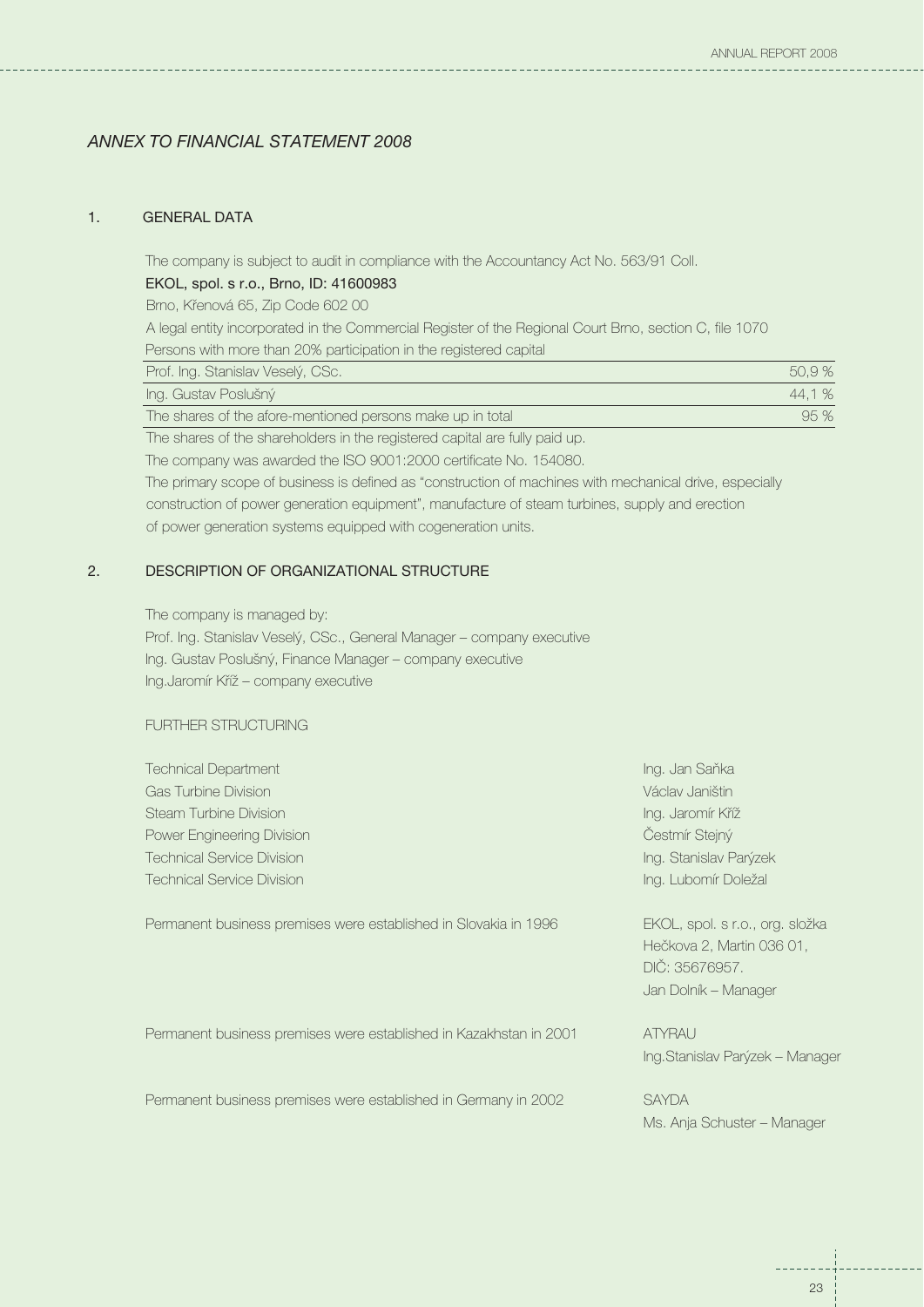## *ANNEX TO FINANCIAL STATEMENT 2008*

## 1. GENERAL DATA

The company is subject to audit in compliance with the Accountancy Act No. 563/91 Coll.

## EKOL, spol. s r.o., Brno, ID: 41600983

Brno, Křenová 65, Zip Code 602 00

A legal entity incorporated in the Commercial Register of the Regional Court Brno, section C, file 1070

Persons with more than 20% participation in the registered capital

| Prof. Ing. Stanislav Veselý, CSc.                          | 50.9%  |
|------------------------------------------------------------|--------|
| Ing. Gustav Poslušný                                       | 44.1 % |
| The shares of the afore-mentioned persons make up in total | 95%    |

The shares of the shareholders in the registered capital are fully paid up.

The company was awarded the ISO 9001:2000 certificate No. 154080.

The primary scope of business is defined as "construction of machines with mechanical drive, especially construction of power generation equipment", manufacture of steam turbines, supply and erection of power generation systems equipped with cogeneration units.

## 2. DESCRIPTION OF ORGANIZATIONAL STRUCTURE

The company is managed by:

Prof. Ing. Stanislav Veselý, CSc., General Manager – company executive Ing. Gustav Poslušný, Finance Manager – company executive Ing.Jaromír Kříž – company executive

## FURTHER STRUCTURING

| <b>Technical Department</b>                                      | Ing. Jan Saňka                  |
|------------------------------------------------------------------|---------------------------------|
| <b>Gas Turbine Division</b>                                      | Václav Janištin                 |
| <b>Steam Turbine Division</b>                                    | Ing. Jaromír Kříž               |
| Power Engineering Division                                       | Čestmír Stejný                  |
| <b>Technical Service Division</b>                                | Ing. Stanislav Parýzek          |
| <b>Technical Service Division</b>                                | Ing. Lubomír Doležal            |
|                                                                  |                                 |
| Permanent business premises were established in Slovakia in 1996 | EKOL, spol. s r.o., org. složka |

Hečkova 2, Martin 036 01, DIČ: 35676957. Jan Dolník – Manager

Permanent business premises were established in Kazakhstan in 2001 ATYRAU

Permanent business premises were established in Germany in 2002 SAYDA

Ing.Stanislav Parýzek – Manager

Ms. Anja Schuster – Manager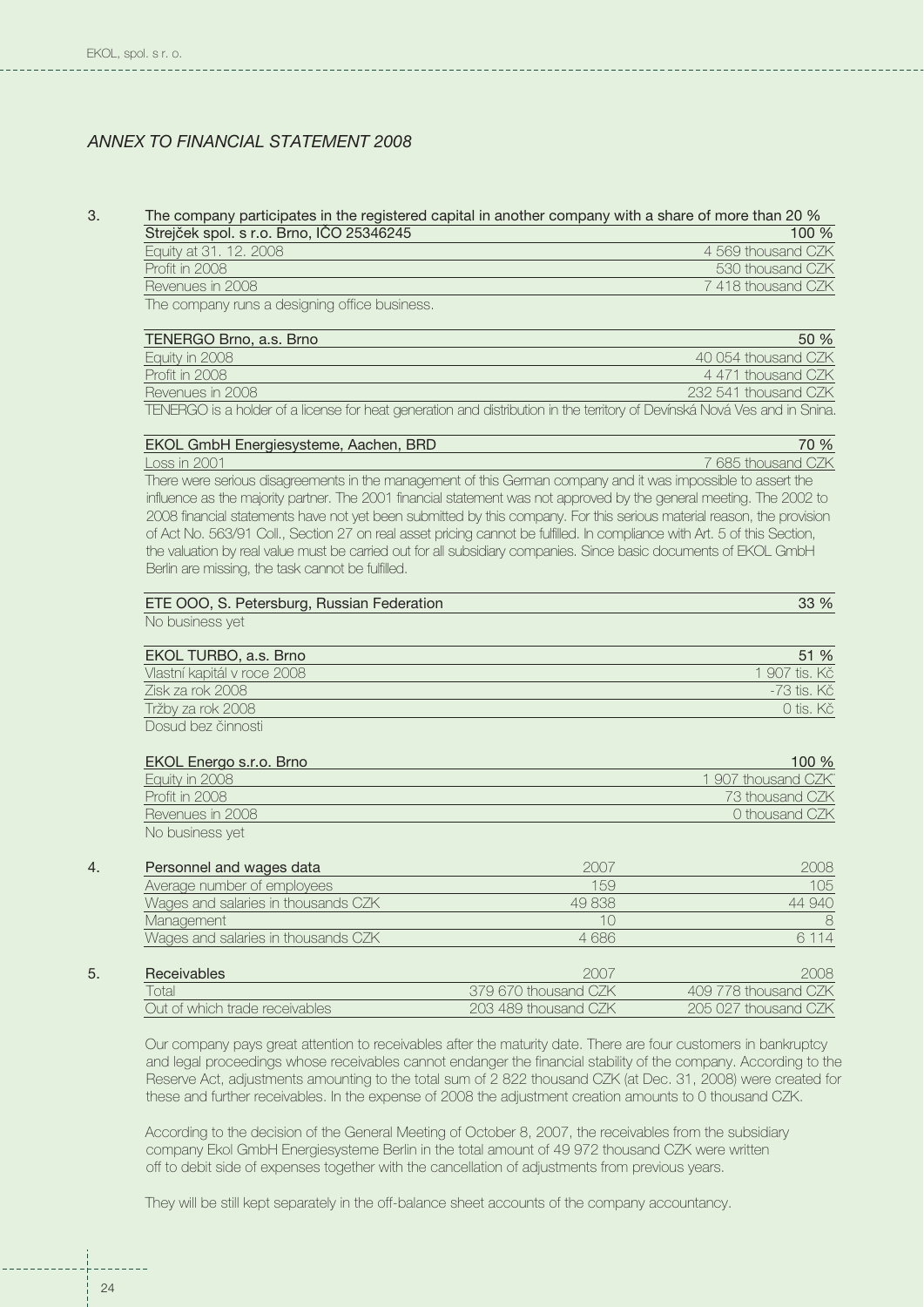## *ANNEX TO FINANCIAL STATEMENT 2008*

#### 3. The company participates in the registered capital in another company with a share of more than 20 %<br>Streight analysis of a stree up of 25246245  $\overline{\text{Strajček}}$  spol. s r.o. Brno, IČO 25346245

| Othelcen Spoil Siro. Drilo, ICO 20040240                                                                        | TUU 70             |
|-----------------------------------------------------------------------------------------------------------------|--------------------|
| Equity at 31. 12. 2008                                                                                          | 4 569 thousand CZK |
| Profit in 2008                                                                                                  | 530 thousand CZK   |
| Revenues in 2008                                                                                                | 7418 thousand CZK  |
| the contract of the contract of the contract of the contract of the contract of the contract of the contract of |                    |

The company runs a designing office business.

| TENERGO Brno, a.s. Brno | 50%                  |
|-------------------------|----------------------|
| Equity in 2008          | 40.054 thousand CZK  |
| Profit in 2008          | 4.471 thousand CZK   |
| Revenues in 2008        | 232.541 thousand CZK |
|                         |                      |

TENERGO is a holder of a license for heat generation and distribution in the territory of Devínská Nová Ves and in Snina.

| EKOL GmbH Energiesysteme, Aachen, BRD                                                                         | 70 %               |
|---------------------------------------------------------------------------------------------------------------|--------------------|
| $\pm$ oss in 2001                                                                                             | 7 685 thousand CZK |
| There were serious disadreements in the management of this German company and it was impossible to assert the |                    |

There were serious disagreements in the management of this German company and it was impossible to assert the influence as the majority partner. The 2001 financial statement was not approved by the general meeting. The 2002 to 2008 financial statements have not yet been submitted by this company. For this serious material reason, the provision of Act No. 563/91 Coll., Section 27 on real asset pricing cannot be fulfilled. In compliance with Art. 5 of this Section, the valuation by real value must be carried out for all subsidiary companies. Since basic documents of EKOL GmbH Berlin are missing, the task cannot be fulfilled.

| ETE OOO, S. Petersburg, Russian Federation | 33 % |
|--------------------------------------------|------|
| No business yet                            |      |

| EKOL TURBO, a.s. Brno       | 51%           |
|-----------------------------|---------------|
| Vlastní kapitál v roce 2008 | 1,907 tis. Kč |
| Zisk za rok 2008            | -73 tis, Kč   |
| Tržby za rok 2008           | 0 tis. Kč     |
| Dosud bez činnosti          |               |

| <b>EKOL Energo s.r.o. Brno</b> | 100%                |
|--------------------------------|---------------------|
| Equity in 2008                 | 1 907 thousand CZK" |
| <b>Profit in 2008</b>          | 73 thousand CZK     |
| Revenues in 2008               | 0 thousand CZK      |
| No business yet                |                     |

| 4. | Personnel and wages data            | 2007                 | 2008                 |
|----|-------------------------------------|----------------------|----------------------|
|    | Average number of employees         | 159                  | 105                  |
|    | Wages and salaries in thousands CZK | 49838                | 44 940               |
|    | Management                          | 10                   | 8                    |
|    | Wages and salaries in thousands CZK | 4686                 | 6 1 1 4              |
| 5. | <b>Receivables</b>                  | 2007                 | 2008                 |
|    | Total                               | 379 670 thousand CZK | 409 778 thousand CZK |
|    | Out of which trade receivables      | 203 489 thousand CZK | 205 027 thousand CZK |

Our company pays great attention to receivables after the maturity date. There are four customers in bankruptcy and legal proceedings whose receivables cannot endanger the financial stability of the company. According to the Reserve Act, adjustments amounting to the total sum of 2 822 thousand CZK (at Dec. 31, 2008) were created for these and further receivables. In the expense of 2008 the adjustment creation amounts to 0 thousand CZK.

According to the decision of the General Meeting of October 8, 2007, the receivables from the subsidiary company Ekol GmbH Energiesysteme Berlin in the total amount of 49 972 thousand CZK were written off to debit side of expenses together with the cancellation of adjustments from previous years.

They will be still kept separately in the off-balance sheet accounts of the company accountancy.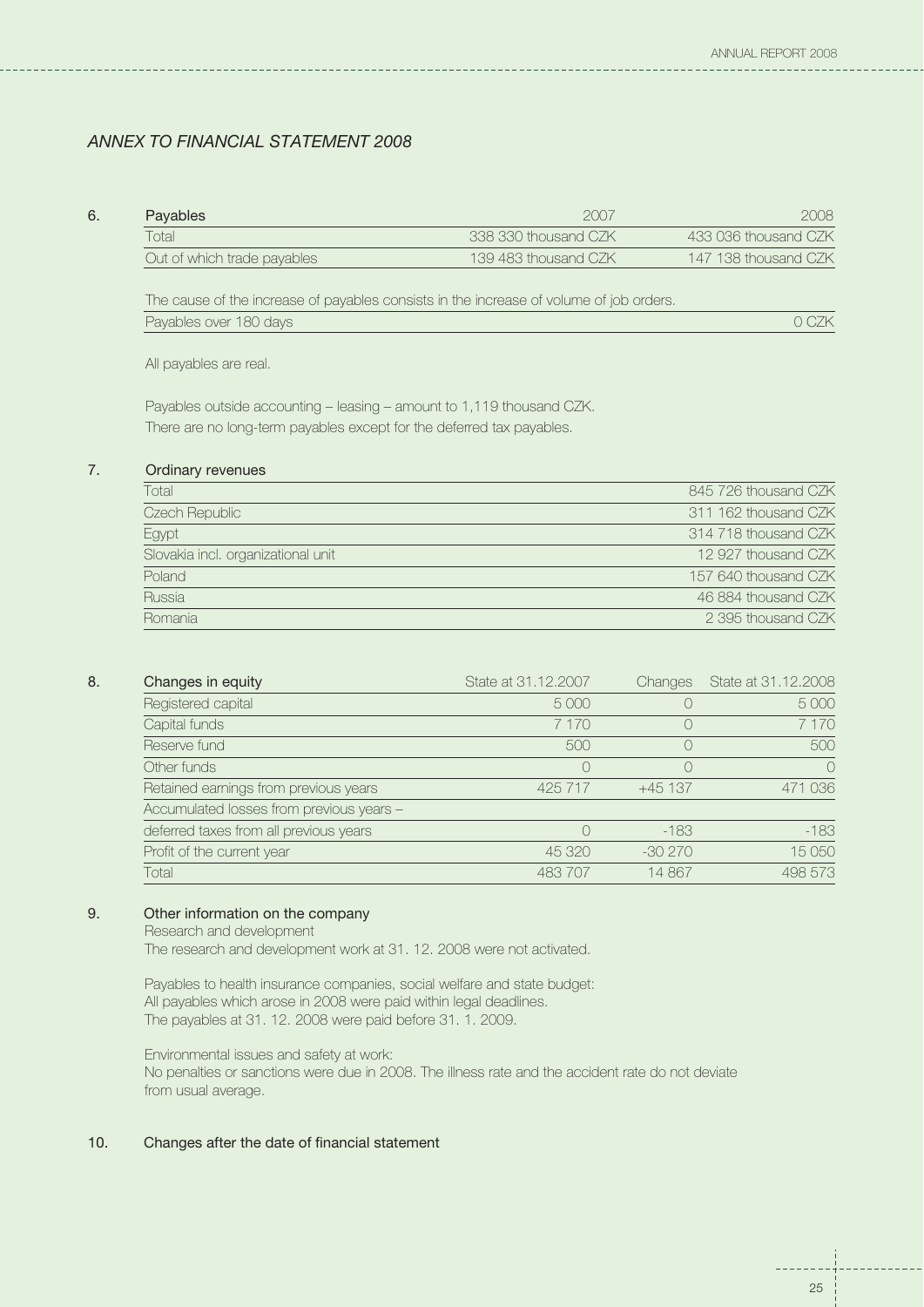## *ANNEX TO FINANCIAL STATEMENT 2008*

| 6. | Payables                    | 2007                 | 2008.                |
|----|-----------------------------|----------------------|----------------------|
|    | Total                       | 338 330 thousand CZK | 433 036 thousand CZK |
|    | Out of which trade payables | 139 483 thousand CZK | 147 138 thousand CZK |

The cause of the increase of payables consists in the increase of volume of job orders. Payables over 180 days and the contract of the contract of the contract of the contract of the contract of the contract of the contract of the contract of the contract of the contract of the contract of the contract of the

All payables are real.

Payables outside accounting – leasing – amount to 1,119 thousand CZK. There are no long-term payables except for the deferred tax payables.

## 7. Ordinary revenues

| Total                              | 845 726 thousand CZK |
|------------------------------------|----------------------|
| Czech Republic                     | 311 162 thousand CZK |
| Egypt                              | 314 718 thousand CZK |
| Slovakia incl. organizational unit | 12 927 thousand CZK  |
| Poland                             | 157 640 thousand CZK |
| Russia                             | 46 884 thousand CZK  |
| Romania                            | 2 395 thousand CZK   |

## 8. Changes in equity

| Changes in equity                        | State at 31,12,2007 | <b>Changes</b> | State at 31.12.2008 |
|------------------------------------------|---------------------|----------------|---------------------|
| Registered capital                       | 5 0 0 0             |                | 5 0 0 0             |
| Capital funds                            | 7 1 7 0             |                | 7 170               |
| Reserve fund                             | 500                 |                | 500                 |
| Other funds                              |                     |                | $\bigcap$           |
| Retained earnings from previous years    | 425 717             | $+45137$       | 471 036             |
| Accumulated losses from previous years - |                     |                |                     |
| deferred taxes from all previous years   |                     | $-183$         | $-183$              |
| Profit of the current year               | 45 320              | $-30270$       | 15 050              |
| Total                                    | 483 707             | 14867          | 498 573             |

## 9. Other information on the company

Research and development

The research and development work at 31. 12. 2008 were not activated.

Payables to health insurance companies, social welfare and state budget: All payables which arose in 2008 were paid within legal deadlines. The payables at 31. 12. 2008 were paid before 31. 1. 2009.

Environmental issues and safety at work: No penalties or sanctions were due in 2008. The illness rate and the accident rate do not deviate from usual average.

#### 10. Changes after the date of financial statement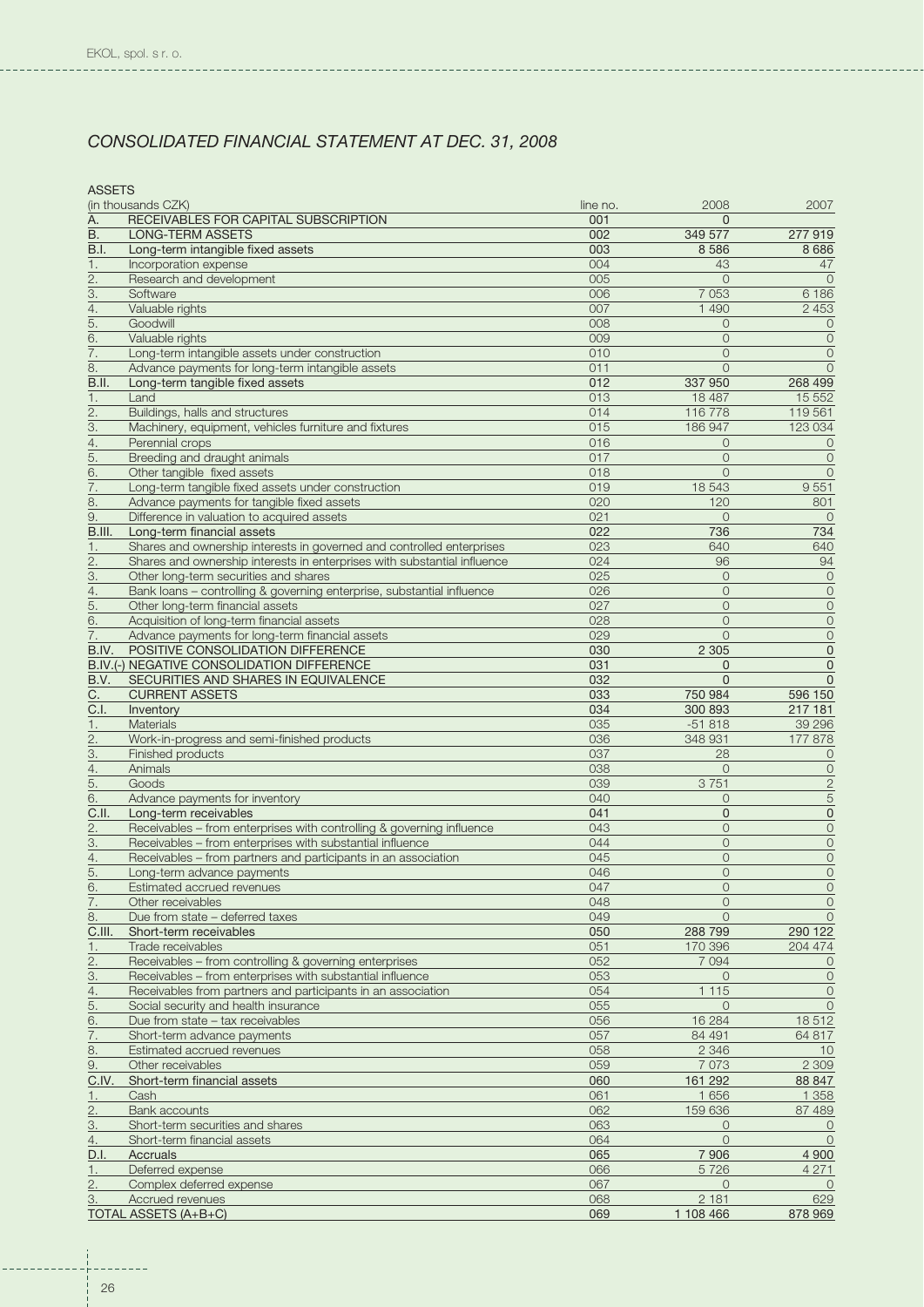| <b>ASSETS</b>    |                                                                          |          |                |                     |
|------------------|--------------------------------------------------------------------------|----------|----------------|---------------------|
|                  | (in thousands CZK)                                                       | line no. | 2008           | 2007                |
| А.               | RECEIVABLES FOR CAPITAL SUBSCRIPTION                                     | 001      | $\Omega$       |                     |
|                  |                                                                          |          |                |                     |
| В.               | <b>LONG-TERM ASSETS</b>                                                  | 002      | 349 577        | 277919              |
| B.I.             | Long-term intangible fixed assets                                        | 003      | 8 5 8 6        | 8686                |
| 1.               | Incorporation expense                                                    | 004      | 43             | 47                  |
| 2.               | Research and development                                                 | 005      | $\circ$        | $\Omega$            |
| 3.               | Software                                                                 | 006      | 7 0 5 3        | 6 1 8 6             |
|                  |                                                                          |          |                |                     |
| 4.               | Valuable rights                                                          | 007      | 1 4 9 0        | 2 4 5 3             |
| 5.               | Goodwill                                                                 | 008      | $\Omega$       | $\overline{0}$      |
| 6.               | Valuable rights                                                          | 009      | $\Omega$       | $\circ$             |
|                  |                                                                          |          |                |                     |
| 7.               | Long-term intangible assets under construction                           | 010      | $\overline{0}$ | $\overline{0}$      |
| 8.               | Advance payments for long-term intangible assets                         | 011      | $\Omega$       | $\Omega$            |
| B.II.            | Long-term tangible fixed assets                                          | 012      | 337 950        | 268 499             |
|                  |                                                                          |          |                |                     |
| 1.               | Land                                                                     | 013      | 18 487         | 15 5 5 2            |
| $\overline{2}$ . | Buildings, halls and structures                                          | 014      | 116 778        | 119 561             |
| 3.               | Machinery, equipment, vehicles furniture and fixtures                    | 015      | 186 947        | 123 034             |
| 4.               | Perennial crops                                                          | 016      | $\overline{0}$ | $\mathbf 0$         |
|                  |                                                                          |          |                |                     |
| 5.               | Breeding and draught animals                                             | 017      | $\overline{0}$ | $\circ$             |
| 6.               | Other tangible fixed assets                                              | 018      | $\Omega$       | $\circ$             |
| 7.               | Long-term tangible fixed assets under construction                       | 019      | 18 543         | 9551                |
|                  |                                                                          |          |                |                     |
| 8.               | Advance payments for tangible fixed assets                               | 020      | 120            | 801                 |
| 9.               | Difference in valuation to acquired assets                               | 021      | $\overline{0}$ | $\Omega$            |
| B.III.           | Long-term financial assets                                               | 022      | 736            | 734                 |
|                  |                                                                          |          |                |                     |
| 1.               | Shares and ownership interests in governed and controlled enterprises    | 023      | 640            | 640                 |
| 2.               | Shares and ownership interests in enterprises with substantial influence | 024      | 96             | 94                  |
| 3.               | Other long-term securities and shares                                    | 025      | $\circ$        | $\circ$             |
|                  |                                                                          |          | $\Omega$       |                     |
| 4.               | Bank loans - controlling & governing enterprise, substantial influence   | 026      |                | $\mathbf 0$         |
| 5.               | Other long-term financial assets                                         | 027      | $\circ$        | $\circ$             |
| 6.               | Acquisition of long-term financial assets                                | 028      | $\Omega$       | $\circ$             |
| 7.               | Advance payments for long-term financial assets                          | 029      | $\Omega$       | $\overline{O}$      |
|                  |                                                                          |          |                |                     |
| B.IV.            | POSITIVE CONSOLIDATION DIFFERENCE                                        | 030      | 2 3 0 5        | $\mathbf 0$         |
|                  | B.IV.(-) NEGATIVE CONSOLIDATION DIFFERENCE                               | 031      | $\mathbf 0$    | $\mathbf 0$         |
| B.V.             | SECURITIES AND SHARES IN EQUIVALENCE                                     | 032      | $\Omega$       | $\overline{0}$      |
|                  |                                                                          |          |                |                     |
| C.               | <b>CURRENT ASSETS</b>                                                    | 033      | 750 984        | 596 150             |
| C.I.             | Inventory                                                                | 034      | 300 893        | 217 181             |
| 1.               | Materials                                                                | 035      | $-51818$       | 39 29 6             |
|                  |                                                                          |          |                |                     |
| 2.               | Work-in-progress and semi-finished products                              | 036      | 348 931        | 177878              |
| З.               | Finished products                                                        | 037      | 28             | 0                   |
| 4.               | Animals                                                                  | 038      | $\overline{O}$ | $\circ$             |
| 5.               | Goods                                                                    | 039      | 3751           | $\overline{c}$      |
|                  |                                                                          |          |                |                     |
| 6.               | Advance payments for inventory                                           | 040      | $\overline{O}$ | 5                   |
| C.II.            | Long-term receivables                                                    | 041      | $\overline{0}$ | $\mathbf 0$         |
| 2.               | Receivables - from enterprises with controlling & governing influence    | 043      | $\circ$        | $\mathsf O$         |
|                  |                                                                          |          |                |                     |
| З.               | Receivables - from enterprises with substantial influence                | 044      | $\overline{O}$ | $\mathsf O$         |
| 4.               | Receivables - from partners and participants in an association           | 045      | $\overline{0}$ | $\circ$             |
| 5.               | Long-term advance payments                                               | 046      | $\overline{O}$ | $\circ$             |
|                  |                                                                          |          |                |                     |
| 6.               | Estimated accrued revenues                                               | 047      | 0              | 0                   |
| 7.               | Other receivables                                                        | 048      | $\overline{0}$ | $\mathbf 0$         |
| 8.               | Due from state – deferred taxes                                          | 049      | $\Omega$       | $\circ$             |
| C.III.           | Short-term receivables                                                   | 050      | 288 799        | 290 122             |
|                  |                                                                          |          |                |                     |
| 1.               | Trade receivables                                                        | 051      | 170 396        | 204 474             |
| $\overline{2}$ . | Receivables - from controlling & governing enterprises                   | 052      | 7 0 9 4        | $\circ$             |
| $\overline{3}$ . | Receivables – from enterprises with substantial influence                | 053      | $\overline{0}$ | $\overline{O}$      |
|                  |                                                                          |          |                |                     |
| 4.               | Receivables from partners and participants in an association             | 054      | 1 1 1 5        | $\mathsf{O}\xspace$ |
| 5.               | Social security and health insurance                                     | 055      | $\overline{O}$ | $\circ$             |
| 6.               | Due from state - tax receivables                                         | 056      | 16 284         | 18512               |
|                  |                                                                          |          |                |                     |
| 7.               | Short-term advance payments                                              | 057      | 84 491         | 64 817              |
| 8.               | Estimated accrued revenues                                               | 058      | 2 3 4 6        | 10                  |
| 9.               | Other receivables                                                        | 059      | 7 0 7 3        | 2 3 0 9             |
| C.IV.            | Short-term financial assets                                              | 060      | 161 292        | 88 847              |
|                  |                                                                          |          |                |                     |
| 1.               | Cash                                                                     | 061      | 1 6 5 6        | 1 3 5 8             |
| $\overline{2}$ . | <b>Bank accounts</b>                                                     | 062      | 159 636        | 87 489              |
| 3.               | Short-term securities and shares                                         | 063      | $\overline{O}$ | $\circ$             |
|                  |                                                                          |          |                |                     |
| $\overline{4}$ . | Short-term financial assets                                              | 064      | $\Omega$       | $\circ$             |
| D.I.             | <b>Accruals</b>                                                          | 065      | 7 9 0 6        | 4 9 0 0             |
| 1.               | Deferred expense                                                         | 066      | 5726           | 4 2 7 1             |
|                  |                                                                          |          |                |                     |
| 2.               | Complex deferred expense                                                 | 067      | $\circ$        | $\circ$             |
| 3.               | Accrued revenues                                                         | 068      | 2 181          | 629                 |
|                  | <b>TOTAL ASSETS (A+B+C)</b>                                              | 069      | 1 108 466      | 878 969             |

---------

-------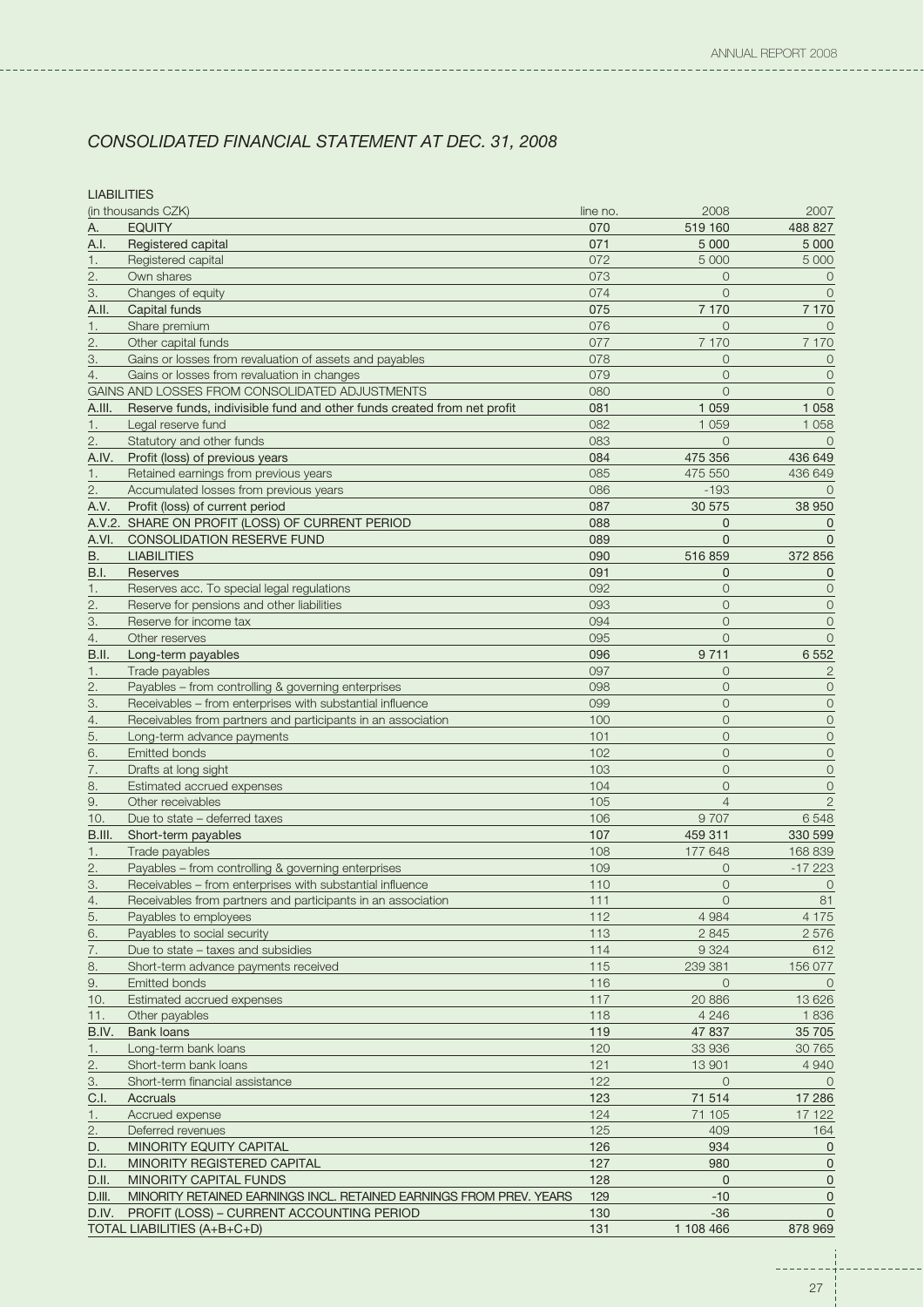----------------------------

**LIABILITIES** 

| <b>EQUITY</b><br>А.<br>070<br>519 160<br>488 827<br>Registered capital<br>071<br>5 0 0 0<br>A.I.<br>5 0 0 0<br>Registered capital<br>072<br>5 0 0 0<br>5 000<br>1.<br>2.<br>073<br>Own shares<br>$\overline{0}$<br>$\overline{0}$<br>З.<br>074<br>$\Omega$<br>Changes of equity<br>$\overline{O}$<br>075<br>Capital funds<br>7 1 7 0<br>7 1 7 0<br>A.II.<br>076<br>Share premium<br>$\Omega$<br>1.<br>$\Omega$<br>077<br>2.<br>Other capital funds<br>7 170<br>7 170<br>078<br>$\Omega$<br>3.<br>Gains or losses from revaluation of assets and payables<br>$\overline{O}$<br>079<br>Gains or losses from revaluation in changes<br>$\Omega$<br>4.<br>$\overline{O}$<br>GAINS AND LOSSES FROM CONSOLIDATED ADJUSTMENTS<br>080<br>$\overline{O}$<br>$\Omega$<br>081<br>Reserve funds, indivisible fund and other funds created from net profit<br>1 0 5 9<br>1 0 5 8<br>A.III.<br>082<br>1 0 5 9<br>1 0 5 8<br>1.<br>Legal reserve fund<br>2.<br>083<br>Statutory and other funds<br>$\Omega$<br>$\Omega$<br>A.IV.<br>Profit (loss) of previous years<br>084<br>475 356<br>436 649<br>085<br>475 550<br>436 649<br>Retained earnings from previous years<br>1.<br>086<br>2.<br>Accumulated losses from previous years<br>$-193$<br>$\Omega$<br>087<br>A.V.<br>Profit (loss) of current period<br>30 575<br>38 950<br>A.V.2. SHARE ON PROFIT (LOSS) OF CURRENT PERIOD<br>088<br>$\overline{0}$<br>$\Omega$<br>A.VI.<br><b>CONSOLIDATION RESERVE FUND</b><br>089<br>$\overline{0}$<br>$\Omega$<br>090<br>В.<br><b>LIABILITIES</b><br>516 859<br>372 856<br>091<br><b>B.I.</b><br>$\overline{0}$<br><b>Reserves</b><br>$\mathbf 0$<br>092<br>$\overline{0}$<br>$\circ$<br>1.<br>Reserves acc. To special legal regulations<br>093<br>$\overline{O}$<br>Reserve for pensions and other liabilities<br>$\circ$<br>2.<br>094<br>$\overline{O}$<br>$\circ$<br>3.<br>Reserve for income tax<br>095<br>$\Omega$<br>4.<br>Other reserves<br>$\overline{O}$<br>9 7 1 1<br>6 5 5 2<br>B.II.<br>Long-term payables<br>096<br>Trade payables<br>097<br>$\overline{O}$<br>$\overline{c}$<br>1.<br>098<br>Payables - from controlling & governing enterprises<br>$\overline{0}$<br>$\overline{0}$<br>2.<br>099<br>$\overline{O}$<br>3.<br>Receivables - from enterprises with substantial influence<br>$\mathbf 0$<br>Receivables from partners and participants in an association<br>100<br>$\overline{0}$<br>$\mathsf{O}\xspace$<br>4.<br>5.<br>101<br>$\overline{O}$<br>Long-term advance payments<br>$\circ$<br>102<br><b>Emitted bonds</b><br>$\overline{0}$<br>$\mathbf 0$<br>6.<br>103<br>$\overline{O}$<br>$\circ$<br>7.<br>Drafts at long sight<br>104<br>$\Omega$<br>8.<br>Estimated accrued expenses<br>$\circ$<br>9.<br>Other receivables<br>105<br>$\overline{4}$<br>$\mathbf{2}$<br>106<br>9707<br>6548<br>Due to state – deferred taxes<br>10.<br>107<br>B.III.<br>Short-term payables<br>459 311<br>330 599<br>108<br>168 839<br>Trade payables<br>177 648<br>1.<br>$\overline{2}$ .<br>109<br>$-17223$<br>Payables - from controlling & governing enterprises<br>$\overline{0}$<br>$\circ$<br>3.<br>Receivables - from enterprises with substantial influence<br>110<br>0<br>$111$<br>Receivables from partners and participants in an association<br>$\circ$<br>81<br>$\overline{4}$ .<br>112<br>4 9 8 4<br>4 1 7 5<br>5.<br>Payables to employees<br>6.<br>Payables to social security<br>113<br>2845<br>2576<br>114<br>7.<br>Due to state - taxes and subsidies<br>9 3 2 4<br>612<br>115<br>8.<br>Short-term advance payments received<br>239 381<br>156 077<br>116<br>9.<br><b>Emitted bonds</b><br>$\overline{O}$<br>$\circ$<br>20 886<br>Estimated accrued expenses<br>117<br>13 6 26<br>10.<br>Other payables<br>118<br>4 2 4 6<br>1836<br>11.<br>119<br>B.IV.<br><b>Bank loans</b><br>47 837<br>35 705<br>120<br>Long-term bank loans<br>33 936<br>30765<br>1.<br>2.<br>Short-term bank loans<br>121<br>13 901<br>4 9 4 0<br>122<br>Short-term financial assistance<br>$\overline{O}$<br>3.<br>$\circ$<br>123<br>71 514<br>17 28 6<br>Accruals<br>C.I.<br>Accrued expense<br>124<br>71 105<br>17 122<br>1.<br>2.<br>125<br>409<br>Deferred revenues<br>164<br>D.<br>MINORITY EQUITY CAPITAL<br>126<br>934<br>0<br>MINORITY REGISTERED CAPITAL<br>127<br>980<br>$\mathbf 0$<br>D.I.<br>128<br>MINORITY CAPITAL FUNDS<br>$\mathbf{0}$<br>$\mathbf 0$<br>D.II.<br>$-10$<br>MINORITY RETAINED EARNINGS INCL. RETAINED EARNINGS FROM PREV. YEARS<br>129<br>D.III.<br>$\mathbf 0$<br>D.IV.<br>PROFIT (LOSS) - CURRENT ACCOUNTING PERIOD<br>130<br>$-36$<br>$\mathbf{0}$<br>TOTAL LIABILITIES (A+B+C+D)<br>131<br>1 108 466<br>878 969 | (in thousands CZK) | line no. | 2008 | 2007 |
|-----------------------------------------------------------------------------------------------------------------------------------------------------------------------------------------------------------------------------------------------------------------------------------------------------------------------------------------------------------------------------------------------------------------------------------------------------------------------------------------------------------------------------------------------------------------------------------------------------------------------------------------------------------------------------------------------------------------------------------------------------------------------------------------------------------------------------------------------------------------------------------------------------------------------------------------------------------------------------------------------------------------------------------------------------------------------------------------------------------------------------------------------------------------------------------------------------------------------------------------------------------------------------------------------------------------------------------------------------------------------------------------------------------------------------------------------------------------------------------------------------------------------------------------------------------------------------------------------------------------------------------------------------------------------------------------------------------------------------------------------------------------------------------------------------------------------------------------------------------------------------------------------------------------------------------------------------------------------------------------------------------------------------------------------------------------------------------------------------------------------------------------------------------------------------------------------------------------------------------------------------------------------------------------------------------------------------------------------------------------------------------------------------------------------------------------------------------------------------------------------------------------------------------------------------------------------------------------------------------------------------------------------------------------------------------------------------------------------------------------------------------------------------------------------------------------------------------------------------------------------------------------------------------------------------------------------------------------------------------------------------------------------------------------------------------------------------------------------------------------------------------------------------------------------------------------------------------------------------------------------------------------------------------------------------------------------------------------------------------------------------------------------------------------------------------------------------------------------------------------------------------------------------------------------------------------------------------------------------------------------------------------------------------------------------------------------------------------------------------------------------------------------------------------------------------------------------------------------------------------------------------------------------------------------------------------------------------------------------------------------------------------------------------------------------------------------------------------------------------------------------------------------------------------------------------------------------------------------------------------------------------------------------------------------------------------------------------------------------------------------------------------------------------------------------------------------------------------------------------------------------------------------------------------------------------------------------------------------------------------------------------------|--------------------|----------|------|------|
|                                                                                                                                                                                                                                                                                                                                                                                                                                                                                                                                                                                                                                                                                                                                                                                                                                                                                                                                                                                                                                                                                                                                                                                                                                                                                                                                                                                                                                                                                                                                                                                                                                                                                                                                                                                                                                                                                                                                                                                                                                                                                                                                                                                                                                                                                                                                                                                                                                                                                                                                                                                                                                                                                                                                                                                                                                                                                                                                                                                                                                                                                                                                                                                                                                                                                                                                                                                                                                                                                                                                                                                                                                                                                                                                                                                                                                                                                                                                                                                                                                                                                                                                                                                                                                                                                                                                                                                                                                                                                                                                                                                                                                         |                    |          |      |      |
|                                                                                                                                                                                                                                                                                                                                                                                                                                                                                                                                                                                                                                                                                                                                                                                                                                                                                                                                                                                                                                                                                                                                                                                                                                                                                                                                                                                                                                                                                                                                                                                                                                                                                                                                                                                                                                                                                                                                                                                                                                                                                                                                                                                                                                                                                                                                                                                                                                                                                                                                                                                                                                                                                                                                                                                                                                                                                                                                                                                                                                                                                                                                                                                                                                                                                                                                                                                                                                                                                                                                                                                                                                                                                                                                                                                                                                                                                                                                                                                                                                                                                                                                                                                                                                                                                                                                                                                                                                                                                                                                                                                                                                         |                    |          |      |      |
|                                                                                                                                                                                                                                                                                                                                                                                                                                                                                                                                                                                                                                                                                                                                                                                                                                                                                                                                                                                                                                                                                                                                                                                                                                                                                                                                                                                                                                                                                                                                                                                                                                                                                                                                                                                                                                                                                                                                                                                                                                                                                                                                                                                                                                                                                                                                                                                                                                                                                                                                                                                                                                                                                                                                                                                                                                                                                                                                                                                                                                                                                                                                                                                                                                                                                                                                                                                                                                                                                                                                                                                                                                                                                                                                                                                                                                                                                                                                                                                                                                                                                                                                                                                                                                                                                                                                                                                                                                                                                                                                                                                                                                         |                    |          |      |      |
|                                                                                                                                                                                                                                                                                                                                                                                                                                                                                                                                                                                                                                                                                                                                                                                                                                                                                                                                                                                                                                                                                                                                                                                                                                                                                                                                                                                                                                                                                                                                                                                                                                                                                                                                                                                                                                                                                                                                                                                                                                                                                                                                                                                                                                                                                                                                                                                                                                                                                                                                                                                                                                                                                                                                                                                                                                                                                                                                                                                                                                                                                                                                                                                                                                                                                                                                                                                                                                                                                                                                                                                                                                                                                                                                                                                                                                                                                                                                                                                                                                                                                                                                                                                                                                                                                                                                                                                                                                                                                                                                                                                                                                         |                    |          |      |      |
|                                                                                                                                                                                                                                                                                                                                                                                                                                                                                                                                                                                                                                                                                                                                                                                                                                                                                                                                                                                                                                                                                                                                                                                                                                                                                                                                                                                                                                                                                                                                                                                                                                                                                                                                                                                                                                                                                                                                                                                                                                                                                                                                                                                                                                                                                                                                                                                                                                                                                                                                                                                                                                                                                                                                                                                                                                                                                                                                                                                                                                                                                                                                                                                                                                                                                                                                                                                                                                                                                                                                                                                                                                                                                                                                                                                                                                                                                                                                                                                                                                                                                                                                                                                                                                                                                                                                                                                                                                                                                                                                                                                                                                         |                    |          |      |      |
|                                                                                                                                                                                                                                                                                                                                                                                                                                                                                                                                                                                                                                                                                                                                                                                                                                                                                                                                                                                                                                                                                                                                                                                                                                                                                                                                                                                                                                                                                                                                                                                                                                                                                                                                                                                                                                                                                                                                                                                                                                                                                                                                                                                                                                                                                                                                                                                                                                                                                                                                                                                                                                                                                                                                                                                                                                                                                                                                                                                                                                                                                                                                                                                                                                                                                                                                                                                                                                                                                                                                                                                                                                                                                                                                                                                                                                                                                                                                                                                                                                                                                                                                                                                                                                                                                                                                                                                                                                                                                                                                                                                                                                         |                    |          |      |      |
|                                                                                                                                                                                                                                                                                                                                                                                                                                                                                                                                                                                                                                                                                                                                                                                                                                                                                                                                                                                                                                                                                                                                                                                                                                                                                                                                                                                                                                                                                                                                                                                                                                                                                                                                                                                                                                                                                                                                                                                                                                                                                                                                                                                                                                                                                                                                                                                                                                                                                                                                                                                                                                                                                                                                                                                                                                                                                                                                                                                                                                                                                                                                                                                                                                                                                                                                                                                                                                                                                                                                                                                                                                                                                                                                                                                                                                                                                                                                                                                                                                                                                                                                                                                                                                                                                                                                                                                                                                                                                                                                                                                                                                         |                    |          |      |      |
|                                                                                                                                                                                                                                                                                                                                                                                                                                                                                                                                                                                                                                                                                                                                                                                                                                                                                                                                                                                                                                                                                                                                                                                                                                                                                                                                                                                                                                                                                                                                                                                                                                                                                                                                                                                                                                                                                                                                                                                                                                                                                                                                                                                                                                                                                                                                                                                                                                                                                                                                                                                                                                                                                                                                                                                                                                                                                                                                                                                                                                                                                                                                                                                                                                                                                                                                                                                                                                                                                                                                                                                                                                                                                                                                                                                                                                                                                                                                                                                                                                                                                                                                                                                                                                                                                                                                                                                                                                                                                                                                                                                                                                         |                    |          |      |      |
|                                                                                                                                                                                                                                                                                                                                                                                                                                                                                                                                                                                                                                                                                                                                                                                                                                                                                                                                                                                                                                                                                                                                                                                                                                                                                                                                                                                                                                                                                                                                                                                                                                                                                                                                                                                                                                                                                                                                                                                                                                                                                                                                                                                                                                                                                                                                                                                                                                                                                                                                                                                                                                                                                                                                                                                                                                                                                                                                                                                                                                                                                                                                                                                                                                                                                                                                                                                                                                                                                                                                                                                                                                                                                                                                                                                                                                                                                                                                                                                                                                                                                                                                                                                                                                                                                                                                                                                                                                                                                                                                                                                                                                         |                    |          |      |      |
|                                                                                                                                                                                                                                                                                                                                                                                                                                                                                                                                                                                                                                                                                                                                                                                                                                                                                                                                                                                                                                                                                                                                                                                                                                                                                                                                                                                                                                                                                                                                                                                                                                                                                                                                                                                                                                                                                                                                                                                                                                                                                                                                                                                                                                                                                                                                                                                                                                                                                                                                                                                                                                                                                                                                                                                                                                                                                                                                                                                                                                                                                                                                                                                                                                                                                                                                                                                                                                                                                                                                                                                                                                                                                                                                                                                                                                                                                                                                                                                                                                                                                                                                                                                                                                                                                                                                                                                                                                                                                                                                                                                                                                         |                    |          |      |      |
|                                                                                                                                                                                                                                                                                                                                                                                                                                                                                                                                                                                                                                                                                                                                                                                                                                                                                                                                                                                                                                                                                                                                                                                                                                                                                                                                                                                                                                                                                                                                                                                                                                                                                                                                                                                                                                                                                                                                                                                                                                                                                                                                                                                                                                                                                                                                                                                                                                                                                                                                                                                                                                                                                                                                                                                                                                                                                                                                                                                                                                                                                                                                                                                                                                                                                                                                                                                                                                                                                                                                                                                                                                                                                                                                                                                                                                                                                                                                                                                                                                                                                                                                                                                                                                                                                                                                                                                                                                                                                                                                                                                                                                         |                    |          |      |      |
|                                                                                                                                                                                                                                                                                                                                                                                                                                                                                                                                                                                                                                                                                                                                                                                                                                                                                                                                                                                                                                                                                                                                                                                                                                                                                                                                                                                                                                                                                                                                                                                                                                                                                                                                                                                                                                                                                                                                                                                                                                                                                                                                                                                                                                                                                                                                                                                                                                                                                                                                                                                                                                                                                                                                                                                                                                                                                                                                                                                                                                                                                                                                                                                                                                                                                                                                                                                                                                                                                                                                                                                                                                                                                                                                                                                                                                                                                                                                                                                                                                                                                                                                                                                                                                                                                                                                                                                                                                                                                                                                                                                                                                         |                    |          |      |      |
|                                                                                                                                                                                                                                                                                                                                                                                                                                                                                                                                                                                                                                                                                                                                                                                                                                                                                                                                                                                                                                                                                                                                                                                                                                                                                                                                                                                                                                                                                                                                                                                                                                                                                                                                                                                                                                                                                                                                                                                                                                                                                                                                                                                                                                                                                                                                                                                                                                                                                                                                                                                                                                                                                                                                                                                                                                                                                                                                                                                                                                                                                                                                                                                                                                                                                                                                                                                                                                                                                                                                                                                                                                                                                                                                                                                                                                                                                                                                                                                                                                                                                                                                                                                                                                                                                                                                                                                                                                                                                                                                                                                                                                         |                    |          |      |      |
|                                                                                                                                                                                                                                                                                                                                                                                                                                                                                                                                                                                                                                                                                                                                                                                                                                                                                                                                                                                                                                                                                                                                                                                                                                                                                                                                                                                                                                                                                                                                                                                                                                                                                                                                                                                                                                                                                                                                                                                                                                                                                                                                                                                                                                                                                                                                                                                                                                                                                                                                                                                                                                                                                                                                                                                                                                                                                                                                                                                                                                                                                                                                                                                                                                                                                                                                                                                                                                                                                                                                                                                                                                                                                                                                                                                                                                                                                                                                                                                                                                                                                                                                                                                                                                                                                                                                                                                                                                                                                                                                                                                                                                         |                    |          |      |      |
|                                                                                                                                                                                                                                                                                                                                                                                                                                                                                                                                                                                                                                                                                                                                                                                                                                                                                                                                                                                                                                                                                                                                                                                                                                                                                                                                                                                                                                                                                                                                                                                                                                                                                                                                                                                                                                                                                                                                                                                                                                                                                                                                                                                                                                                                                                                                                                                                                                                                                                                                                                                                                                                                                                                                                                                                                                                                                                                                                                                                                                                                                                                                                                                                                                                                                                                                                                                                                                                                                                                                                                                                                                                                                                                                                                                                                                                                                                                                                                                                                                                                                                                                                                                                                                                                                                                                                                                                                                                                                                                                                                                                                                         |                    |          |      |      |
|                                                                                                                                                                                                                                                                                                                                                                                                                                                                                                                                                                                                                                                                                                                                                                                                                                                                                                                                                                                                                                                                                                                                                                                                                                                                                                                                                                                                                                                                                                                                                                                                                                                                                                                                                                                                                                                                                                                                                                                                                                                                                                                                                                                                                                                                                                                                                                                                                                                                                                                                                                                                                                                                                                                                                                                                                                                                                                                                                                                                                                                                                                                                                                                                                                                                                                                                                                                                                                                                                                                                                                                                                                                                                                                                                                                                                                                                                                                                                                                                                                                                                                                                                                                                                                                                                                                                                                                                                                                                                                                                                                                                                                         |                    |          |      |      |
|                                                                                                                                                                                                                                                                                                                                                                                                                                                                                                                                                                                                                                                                                                                                                                                                                                                                                                                                                                                                                                                                                                                                                                                                                                                                                                                                                                                                                                                                                                                                                                                                                                                                                                                                                                                                                                                                                                                                                                                                                                                                                                                                                                                                                                                                                                                                                                                                                                                                                                                                                                                                                                                                                                                                                                                                                                                                                                                                                                                                                                                                                                                                                                                                                                                                                                                                                                                                                                                                                                                                                                                                                                                                                                                                                                                                                                                                                                                                                                                                                                                                                                                                                                                                                                                                                                                                                                                                                                                                                                                                                                                                                                         |                    |          |      |      |
|                                                                                                                                                                                                                                                                                                                                                                                                                                                                                                                                                                                                                                                                                                                                                                                                                                                                                                                                                                                                                                                                                                                                                                                                                                                                                                                                                                                                                                                                                                                                                                                                                                                                                                                                                                                                                                                                                                                                                                                                                                                                                                                                                                                                                                                                                                                                                                                                                                                                                                                                                                                                                                                                                                                                                                                                                                                                                                                                                                                                                                                                                                                                                                                                                                                                                                                                                                                                                                                                                                                                                                                                                                                                                                                                                                                                                                                                                                                                                                                                                                                                                                                                                                                                                                                                                                                                                                                                                                                                                                                                                                                                                                         |                    |          |      |      |
|                                                                                                                                                                                                                                                                                                                                                                                                                                                                                                                                                                                                                                                                                                                                                                                                                                                                                                                                                                                                                                                                                                                                                                                                                                                                                                                                                                                                                                                                                                                                                                                                                                                                                                                                                                                                                                                                                                                                                                                                                                                                                                                                                                                                                                                                                                                                                                                                                                                                                                                                                                                                                                                                                                                                                                                                                                                                                                                                                                                                                                                                                                                                                                                                                                                                                                                                                                                                                                                                                                                                                                                                                                                                                                                                                                                                                                                                                                                                                                                                                                                                                                                                                                                                                                                                                                                                                                                                                                                                                                                                                                                                                                         |                    |          |      |      |
|                                                                                                                                                                                                                                                                                                                                                                                                                                                                                                                                                                                                                                                                                                                                                                                                                                                                                                                                                                                                                                                                                                                                                                                                                                                                                                                                                                                                                                                                                                                                                                                                                                                                                                                                                                                                                                                                                                                                                                                                                                                                                                                                                                                                                                                                                                                                                                                                                                                                                                                                                                                                                                                                                                                                                                                                                                                                                                                                                                                                                                                                                                                                                                                                                                                                                                                                                                                                                                                                                                                                                                                                                                                                                                                                                                                                                                                                                                                                                                                                                                                                                                                                                                                                                                                                                                                                                                                                                                                                                                                                                                                                                                         |                    |          |      |      |
|                                                                                                                                                                                                                                                                                                                                                                                                                                                                                                                                                                                                                                                                                                                                                                                                                                                                                                                                                                                                                                                                                                                                                                                                                                                                                                                                                                                                                                                                                                                                                                                                                                                                                                                                                                                                                                                                                                                                                                                                                                                                                                                                                                                                                                                                                                                                                                                                                                                                                                                                                                                                                                                                                                                                                                                                                                                                                                                                                                                                                                                                                                                                                                                                                                                                                                                                                                                                                                                                                                                                                                                                                                                                                                                                                                                                                                                                                                                                                                                                                                                                                                                                                                                                                                                                                                                                                                                                                                                                                                                                                                                                                                         |                    |          |      |      |
|                                                                                                                                                                                                                                                                                                                                                                                                                                                                                                                                                                                                                                                                                                                                                                                                                                                                                                                                                                                                                                                                                                                                                                                                                                                                                                                                                                                                                                                                                                                                                                                                                                                                                                                                                                                                                                                                                                                                                                                                                                                                                                                                                                                                                                                                                                                                                                                                                                                                                                                                                                                                                                                                                                                                                                                                                                                                                                                                                                                                                                                                                                                                                                                                                                                                                                                                                                                                                                                                                                                                                                                                                                                                                                                                                                                                                                                                                                                                                                                                                                                                                                                                                                                                                                                                                                                                                                                                                                                                                                                                                                                                                                         |                    |          |      |      |
|                                                                                                                                                                                                                                                                                                                                                                                                                                                                                                                                                                                                                                                                                                                                                                                                                                                                                                                                                                                                                                                                                                                                                                                                                                                                                                                                                                                                                                                                                                                                                                                                                                                                                                                                                                                                                                                                                                                                                                                                                                                                                                                                                                                                                                                                                                                                                                                                                                                                                                                                                                                                                                                                                                                                                                                                                                                                                                                                                                                                                                                                                                                                                                                                                                                                                                                                                                                                                                                                                                                                                                                                                                                                                                                                                                                                                                                                                                                                                                                                                                                                                                                                                                                                                                                                                                                                                                                                                                                                                                                                                                                                                                         |                    |          |      |      |
|                                                                                                                                                                                                                                                                                                                                                                                                                                                                                                                                                                                                                                                                                                                                                                                                                                                                                                                                                                                                                                                                                                                                                                                                                                                                                                                                                                                                                                                                                                                                                                                                                                                                                                                                                                                                                                                                                                                                                                                                                                                                                                                                                                                                                                                                                                                                                                                                                                                                                                                                                                                                                                                                                                                                                                                                                                                                                                                                                                                                                                                                                                                                                                                                                                                                                                                                                                                                                                                                                                                                                                                                                                                                                                                                                                                                                                                                                                                                                                                                                                                                                                                                                                                                                                                                                                                                                                                                                                                                                                                                                                                                                                         |                    |          |      |      |
|                                                                                                                                                                                                                                                                                                                                                                                                                                                                                                                                                                                                                                                                                                                                                                                                                                                                                                                                                                                                                                                                                                                                                                                                                                                                                                                                                                                                                                                                                                                                                                                                                                                                                                                                                                                                                                                                                                                                                                                                                                                                                                                                                                                                                                                                                                                                                                                                                                                                                                                                                                                                                                                                                                                                                                                                                                                                                                                                                                                                                                                                                                                                                                                                                                                                                                                                                                                                                                                                                                                                                                                                                                                                                                                                                                                                                                                                                                                                                                                                                                                                                                                                                                                                                                                                                                                                                                                                                                                                                                                                                                                                                                         |                    |          |      |      |
|                                                                                                                                                                                                                                                                                                                                                                                                                                                                                                                                                                                                                                                                                                                                                                                                                                                                                                                                                                                                                                                                                                                                                                                                                                                                                                                                                                                                                                                                                                                                                                                                                                                                                                                                                                                                                                                                                                                                                                                                                                                                                                                                                                                                                                                                                                                                                                                                                                                                                                                                                                                                                                                                                                                                                                                                                                                                                                                                                                                                                                                                                                                                                                                                                                                                                                                                                                                                                                                                                                                                                                                                                                                                                                                                                                                                                                                                                                                                                                                                                                                                                                                                                                                                                                                                                                                                                                                                                                                                                                                                                                                                                                         |                    |          |      |      |
|                                                                                                                                                                                                                                                                                                                                                                                                                                                                                                                                                                                                                                                                                                                                                                                                                                                                                                                                                                                                                                                                                                                                                                                                                                                                                                                                                                                                                                                                                                                                                                                                                                                                                                                                                                                                                                                                                                                                                                                                                                                                                                                                                                                                                                                                                                                                                                                                                                                                                                                                                                                                                                                                                                                                                                                                                                                                                                                                                                                                                                                                                                                                                                                                                                                                                                                                                                                                                                                                                                                                                                                                                                                                                                                                                                                                                                                                                                                                                                                                                                                                                                                                                                                                                                                                                                                                                                                                                                                                                                                                                                                                                                         |                    |          |      |      |
|                                                                                                                                                                                                                                                                                                                                                                                                                                                                                                                                                                                                                                                                                                                                                                                                                                                                                                                                                                                                                                                                                                                                                                                                                                                                                                                                                                                                                                                                                                                                                                                                                                                                                                                                                                                                                                                                                                                                                                                                                                                                                                                                                                                                                                                                                                                                                                                                                                                                                                                                                                                                                                                                                                                                                                                                                                                                                                                                                                                                                                                                                                                                                                                                                                                                                                                                                                                                                                                                                                                                                                                                                                                                                                                                                                                                                                                                                                                                                                                                                                                                                                                                                                                                                                                                                                                                                                                                                                                                                                                                                                                                                                         |                    |          |      |      |
|                                                                                                                                                                                                                                                                                                                                                                                                                                                                                                                                                                                                                                                                                                                                                                                                                                                                                                                                                                                                                                                                                                                                                                                                                                                                                                                                                                                                                                                                                                                                                                                                                                                                                                                                                                                                                                                                                                                                                                                                                                                                                                                                                                                                                                                                                                                                                                                                                                                                                                                                                                                                                                                                                                                                                                                                                                                                                                                                                                                                                                                                                                                                                                                                                                                                                                                                                                                                                                                                                                                                                                                                                                                                                                                                                                                                                                                                                                                                                                                                                                                                                                                                                                                                                                                                                                                                                                                                                                                                                                                                                                                                                                         |                    |          |      |      |
|                                                                                                                                                                                                                                                                                                                                                                                                                                                                                                                                                                                                                                                                                                                                                                                                                                                                                                                                                                                                                                                                                                                                                                                                                                                                                                                                                                                                                                                                                                                                                                                                                                                                                                                                                                                                                                                                                                                                                                                                                                                                                                                                                                                                                                                                                                                                                                                                                                                                                                                                                                                                                                                                                                                                                                                                                                                                                                                                                                                                                                                                                                                                                                                                                                                                                                                                                                                                                                                                                                                                                                                                                                                                                                                                                                                                                                                                                                                                                                                                                                                                                                                                                                                                                                                                                                                                                                                                                                                                                                                                                                                                                                         |                    |          |      |      |
|                                                                                                                                                                                                                                                                                                                                                                                                                                                                                                                                                                                                                                                                                                                                                                                                                                                                                                                                                                                                                                                                                                                                                                                                                                                                                                                                                                                                                                                                                                                                                                                                                                                                                                                                                                                                                                                                                                                                                                                                                                                                                                                                                                                                                                                                                                                                                                                                                                                                                                                                                                                                                                                                                                                                                                                                                                                                                                                                                                                                                                                                                                                                                                                                                                                                                                                                                                                                                                                                                                                                                                                                                                                                                                                                                                                                                                                                                                                                                                                                                                                                                                                                                                                                                                                                                                                                                                                                                                                                                                                                                                                                                                         |                    |          |      |      |
|                                                                                                                                                                                                                                                                                                                                                                                                                                                                                                                                                                                                                                                                                                                                                                                                                                                                                                                                                                                                                                                                                                                                                                                                                                                                                                                                                                                                                                                                                                                                                                                                                                                                                                                                                                                                                                                                                                                                                                                                                                                                                                                                                                                                                                                                                                                                                                                                                                                                                                                                                                                                                                                                                                                                                                                                                                                                                                                                                                                                                                                                                                                                                                                                                                                                                                                                                                                                                                                                                                                                                                                                                                                                                                                                                                                                                                                                                                                                                                                                                                                                                                                                                                                                                                                                                                                                                                                                                                                                                                                                                                                                                                         |                    |          |      |      |
|                                                                                                                                                                                                                                                                                                                                                                                                                                                                                                                                                                                                                                                                                                                                                                                                                                                                                                                                                                                                                                                                                                                                                                                                                                                                                                                                                                                                                                                                                                                                                                                                                                                                                                                                                                                                                                                                                                                                                                                                                                                                                                                                                                                                                                                                                                                                                                                                                                                                                                                                                                                                                                                                                                                                                                                                                                                                                                                                                                                                                                                                                                                                                                                                                                                                                                                                                                                                                                                                                                                                                                                                                                                                                                                                                                                                                                                                                                                                                                                                                                                                                                                                                                                                                                                                                                                                                                                                                                                                                                                                                                                                                                         |                    |          |      |      |
|                                                                                                                                                                                                                                                                                                                                                                                                                                                                                                                                                                                                                                                                                                                                                                                                                                                                                                                                                                                                                                                                                                                                                                                                                                                                                                                                                                                                                                                                                                                                                                                                                                                                                                                                                                                                                                                                                                                                                                                                                                                                                                                                                                                                                                                                                                                                                                                                                                                                                                                                                                                                                                                                                                                                                                                                                                                                                                                                                                                                                                                                                                                                                                                                                                                                                                                                                                                                                                                                                                                                                                                                                                                                                                                                                                                                                                                                                                                                                                                                                                                                                                                                                                                                                                                                                                                                                                                                                                                                                                                                                                                                                                         |                    |          |      |      |
|                                                                                                                                                                                                                                                                                                                                                                                                                                                                                                                                                                                                                                                                                                                                                                                                                                                                                                                                                                                                                                                                                                                                                                                                                                                                                                                                                                                                                                                                                                                                                                                                                                                                                                                                                                                                                                                                                                                                                                                                                                                                                                                                                                                                                                                                                                                                                                                                                                                                                                                                                                                                                                                                                                                                                                                                                                                                                                                                                                                                                                                                                                                                                                                                                                                                                                                                                                                                                                                                                                                                                                                                                                                                                                                                                                                                                                                                                                                                                                                                                                                                                                                                                                                                                                                                                                                                                                                                                                                                                                                                                                                                                                         |                    |          |      |      |
|                                                                                                                                                                                                                                                                                                                                                                                                                                                                                                                                                                                                                                                                                                                                                                                                                                                                                                                                                                                                                                                                                                                                                                                                                                                                                                                                                                                                                                                                                                                                                                                                                                                                                                                                                                                                                                                                                                                                                                                                                                                                                                                                                                                                                                                                                                                                                                                                                                                                                                                                                                                                                                                                                                                                                                                                                                                                                                                                                                                                                                                                                                                                                                                                                                                                                                                                                                                                                                                                                                                                                                                                                                                                                                                                                                                                                                                                                                                                                                                                                                                                                                                                                                                                                                                                                                                                                                                                                                                                                                                                                                                                                                         |                    |          |      |      |
|                                                                                                                                                                                                                                                                                                                                                                                                                                                                                                                                                                                                                                                                                                                                                                                                                                                                                                                                                                                                                                                                                                                                                                                                                                                                                                                                                                                                                                                                                                                                                                                                                                                                                                                                                                                                                                                                                                                                                                                                                                                                                                                                                                                                                                                                                                                                                                                                                                                                                                                                                                                                                                                                                                                                                                                                                                                                                                                                                                                                                                                                                                                                                                                                                                                                                                                                                                                                                                                                                                                                                                                                                                                                                                                                                                                                                                                                                                                                                                                                                                                                                                                                                                                                                                                                                                                                                                                                                                                                                                                                                                                                                                         |                    |          |      |      |
|                                                                                                                                                                                                                                                                                                                                                                                                                                                                                                                                                                                                                                                                                                                                                                                                                                                                                                                                                                                                                                                                                                                                                                                                                                                                                                                                                                                                                                                                                                                                                                                                                                                                                                                                                                                                                                                                                                                                                                                                                                                                                                                                                                                                                                                                                                                                                                                                                                                                                                                                                                                                                                                                                                                                                                                                                                                                                                                                                                                                                                                                                                                                                                                                                                                                                                                                                                                                                                                                                                                                                                                                                                                                                                                                                                                                                                                                                                                                                                                                                                                                                                                                                                                                                                                                                                                                                                                                                                                                                                                                                                                                                                         |                    |          |      |      |
|                                                                                                                                                                                                                                                                                                                                                                                                                                                                                                                                                                                                                                                                                                                                                                                                                                                                                                                                                                                                                                                                                                                                                                                                                                                                                                                                                                                                                                                                                                                                                                                                                                                                                                                                                                                                                                                                                                                                                                                                                                                                                                                                                                                                                                                                                                                                                                                                                                                                                                                                                                                                                                                                                                                                                                                                                                                                                                                                                                                                                                                                                                                                                                                                                                                                                                                                                                                                                                                                                                                                                                                                                                                                                                                                                                                                                                                                                                                                                                                                                                                                                                                                                                                                                                                                                                                                                                                                                                                                                                                                                                                                                                         |                    |          |      |      |
|                                                                                                                                                                                                                                                                                                                                                                                                                                                                                                                                                                                                                                                                                                                                                                                                                                                                                                                                                                                                                                                                                                                                                                                                                                                                                                                                                                                                                                                                                                                                                                                                                                                                                                                                                                                                                                                                                                                                                                                                                                                                                                                                                                                                                                                                                                                                                                                                                                                                                                                                                                                                                                                                                                                                                                                                                                                                                                                                                                                                                                                                                                                                                                                                                                                                                                                                                                                                                                                                                                                                                                                                                                                                                                                                                                                                                                                                                                                                                                                                                                                                                                                                                                                                                                                                                                                                                                                                                                                                                                                                                                                                                                         |                    |          |      |      |
|                                                                                                                                                                                                                                                                                                                                                                                                                                                                                                                                                                                                                                                                                                                                                                                                                                                                                                                                                                                                                                                                                                                                                                                                                                                                                                                                                                                                                                                                                                                                                                                                                                                                                                                                                                                                                                                                                                                                                                                                                                                                                                                                                                                                                                                                                                                                                                                                                                                                                                                                                                                                                                                                                                                                                                                                                                                                                                                                                                                                                                                                                                                                                                                                                                                                                                                                                                                                                                                                                                                                                                                                                                                                                                                                                                                                                                                                                                                                                                                                                                                                                                                                                                                                                                                                                                                                                                                                                                                                                                                                                                                                                                         |                    |          |      |      |
|                                                                                                                                                                                                                                                                                                                                                                                                                                                                                                                                                                                                                                                                                                                                                                                                                                                                                                                                                                                                                                                                                                                                                                                                                                                                                                                                                                                                                                                                                                                                                                                                                                                                                                                                                                                                                                                                                                                                                                                                                                                                                                                                                                                                                                                                                                                                                                                                                                                                                                                                                                                                                                                                                                                                                                                                                                                                                                                                                                                                                                                                                                                                                                                                                                                                                                                                                                                                                                                                                                                                                                                                                                                                                                                                                                                                                                                                                                                                                                                                                                                                                                                                                                                                                                                                                                                                                                                                                                                                                                                                                                                                                                         |                    |          |      |      |
|                                                                                                                                                                                                                                                                                                                                                                                                                                                                                                                                                                                                                                                                                                                                                                                                                                                                                                                                                                                                                                                                                                                                                                                                                                                                                                                                                                                                                                                                                                                                                                                                                                                                                                                                                                                                                                                                                                                                                                                                                                                                                                                                                                                                                                                                                                                                                                                                                                                                                                                                                                                                                                                                                                                                                                                                                                                                                                                                                                                                                                                                                                                                                                                                                                                                                                                                                                                                                                                                                                                                                                                                                                                                                                                                                                                                                                                                                                                                                                                                                                                                                                                                                                                                                                                                                                                                                                                                                                                                                                                                                                                                                                         |                    |          |      |      |
|                                                                                                                                                                                                                                                                                                                                                                                                                                                                                                                                                                                                                                                                                                                                                                                                                                                                                                                                                                                                                                                                                                                                                                                                                                                                                                                                                                                                                                                                                                                                                                                                                                                                                                                                                                                                                                                                                                                                                                                                                                                                                                                                                                                                                                                                                                                                                                                                                                                                                                                                                                                                                                                                                                                                                                                                                                                                                                                                                                                                                                                                                                                                                                                                                                                                                                                                                                                                                                                                                                                                                                                                                                                                                                                                                                                                                                                                                                                                                                                                                                                                                                                                                                                                                                                                                                                                                                                                                                                                                                                                                                                                                                         |                    |          |      |      |
|                                                                                                                                                                                                                                                                                                                                                                                                                                                                                                                                                                                                                                                                                                                                                                                                                                                                                                                                                                                                                                                                                                                                                                                                                                                                                                                                                                                                                                                                                                                                                                                                                                                                                                                                                                                                                                                                                                                                                                                                                                                                                                                                                                                                                                                                                                                                                                                                                                                                                                                                                                                                                                                                                                                                                                                                                                                                                                                                                                                                                                                                                                                                                                                                                                                                                                                                                                                                                                                                                                                                                                                                                                                                                                                                                                                                                                                                                                                                                                                                                                                                                                                                                                                                                                                                                                                                                                                                                                                                                                                                                                                                                                         |                    |          |      |      |
|                                                                                                                                                                                                                                                                                                                                                                                                                                                                                                                                                                                                                                                                                                                                                                                                                                                                                                                                                                                                                                                                                                                                                                                                                                                                                                                                                                                                                                                                                                                                                                                                                                                                                                                                                                                                                                                                                                                                                                                                                                                                                                                                                                                                                                                                                                                                                                                                                                                                                                                                                                                                                                                                                                                                                                                                                                                                                                                                                                                                                                                                                                                                                                                                                                                                                                                                                                                                                                                                                                                                                                                                                                                                                                                                                                                                                                                                                                                                                                                                                                                                                                                                                                                                                                                                                                                                                                                                                                                                                                                                                                                                                                         |                    |          |      |      |
|                                                                                                                                                                                                                                                                                                                                                                                                                                                                                                                                                                                                                                                                                                                                                                                                                                                                                                                                                                                                                                                                                                                                                                                                                                                                                                                                                                                                                                                                                                                                                                                                                                                                                                                                                                                                                                                                                                                                                                                                                                                                                                                                                                                                                                                                                                                                                                                                                                                                                                                                                                                                                                                                                                                                                                                                                                                                                                                                                                                                                                                                                                                                                                                                                                                                                                                                                                                                                                                                                                                                                                                                                                                                                                                                                                                                                                                                                                                                                                                                                                                                                                                                                                                                                                                                                                                                                                                                                                                                                                                                                                                                                                         |                    |          |      |      |
|                                                                                                                                                                                                                                                                                                                                                                                                                                                                                                                                                                                                                                                                                                                                                                                                                                                                                                                                                                                                                                                                                                                                                                                                                                                                                                                                                                                                                                                                                                                                                                                                                                                                                                                                                                                                                                                                                                                                                                                                                                                                                                                                                                                                                                                                                                                                                                                                                                                                                                                                                                                                                                                                                                                                                                                                                                                                                                                                                                                                                                                                                                                                                                                                                                                                                                                                                                                                                                                                                                                                                                                                                                                                                                                                                                                                                                                                                                                                                                                                                                                                                                                                                                                                                                                                                                                                                                                                                                                                                                                                                                                                                                         |                    |          |      |      |
|                                                                                                                                                                                                                                                                                                                                                                                                                                                                                                                                                                                                                                                                                                                                                                                                                                                                                                                                                                                                                                                                                                                                                                                                                                                                                                                                                                                                                                                                                                                                                                                                                                                                                                                                                                                                                                                                                                                                                                                                                                                                                                                                                                                                                                                                                                                                                                                                                                                                                                                                                                                                                                                                                                                                                                                                                                                                                                                                                                                                                                                                                                                                                                                                                                                                                                                                                                                                                                                                                                                                                                                                                                                                                                                                                                                                                                                                                                                                                                                                                                                                                                                                                                                                                                                                                                                                                                                                                                                                                                                                                                                                                                         |                    |          |      |      |
|                                                                                                                                                                                                                                                                                                                                                                                                                                                                                                                                                                                                                                                                                                                                                                                                                                                                                                                                                                                                                                                                                                                                                                                                                                                                                                                                                                                                                                                                                                                                                                                                                                                                                                                                                                                                                                                                                                                                                                                                                                                                                                                                                                                                                                                                                                                                                                                                                                                                                                                                                                                                                                                                                                                                                                                                                                                                                                                                                                                                                                                                                                                                                                                                                                                                                                                                                                                                                                                                                                                                                                                                                                                                                                                                                                                                                                                                                                                                                                                                                                                                                                                                                                                                                                                                                                                                                                                                                                                                                                                                                                                                                                         |                    |          |      |      |
|                                                                                                                                                                                                                                                                                                                                                                                                                                                                                                                                                                                                                                                                                                                                                                                                                                                                                                                                                                                                                                                                                                                                                                                                                                                                                                                                                                                                                                                                                                                                                                                                                                                                                                                                                                                                                                                                                                                                                                                                                                                                                                                                                                                                                                                                                                                                                                                                                                                                                                                                                                                                                                                                                                                                                                                                                                                                                                                                                                                                                                                                                                                                                                                                                                                                                                                                                                                                                                                                                                                                                                                                                                                                                                                                                                                                                                                                                                                                                                                                                                                                                                                                                                                                                                                                                                                                                                                                                                                                                                                                                                                                                                         |                    |          |      |      |
|                                                                                                                                                                                                                                                                                                                                                                                                                                                                                                                                                                                                                                                                                                                                                                                                                                                                                                                                                                                                                                                                                                                                                                                                                                                                                                                                                                                                                                                                                                                                                                                                                                                                                                                                                                                                                                                                                                                                                                                                                                                                                                                                                                                                                                                                                                                                                                                                                                                                                                                                                                                                                                                                                                                                                                                                                                                                                                                                                                                                                                                                                                                                                                                                                                                                                                                                                                                                                                                                                                                                                                                                                                                                                                                                                                                                                                                                                                                                                                                                                                                                                                                                                                                                                                                                                                                                                                                                                                                                                                                                                                                                                                         |                    |          |      |      |
|                                                                                                                                                                                                                                                                                                                                                                                                                                                                                                                                                                                                                                                                                                                                                                                                                                                                                                                                                                                                                                                                                                                                                                                                                                                                                                                                                                                                                                                                                                                                                                                                                                                                                                                                                                                                                                                                                                                                                                                                                                                                                                                                                                                                                                                                                                                                                                                                                                                                                                                                                                                                                                                                                                                                                                                                                                                                                                                                                                                                                                                                                                                                                                                                                                                                                                                                                                                                                                                                                                                                                                                                                                                                                                                                                                                                                                                                                                                                                                                                                                                                                                                                                                                                                                                                                                                                                                                                                                                                                                                                                                                                                                         |                    |          |      |      |
|                                                                                                                                                                                                                                                                                                                                                                                                                                                                                                                                                                                                                                                                                                                                                                                                                                                                                                                                                                                                                                                                                                                                                                                                                                                                                                                                                                                                                                                                                                                                                                                                                                                                                                                                                                                                                                                                                                                                                                                                                                                                                                                                                                                                                                                                                                                                                                                                                                                                                                                                                                                                                                                                                                                                                                                                                                                                                                                                                                                                                                                                                                                                                                                                                                                                                                                                                                                                                                                                                                                                                                                                                                                                                                                                                                                                                                                                                                                                                                                                                                                                                                                                                                                                                                                                                                                                                                                                                                                                                                                                                                                                                                         |                    |          |      |      |
|                                                                                                                                                                                                                                                                                                                                                                                                                                                                                                                                                                                                                                                                                                                                                                                                                                                                                                                                                                                                                                                                                                                                                                                                                                                                                                                                                                                                                                                                                                                                                                                                                                                                                                                                                                                                                                                                                                                                                                                                                                                                                                                                                                                                                                                                                                                                                                                                                                                                                                                                                                                                                                                                                                                                                                                                                                                                                                                                                                                                                                                                                                                                                                                                                                                                                                                                                                                                                                                                                                                                                                                                                                                                                                                                                                                                                                                                                                                                                                                                                                                                                                                                                                                                                                                                                                                                                                                                                                                                                                                                                                                                                                         |                    |          |      |      |
|                                                                                                                                                                                                                                                                                                                                                                                                                                                                                                                                                                                                                                                                                                                                                                                                                                                                                                                                                                                                                                                                                                                                                                                                                                                                                                                                                                                                                                                                                                                                                                                                                                                                                                                                                                                                                                                                                                                                                                                                                                                                                                                                                                                                                                                                                                                                                                                                                                                                                                                                                                                                                                                                                                                                                                                                                                                                                                                                                                                                                                                                                                                                                                                                                                                                                                                                                                                                                                                                                                                                                                                                                                                                                                                                                                                                                                                                                                                                                                                                                                                                                                                                                                                                                                                                                                                                                                                                                                                                                                                                                                                                                                         |                    |          |      |      |
|                                                                                                                                                                                                                                                                                                                                                                                                                                                                                                                                                                                                                                                                                                                                                                                                                                                                                                                                                                                                                                                                                                                                                                                                                                                                                                                                                                                                                                                                                                                                                                                                                                                                                                                                                                                                                                                                                                                                                                                                                                                                                                                                                                                                                                                                                                                                                                                                                                                                                                                                                                                                                                                                                                                                                                                                                                                                                                                                                                                                                                                                                                                                                                                                                                                                                                                                                                                                                                                                                                                                                                                                                                                                                                                                                                                                                                                                                                                                                                                                                                                                                                                                                                                                                                                                                                                                                                                                                                                                                                                                                                                                                                         |                    |          |      |      |
|                                                                                                                                                                                                                                                                                                                                                                                                                                                                                                                                                                                                                                                                                                                                                                                                                                                                                                                                                                                                                                                                                                                                                                                                                                                                                                                                                                                                                                                                                                                                                                                                                                                                                                                                                                                                                                                                                                                                                                                                                                                                                                                                                                                                                                                                                                                                                                                                                                                                                                                                                                                                                                                                                                                                                                                                                                                                                                                                                                                                                                                                                                                                                                                                                                                                                                                                                                                                                                                                                                                                                                                                                                                                                                                                                                                                                                                                                                                                                                                                                                                                                                                                                                                                                                                                                                                                                                                                                                                                                                                                                                                                                                         |                    |          |      |      |
|                                                                                                                                                                                                                                                                                                                                                                                                                                                                                                                                                                                                                                                                                                                                                                                                                                                                                                                                                                                                                                                                                                                                                                                                                                                                                                                                                                                                                                                                                                                                                                                                                                                                                                                                                                                                                                                                                                                                                                                                                                                                                                                                                                                                                                                                                                                                                                                                                                                                                                                                                                                                                                                                                                                                                                                                                                                                                                                                                                                                                                                                                                                                                                                                                                                                                                                                                                                                                                                                                                                                                                                                                                                                                                                                                                                                                                                                                                                                                                                                                                                                                                                                                                                                                                                                                                                                                                                                                                                                                                                                                                                                                                         |                    |          |      |      |
|                                                                                                                                                                                                                                                                                                                                                                                                                                                                                                                                                                                                                                                                                                                                                                                                                                                                                                                                                                                                                                                                                                                                                                                                                                                                                                                                                                                                                                                                                                                                                                                                                                                                                                                                                                                                                                                                                                                                                                                                                                                                                                                                                                                                                                                                                                                                                                                                                                                                                                                                                                                                                                                                                                                                                                                                                                                                                                                                                                                                                                                                                                                                                                                                                                                                                                                                                                                                                                                                                                                                                                                                                                                                                                                                                                                                                                                                                                                                                                                                                                                                                                                                                                                                                                                                                                                                                                                                                                                                                                                                                                                                                                         |                    |          |      |      |
|                                                                                                                                                                                                                                                                                                                                                                                                                                                                                                                                                                                                                                                                                                                                                                                                                                                                                                                                                                                                                                                                                                                                                                                                                                                                                                                                                                                                                                                                                                                                                                                                                                                                                                                                                                                                                                                                                                                                                                                                                                                                                                                                                                                                                                                                                                                                                                                                                                                                                                                                                                                                                                                                                                                                                                                                                                                                                                                                                                                                                                                                                                                                                                                                                                                                                                                                                                                                                                                                                                                                                                                                                                                                                                                                                                                                                                                                                                                                                                                                                                                                                                                                                                                                                                                                                                                                                                                                                                                                                                                                                                                                                                         |                    |          |      |      |
|                                                                                                                                                                                                                                                                                                                                                                                                                                                                                                                                                                                                                                                                                                                                                                                                                                                                                                                                                                                                                                                                                                                                                                                                                                                                                                                                                                                                                                                                                                                                                                                                                                                                                                                                                                                                                                                                                                                                                                                                                                                                                                                                                                                                                                                                                                                                                                                                                                                                                                                                                                                                                                                                                                                                                                                                                                                                                                                                                                                                                                                                                                                                                                                                                                                                                                                                                                                                                                                                                                                                                                                                                                                                                                                                                                                                                                                                                                                                                                                                                                                                                                                                                                                                                                                                                                                                                                                                                                                                                                                                                                                                                                         |                    |          |      |      |

-----

 $\frac{1}{2}$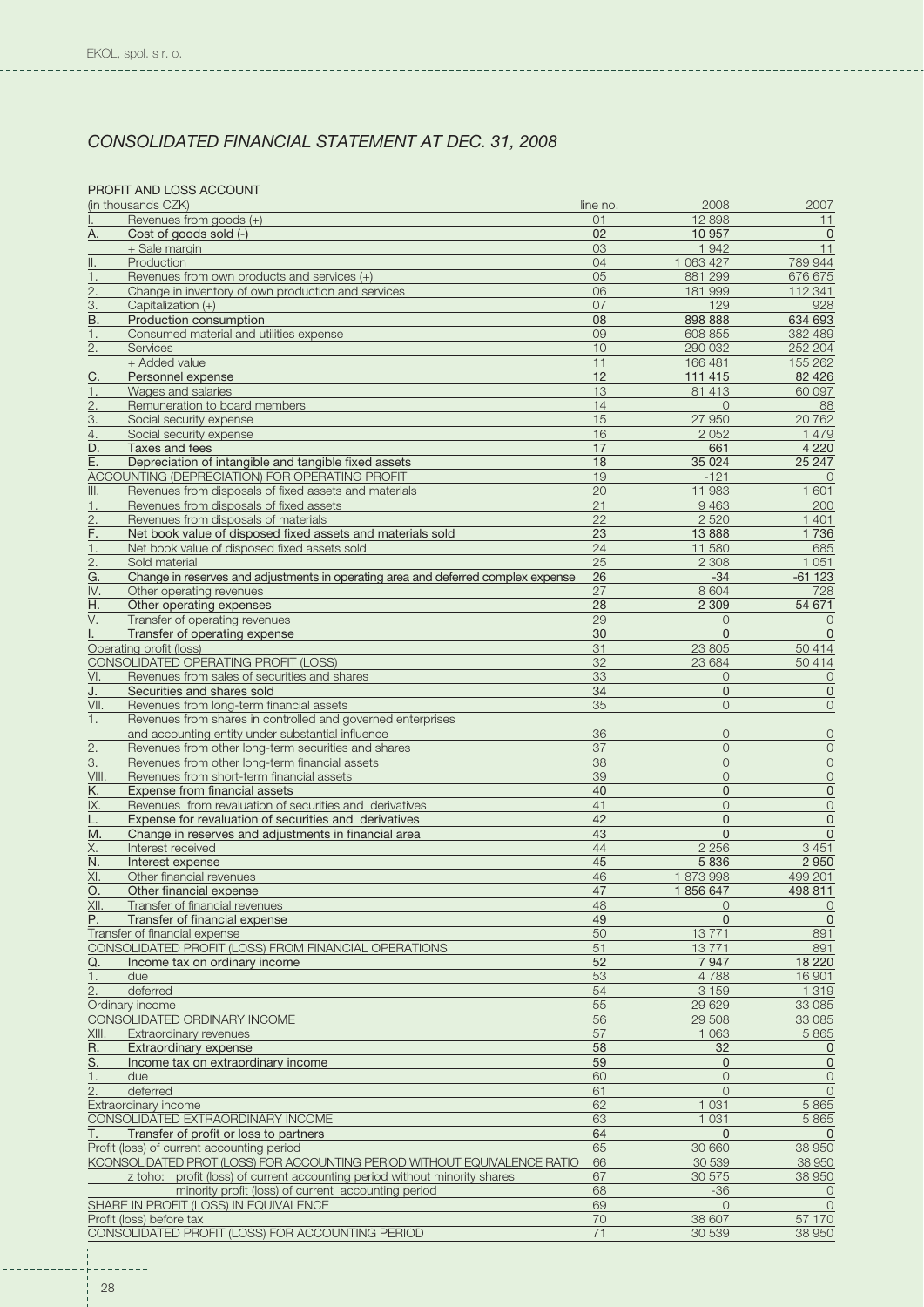## PROFIT AND LOSS ACCOUNT

|                   | (in thousands CZK)                                                                | line no.       | 2008           | 2007           |
|-------------------|-----------------------------------------------------------------------------------|----------------|----------------|----------------|
|                   | Revenues from goods (+)                                                           | O <sub>1</sub> | 12 898         | 11             |
| А.                | Cost of goods sold (-)                                                            | 02             | 10 957         | $\mathbf 0$    |
|                   | + Sale margin                                                                     | 03             | 1942           | 11             |
| II.               | Production                                                                        | 04             | 1 063 427      | 789 944        |
| 1.                | Revenues from own products and services (+)                                       | 05             | 881 299        | 676 675        |
| 2.                | Change in inventory of own production and services                                | 06             | 181 999        | 112 341        |
| $\underline{3}$ . | Capitalization (+)                                                                | 07             | 129            | 928            |
| B.                | Production consumption                                                            | 08             | 898 888        | 634 693        |
| 1.                | Consumed material and utilities expense                                           | 09             | 608 855        | 382 489        |
|                   |                                                                                   |                |                |                |
| 2.                | Services                                                                          | 10             | 290 032        | 252 204        |
|                   | + Added value                                                                     | 11             | 166 481        | 155 262        |
| $\overline{C}$ .  | Personnel expense                                                                 | 12             | 111 415        | 82 4 26        |
| 1.                | Wages and salaries                                                                | 13             | 81 413         | 60 097         |
| 2.                | Remuneration to board members                                                     | 14             | $\Omega$       | 88             |
| $\overline{3}$ .  | Social security expense                                                           | 15             | 27 950         | 20762          |
| $\overline{4}$ .  | Social security expense                                                           | 16             | 2 0 5 2        | 1 4 7 9        |
| D.                | Taxes and fees                                                                    | 17             | 661            | 4 2 2 0        |
|                   |                                                                                   |                |                |                |
| E.                | Depreciation of intangible and tangible fixed assets                              | 18             | 35 0 24        | 25 247         |
|                   | ACCOUNTING (DEPRECIATION) FOR OPERATING PROFIT                                    | 19             | $-121$         | $\Omega$       |
| III.              | Revenues from disposals of fixed assets and materials                             | 20             | 11 983         | 1 601          |
| 1.                | Revenues from disposals of fixed assets                                           | 21             | 9 4 6 3        | 200            |
| $\overline{2}$    | Revenues from disposals of materials                                              | 22             | 2 5 2 0        | 1401           |
| <u>F.</u>         | Net book value of disposed fixed assets and materials sold                        | 23             | 13 8 88        | 1736           |
| 1.                | Net book value of disposed fixed assets sold                                      | 24             | 11 580         | 685            |
|                   | Sold material                                                                     | 25             | 2 3 0 8        | 1 0 5 1        |
| 2.                |                                                                                   |                |                |                |
| G.                | Change in reserves and adjustments in operating area and deferred complex expense | 26             | $-34$          | $-61123$       |
| IV.               | Other operating revenues                                                          | 27             | 8 6 0 4        | 728            |
| Η.                | Other operating expenses                                                          | 28             | 2 3 0 9        | 54 671         |
| V.                | Transfer of operating revenues                                                    | 29             | $\Omega$       | 0              |
|                   | Transfer of operating expense                                                     | 30             | $\Omega$       | $\mathbf{0}$   |
|                   | Operating profit (loss)                                                           | 31             | 23 805         | 50 414         |
|                   | CONSOLIDATED OPERATING PROFIT (LOSS)                                              | 32             | 23 684         | 50 414         |
|                   |                                                                                   |                |                |                |
| VI.               | Revenues from sales of securities and shares                                      | 33             | $\overline{O}$ | $\overline{O}$ |
| J.                | Securities and shares sold                                                        | 34             | $\mathbf{0}$   | $\mathbf 0$    |
| VII.              | Revenues from long-term financial assets                                          | 35             | $\Omega$       | $\overline{0}$ |
| 1.                | Revenues from shares in controlled and governed enterprises                       |                |                |                |
|                   | and accounting entity under substantial influence                                 | 36             | $\circ$        | $\circ$        |
| $\overline{2}$ .  | Revenues from other long-term securities and shares                               | 37             | $\circ$        | $\mathbf 0$    |
| 3.                | Revenues from other long-term financial assets                                    | 38             | $\Omega$       | $\mathbf 0$    |
| VIII.             | Revenues from short-term financial assets                                         | 39             | $\Omega$       | $\mathsf{O}$   |
|                   |                                                                                   |                |                |                |
| <u>K.</u>         | Expense from financial assets                                                     | 40             | $\mathbf{0}$   | $\mathsf 0$    |
| IX.               | Revenues from revaluation of securities and derivatives                           | 41             | $\circ$        | $\mathbf 0$    |
| L.                | Expense for revaluation of securities and derivatives                             | 42             | $\Omega$       | $\mathsf 0$    |
| М.                | Change in reserves and adjustments in financial area                              | 43             | $\mathbf{0}$   | $\mathbf 0$    |
| <u>X.</u>         | Interest received                                                                 | 44             | 2 2 5 6        | 3 4 5 1        |
| N.                | Interest expense                                                                  | 45             | 5 8 3 6        | 2950           |
| XI.               | Other financial revenues                                                          | 46             | 1873998        | 499 201        |
| O.                | Other financial expense                                                           | 47             | 1856647        | 498 811        |
|                   |                                                                                   |                |                |                |
| XII.              | Transfer of financial revenues                                                    | 48             | $\circ$        | $\circ$        |
| Ρ.                | Transfer of financial expense                                                     | 49             | $\Omega$       | $\mathbf 0$    |
|                   | Transfer of financial expense                                                     | 50             | 13771          | 891            |
|                   | CONSOLIDATED PROFIT (LOSS) FROM FINANCIAL OPERATIONS                              | 51             | 13771          | 891            |
| Q.                | Income tax on ordinary income                                                     | 52             | 7947           | 18 2 20        |
| 1.                | due                                                                               | 53             | 4788           | 16901          |
| 2.                | deferred                                                                          | 54             | 3 1 5 9        | 1 3 1 9        |
|                   |                                                                                   | 55             | 29 6 29        | 33 085         |
|                   | Ordinary income                                                                   |                |                |                |
|                   | CONSOLIDATED ORDINARY INCOME                                                      | 56             | 29 508         | 33 0 85        |
| XIII.             | Extraordinary revenues                                                            | 57             | 1 0 6 3        | 5865           |
| <u>R.</u>         | <b>Extraordinary expense</b>                                                      | 58             | 32             | 0              |
| <u>S.</u>         | Income tax on extraordinary income                                                | 59             | $\mathbf{0}$   | $\pmb{0}$      |
| 1.                | due                                                                               | 60             | $\circ$        | $\mathbf 0$    |
| 2.                | deferred                                                                          | 61             | $\Omega$       | $\circ$        |
|                   | Extraordinary income                                                              | 62             | 1 0 3 1        | 5 8 6 5        |
|                   |                                                                                   |                | 1 0 3 1        |                |
|                   | CONSOLIDATED EXTRAORDINARY INCOME                                                 | 63             |                | 5865           |
| Т.                | Transfer of profit or loss to partners                                            | 64             | $\mathbf{0}$   | $\Omega$       |
|                   | Profit (loss) of current accounting period                                        | 65             | 30 660         | 38 950         |
|                   | KCONSOLIDATED PROT (LOSS) FOR ACCOUNTING PERIOD WITHOUT EQUIVALENCE RATIO         | 66             | 30 539         | 38 950         |
|                   | z toho: profit (loss) of current accounting period without minority shares        | 67             | 30 575         | 38 950         |
|                   | minority profit (loss) of current accounting period                               | 68             | $-36$          | 0              |
|                   | SHARE IN PROFIT (LOSS) IN EQUIVALENCE                                             | 69             | $\circ$        | $\overline{O}$ |
|                   | Profit (loss) before tax                                                          | 70             | 38 607         | 57 170         |
|                   |                                                                                   |                |                |                |
|                   | CONSOLIDATED PROFIT (LOSS) FOR ACCOUNTING PERIOD                                  | 71             | 30 539         | 38 950         |

 $- - - -$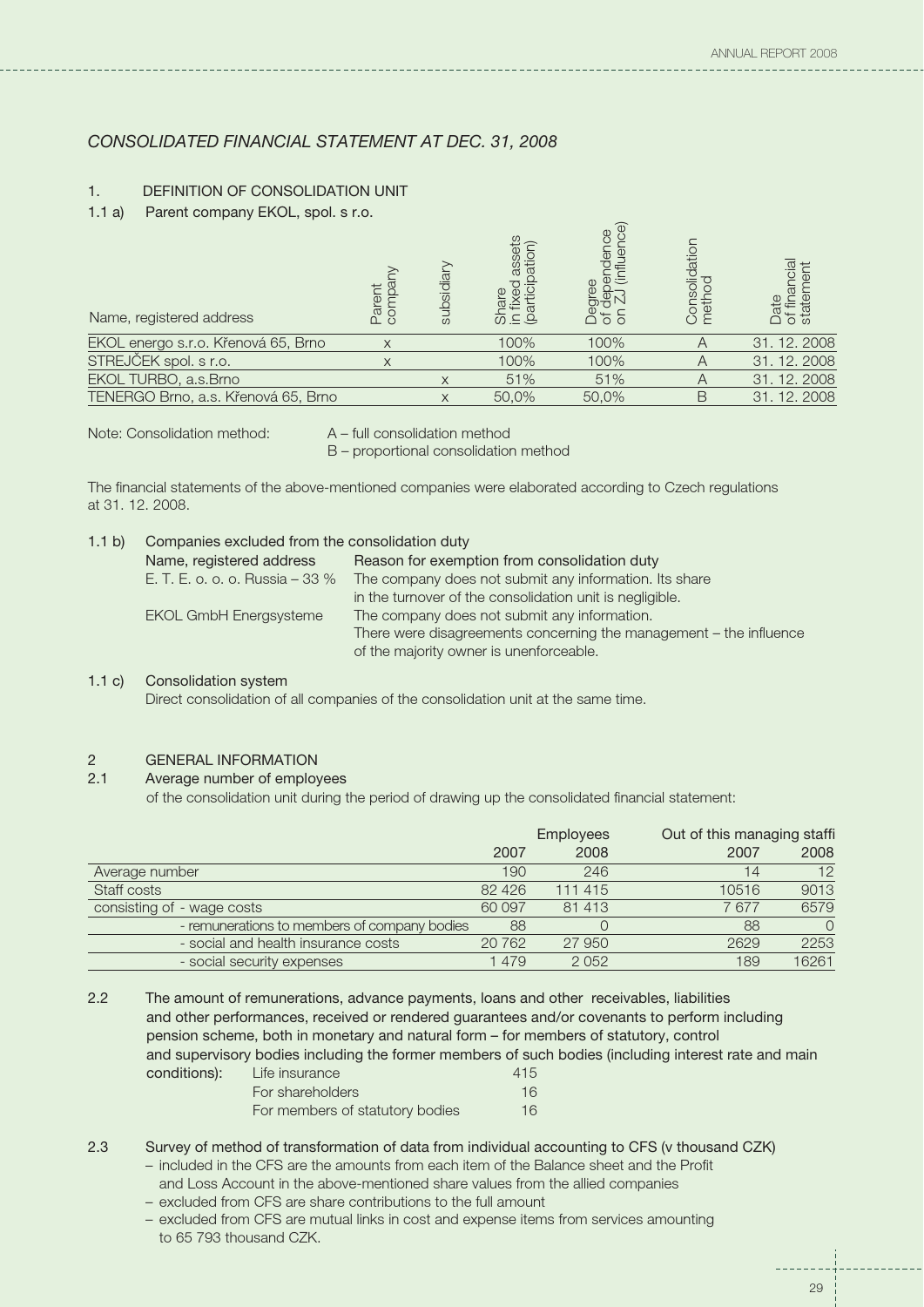## 1. DEFINITION OF CONSOLIDATION UNIT

1.1 a) Parent company EKOL, spol. s r.o.

| Name, registered address            | $\mathbb{C}^{\alpha}$ | subsidia | $\overline{\omega} \equiv \overline{\Xi}$ | $\omega$ | olidatio  |              |
|-------------------------------------|-----------------------|----------|-------------------------------------------|----------|-----------|--------------|
| EKOL energo s.r.o. Křenová 65, Brno | X                     |          | 100%                                      | 100%     | A         | 31, 12, 2008 |
| STREJČEK spol. s r.o.               | X                     |          | 100%                                      | 100%     | $\mapsto$ | 31, 12, 2008 |
| EKOL TURBO, a.s.Brno                |                       |          | 51%                                       | 51%      | Α         | 31, 12, 2008 |
| TENERGO Brno, a.s. Křenová 65, Brno |                       |          | 50.0%                                     | 50.0%    | B         | 31, 12, 2008 |

Note: Consolidation method: A – full consolidation method

B – proportional consolidation method

The financial statements of the above-mentioned companies were elaborated according to Czech regulations at 31. 12. 2008.

| Companies excluded from the consolidation duty<br>1.1 $b)$ |                                              |                                                                    |
|------------------------------------------------------------|----------------------------------------------|--------------------------------------------------------------------|
|                                                            | Reason for exemption from consolidation duty |                                                                    |
|                                                            | E. T. E. o. o. o. Russia – 33 %              | The company does not submit any information. Its share             |
|                                                            |                                              | in the turnover of the consolidation unit is negligible.           |
|                                                            | <b>EKOL GmbH Energsysteme</b>                | The company does not submit any information.                       |
|                                                            |                                              | There were disagreements concerning the management – the influence |
|                                                            |                                              | of the majority owner is unenforceable.                            |
|                                                            |                                              |                                                                    |

## 1.1 c) Consolidation system

Direct consolidation of all companies of the consolidation unit at the same time.

## 2 GENERAL INFORMATION

#### 2.1 Average number of employees

of the consolidation unit during the period of drawing up the consolidated financial statement:

|                                              | <b>Employees</b> |         | Out of this managing staffi |          |
|----------------------------------------------|------------------|---------|-----------------------------|----------|
|                                              | 2007             | 2008    | 2007                        | 2008     |
| Average number                               | 190              | 246     | 14                          | 12       |
| Staff costs                                  | 82 4 26          | 111 415 | 10516                       | 9013     |
| consisting of - wage costs                   | 60 097           | 81 413  | 7677                        | 6579     |
| - remunerations to members of company bodies | 88               |         | 88                          | $\Omega$ |
| - social and health insurance costs          | 20762            | 27 950  | 2629                        | 2253     |
| - social security expenses                   | 1479             | 2 0 5 2 | 189                         | 16261    |

2.2 The amount of remunerations, advance payments, loans and other receivables, liabilities and other performances, received or rendered guarantees and/or covenants to perform including pension scheme, both in monetary and natural form – for members of statutory, control and supervisory bodies including the former members of such bodies (including interest rate and main conditions): 415 Life insurance For shareholders 16 For members of statutory bodies 16

2.3 Survey of method of transformation of data from individual accounting to CFS (v thousand CZK)

- included in the CFS are the amounts from each item of the Balance sheet and the Profit and Loss Account in the above-mentioned share values from the allied companies
- excluded from CFS are share contributions to the full amount
- excluded from CFS are mutual links in cost and expense items from services amounting to 65 793 thousand CZK.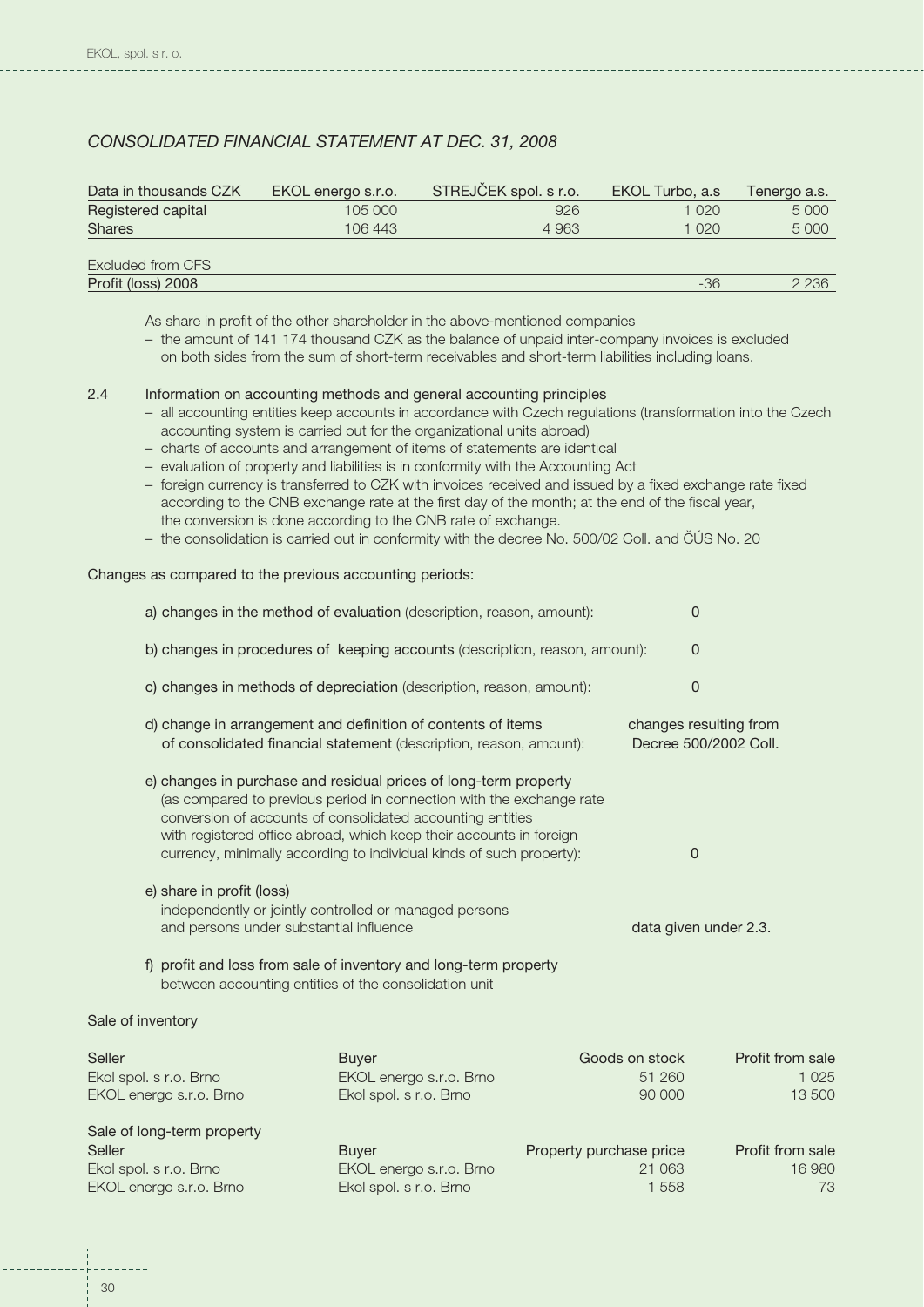| Data in thousands CZK | EKOL energo s.r.o. | STREJČEK spol. s r.o. | EKOL Turbo, a.s. | Tenergo a.s. |
|-----------------------|--------------------|-----------------------|------------------|--------------|
| Registered capital    | 105 000            | 926                   | 1 020            | 5 0 0 0      |
| <b>Shares</b>         | 106 443            | 4 9 6 3               | 1 020            | 5 0 0 0      |
|                       |                    |                       |                  |              |
| Excluded from CFS     |                    |                       |                  |              |
| Profit (loss) 2008    |                    |                       | -36              | 2 2 3 6      |

As share in profit of the other shareholder in the above-mentioned companies

– the amount of 141 174 thousand CZK as the balance of unpaid inter-company invoices is excluded on both sides from the sum of short-term receivables and short-term liabilities including loans.

## 2.4 Information on accounting methods and general accounting principles

- all accounting entities keep accounts in accordance with Czech regulations (transformation into the Czech accounting system is carried out for the organizational units abroad)
- charts of accounts and arrangement of items of statements are identical
- evaluation of property and liabilities is in conformity with the Accounting Act
- foreign currency is transferred to CZK with invoices received and issued by a fixed exchange rate fixed according to the CNB exchange rate at the first day of the month; at the end of the fiscal year, the conversion is done according to the CNB rate of exchange.
- the consolidation is carried out in conformity with the decree No. 500/02 Coll. and ČÚS No. 20

#### Changes as compared to the previous accounting periods:

|                                                                                                                                | a) changes in the method of evaluation (description, reason, amount):                                                                                                                                               | 0                                               |
|--------------------------------------------------------------------------------------------------------------------------------|---------------------------------------------------------------------------------------------------------------------------------------------------------------------------------------------------------------------|-------------------------------------------------|
|                                                                                                                                | b) changes in procedures of keeping accounts (description, reason, amount):                                                                                                                                         | $\Omega$                                        |
|                                                                                                                                | c) changes in methods of depreciation (description, reason, amount):                                                                                                                                                | $\Omega$                                        |
| d) change in arrangement and definition of contents of items                                                                   | of consolidated financial statement (description, reason, amount):                                                                                                                                                  | changes resulting from<br>Decree 500/2002 Coll. |
| e) changes in purchase and residual prices of long-term property<br>conversion of accounts of consolidated accounting entities | (as compared to previous period in connection with the exchange rate<br>with registered office abroad, which keep their accounts in foreign<br>currency, minimally according to individual kinds of such property): | $\Omega$                                        |
| e) share in profit (loss)<br>independently or jointly controlled or managed persons<br>and persons under substantial influence |                                                                                                                                                                                                                     | data given under 2.3.                           |
| f) profit and loss from sale of inventory and long-term property<br>between accounting entities of the consolidation unit      |                                                                                                                                                                                                                     |                                                 |
| Sale of inventory                                                                                                              |                                                                                                                                                                                                                     |                                                 |

| Seller                     | <b>Buver</b>            | Goods on stock          | Profit from sale |
|----------------------------|-------------------------|-------------------------|------------------|
| Ekol spol. s r.o. Brno     | EKOL energo s.r.o. Brno | 51 260                  | 1 0 2 5          |
| EKOL energo s.r.o. Brno    | Ekol spol. s r.o. Brno  | 90 000                  | 13 500           |
| Sale of long-term property |                         |                         |                  |
| Seller                     | <b>Buver</b>            | Property purchase price | Profit from sale |
| Ekol spol. s r.o. Brno     | EKOL energo s.r.o. Brno | 21 0 63                 | 16 980           |
| EKOL energo s.r.o. Brno    | Ekol spol. s r.o. Brno  | 1558                    | 73               |
|                            |                         |                         |                  |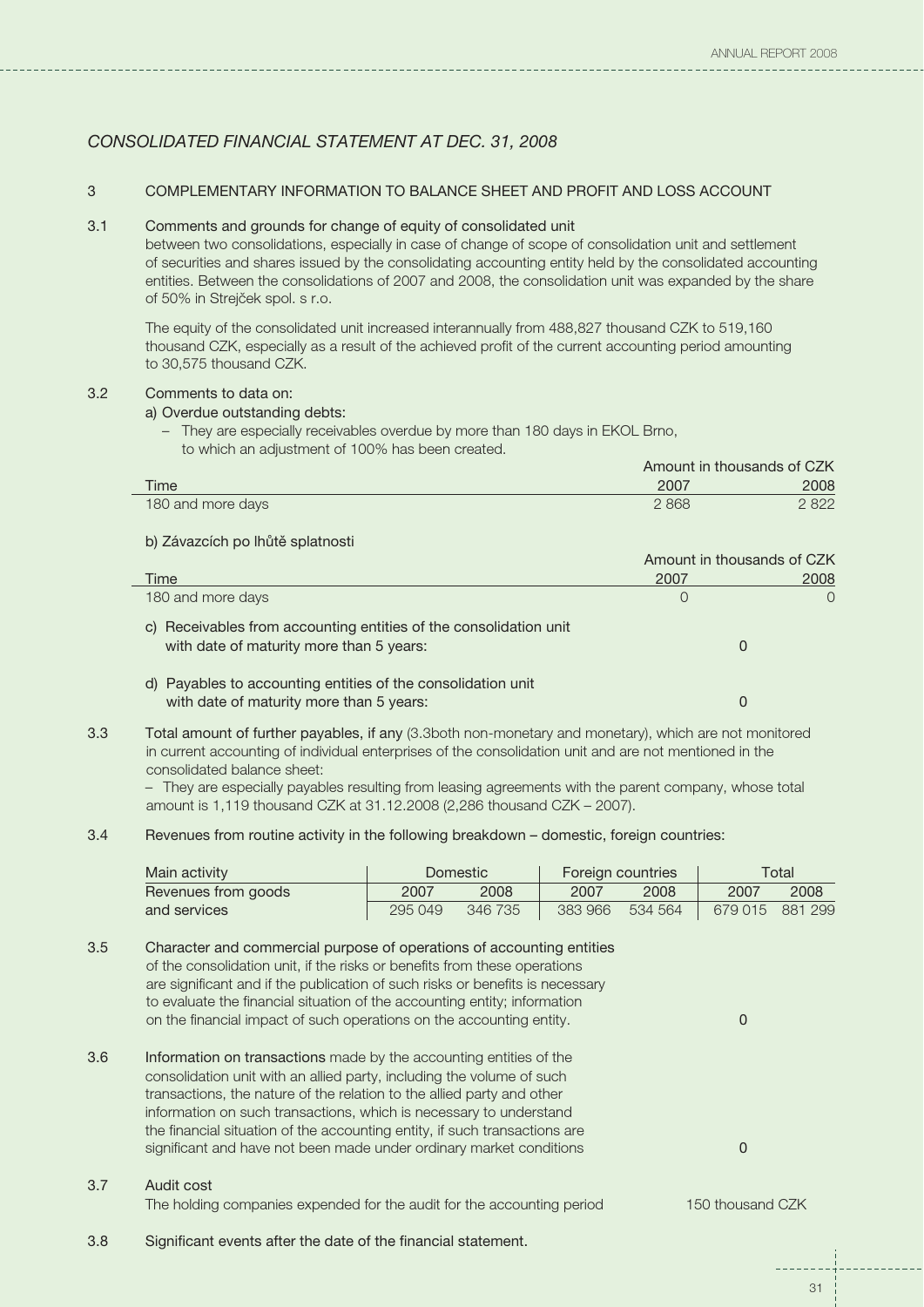## 3 COMPLEMENTARY INFORMATION TO BALANCE SHEET AND PROFIT AND LOSS ACCOUNT

### 3.1 Comments and grounds for change of equity of consolidated unit

between two consolidations, especially in case of change of scope of consolidation unit and settlement of securities and shares issued by the consolidating accounting entity held by the consolidated accounting entities. Between the consolidations of 2007 and 2008, the consolidation unit was expanded by the share of 50% in Strejček spol. s r.o.

The equity of the consolidated unit increased interannually from 488,827 thousand CZK to 519,160 thousand CZK, especially as a result of the achieved profit of the current accounting period amounting to 30,575 thousand CZK.

## 3.2 Comments to data on:

#### a) Overdue outstanding debts:

– They are especially receivables overdue by more than 180 days in EKOL Brno, to which an adjustment of 100% has been created.

|                   |      | Amount in thousands of CZK |  |  |
|-------------------|------|----------------------------|--|--|
| Time              | 2007 | 2008                       |  |  |
| 180 and more days | 2868 | 2822                       |  |  |

## b) Závazcích po lhůtě splatnosti

|                                                                                                               | Amount in thousands of CZK |           |
|---------------------------------------------------------------------------------------------------------------|----------------------------|-----------|
| Time                                                                                                          | 2007                       | 2008      |
| 180 and more days                                                                                             | O                          | $\bigcap$ |
| c) Receivables from accounting entities of the consolidation unit<br>with date of maturity more than 5 years: |                            |           |
| d) Payables to accounting entities of the consolidation unit<br>with date of maturity more than 5 years:      |                            |           |

3.3 Total amount of further payables, if any (3.3both non-monetary and monetary), which are not monitored in current accounting of individual enterprises of the consolidation unit and are not mentioned in the consolidated balance sheet:

– They are especially payables resulting from leasing agreements with the parent company, whose total amount is 1,119 thousand CZK at 31.12.2008 (2,286 thousand CZK – 2007).

## 3.4 Revenues from routine activity in the following breakdown – domestic, foreign countries:

| Main activity       |         | Domestic |                 | Foreign countries |                 | Total |
|---------------------|---------|----------|-----------------|-------------------|-----------------|-------|
| Revenues from goods | 2007    | 2008     | 2007            | 2008              | 2007            | 2008  |
| and services        | 295 049 | 346 735  | 383 966 534 564 |                   | 679 015 881 299 |       |
|                     |         |          |                 |                   |                 |       |

| 3.5 | Character and commercial purpose of operations of accounting entities         |
|-----|-------------------------------------------------------------------------------|
|     | of the consolidation unit, if the risks or benefits from these operations     |
|     | are significant and if the publication of such risks or benefits is necessary |
|     | to evaluate the financial situation of the accounting entity; information     |
|     | on the financial impact of such operations on the accounting entity.          |
|     |                                                                               |

3.6 Information on transactions made by the accounting entities of the 0 consolidation unit with an allied party, including the volume of such transactions, the nature of the relation to the allied party and other information on such transactions, which is necessary to understand the financial situation of the accounting entity, if such transactions are significant and have not been made under ordinary market conditions

## 3.7 Audit cost

The holding companies expended for the audit for the accounting period 150 thousand CZK

3.8 Significant events after the date of the financial statement.

 $\Omega$